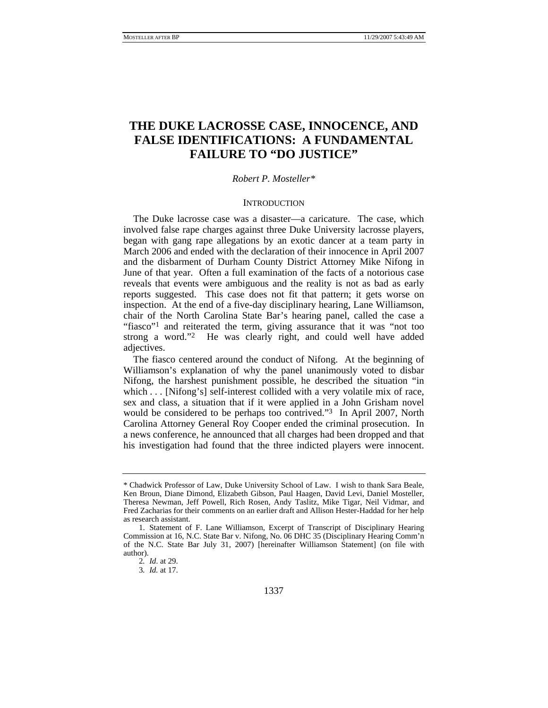# **THE DUKE LACROSSE CASE, INNOCENCE, AND FALSE IDENTIFICATIONS: A FUNDAMENTAL FAILURE TO "DO JUSTICE"**

### *Robert P. Mosteller\**

### **INTRODUCTION**

The Duke lacrosse case was a disaster—a caricature. The case, which involved false rape charges against three Duke University lacrosse players, began with gang rape allegations by an exotic dancer at a team party in March 2006 and ended with the declaration of their innocence in April 2007 and the disbarment of Durham County District Attorney Mike Nifong in June of that year. Often a full examination of the facts of a notorious case reveals that events were ambiguous and the reality is not as bad as early reports suggested. This case does not fit that pattern; it gets worse on inspection. At the end of a five-day disciplinary hearing, Lane Williamson, chair of the North Carolina State Bar's hearing panel, called the case a "fiasco"<sup>1</sup> and reiterated the term, giving assurance that it was "not too strong a word."2 He was clearly right, and could well have added adjectives.

The fiasco centered around the conduct of Nifong. At the beginning of Williamson's explanation of why the panel unanimously voted to disbar Nifong, the harshest punishment possible, he described the situation "in which . . . [Nifong's] self-interest collided with a very volatile mix of race, sex and class, a situation that if it were applied in a John Grisham novel would be considered to be perhaps too contrived."3 In April 2007, North Carolina Attorney General Roy Cooper ended the criminal prosecution. In a news conference, he announced that all charges had been dropped and that his investigation had found that the three indicted players were innocent.

<sup>\*</sup> Chadwick Professor of Law, Duke University School of Law. I wish to thank Sara Beale, Ken Broun, Diane Dimond, Elizabeth Gibson, Paul Haagen, David Levi, Daniel Mosteller, Theresa Newman, Jeff Powell, Rich Rosen, Andy Taslitz, Mike Tigar, Neil Vidmar, and Fred Zacharias for their comments on an earlier draft and Allison Hester-Haddad for her help as research assistant.

 <sup>1.</sup> Statement of F. Lane Williamson, Excerpt of Transcript of Disciplinary Hearing Commission at 16, N.C. State Bar v. Nifong, No. 06 DHC 35 (Disciplinary Hearing Comm'n of the N.C. State Bar July 31, 2007) [hereinafter Williamson Statement] (on file with author).

<sup>2</sup>*. Id*. at 29.

<sup>3</sup>*. Id.* at 17.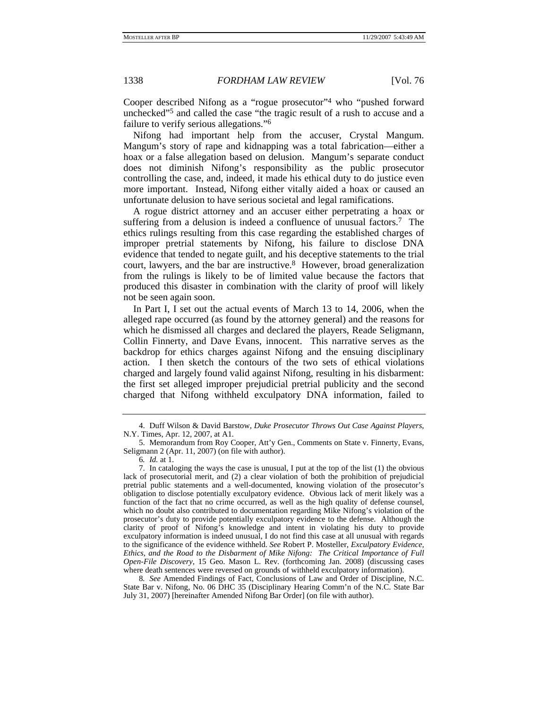Cooper described Nifong as a "rogue prosecutor"4 who "pushed forward unchecked"5 and called the case "the tragic result of a rush to accuse and a failure to verify serious allegations."6

Nifong had important help from the accuser, Crystal Mangum. Mangum's story of rape and kidnapping was a total fabrication—either a hoax or a false allegation based on delusion. Mangum's separate conduct does not diminish Nifong's responsibility as the public prosecutor controlling the case, and, indeed, it made his ethical duty to do justice even more important. Instead, Nifong either vitally aided a hoax or caused an unfortunate delusion to have serious societal and legal ramifications.

A rogue district attorney and an accuser either perpetrating a hoax or suffering from a delusion is indeed a confluence of unusual factors.7 The ethics rulings resulting from this case regarding the established charges of improper pretrial statements by Nifong, his failure to disclose DNA evidence that tended to negate guilt, and his deceptive statements to the trial court, lawyers, and the bar are instructive.8 However, broad generalization from the rulings is likely to be of limited value because the factors that produced this disaster in combination with the clarity of proof will likely not be seen again soon.

In Part I, I set out the actual events of March 13 to 14, 2006, when the alleged rape occurred (as found by the attorney general) and the reasons for which he dismissed all charges and declared the players, Reade Seligmann, Collin Finnerty, and Dave Evans, innocent. This narrative serves as the backdrop for ethics charges against Nifong and the ensuing disciplinary action. I then sketch the contours of the two sets of ethical violations charged and largely found valid against Nifong, resulting in his disbarment: the first set alleged improper prejudicial pretrial publicity and the second charged that Nifong withheld exculpatory DNA information, failed to

8*. See* Amended Findings of Fact, Conclusions of Law and Order of Discipline, N.C. State Bar v. Nifong, No. 06 DHC 35 (Disciplinary Hearing Comm'n of the N.C. State Bar July 31, 2007) [hereinafter Amended Nifong Bar Order] (on file with author).

 <sup>4.</sup> Duff Wilson & David Barstow, *Duke Prosecutor Throws Out Case Against Players*, N.Y. Times, Apr. 12, 2007, at A1.

 <sup>5.</sup> Memorandum from Roy Cooper, Att'y Gen., Comments on State v. Finnerty, Evans, Seligmann 2 (Apr. 11, 2007) (on file with author).

<sup>6</sup>*. Id.* at 1.

 <sup>7.</sup> In cataloging the ways the case is unusual, I put at the top of the list (1) the obvious lack of prosecutorial merit, and (2) a clear violation of both the prohibition of prejudicial pretrial public statements and a well-documented, knowing violation of the prosecutor's obligation to disclose potentially exculpatory evidence. Obvious lack of merit likely was a function of the fact that no crime occurred, as well as the high quality of defense counsel, which no doubt also contributed to documentation regarding Mike Nifong's violation of the prosecutor's duty to provide potentially exculpatory evidence to the defense. Although the clarity of proof of Nifong's knowledge and intent in violating his duty to provide exculpatory information is indeed unusual, I do not find this case at all unusual with regards to the significance of the evidence withheld. *See* Robert P. Mosteller, *Exculpatory Evidence, Ethics, and the Road to the Disbarment of Mike Nifong: The Critical Importance of Full Open-File Discovery*, 15 Geo. Mason L. Rev. (forthcoming Jan. 2008) (discussing cases where death sentences were reversed on grounds of withheld exculpatory information).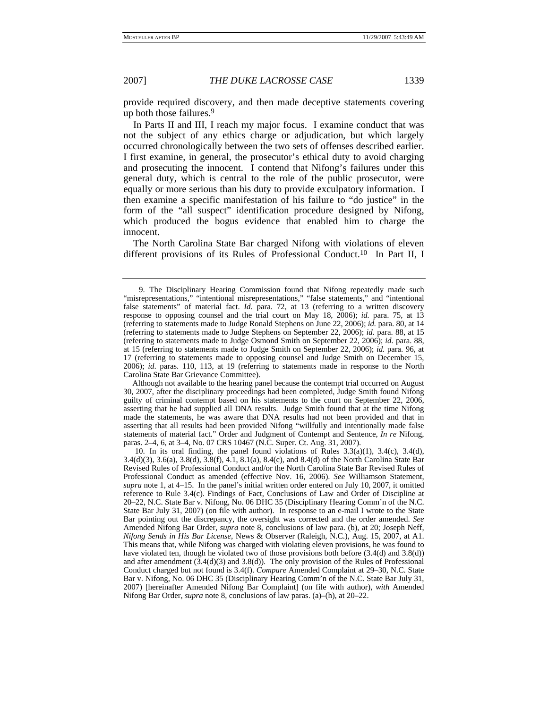provide required discovery, and then made deceptive statements covering up both those failures.9

In Parts II and III, I reach my major focus. I examine conduct that was not the subject of any ethics charge or adjudication, but which largely occurred chronologically between the two sets of offenses described earlier. I first examine, in general, the prosecutor's ethical duty to avoid charging and prosecuting the innocent. I contend that Nifong's failures under this general duty, which is central to the role of the public prosecutor, were equally or more serious than his duty to provide exculpatory information. I then examine a specific manifestation of his failure to "do justice" in the form of the "all suspect" identification procedure designed by Nifong, which produced the bogus evidence that enabled him to charge the innocent.

The North Carolina State Bar charged Nifong with violations of eleven different provisions of its Rules of Professional Conduct.<sup>10</sup> In Part II, I

Although not available to the hearing panel because the contempt trial occurred on August 30, 2007, after the disciplinary proceedings had been completed, Judge Smith found Nifong guilty of criminal contempt based on his statements to the court on September 22, 2006, asserting that he had supplied all DNA results. Judge Smith found that at the time Nifong made the statements, he was aware that DNA results had not been provided and that in asserting that all results had been provided Nifong "willfully and intentionally made false statements of material fact." Order and Judgment of Contempt and Sentence, *In re* Nifong, paras. 2–4, 6, at 3–4, No. 07 CRS 10467 (N.C. Super. Ct. Aug. 31, 2007).

 <sup>9.</sup> The Disciplinary Hearing Commission found that Nifong repeatedly made such "misrepresentations," "intentional misrepresentations," "false statements," and "intentional false statements" of material fact. *Id.* para. 72, at 13 (referring to a written discovery response to opposing counsel and the trial court on May 18, 2006); *id.* para. 75, at 13 (referring to statements made to Judge Ronald Stephens on June 22, 2006); *id.* para. 80, at 14 (referring to statements made to Judge Stephens on September 22, 2006); *id.* para. 88, at 15 (referring to statements made to Judge Osmond Smith on September 22, 2006); *id.* para. 88, at 15 (referring to statements made to Judge Smith on September 22, 2006); *id.* para. 96, at 17 (referring to statements made to opposing counsel and Judge Smith on December 15, 2006); *id*. paras. 110, 113, at 19 (referring to statements made in response to the North Carolina State Bar Grievance Committee).

 <sup>10.</sup> In its oral finding, the panel found violations of Rules 3.3(a)(1), 3.4(c), 3.4(d), 3.4(d)(3), 3.6(a), 3.8(d), 3.8(f), 4.1, 8.1(a), 8.4(c), and 8.4(d) of the North Carolina State Bar Revised Rules of Professional Conduct and/or the North Carolina State Bar Revised Rules of Professional Conduct as amended (effective Nov. 16, 2006). *See* Williamson Statement, *supra* note 1, at 4–15. In the panel's initial written order entered on July 10, 2007, it omitted reference to Rule 3.4(c). Findings of Fact, Conclusions of Law and Order of Discipline at 20–22, N.C. State Bar v. Nifong, No. 06 DHC 35 (Disciplinary Hearing Comm'n of the N.C. State Bar July 31, 2007) (on file with author). In response to an e-mail I wrote to the State Bar pointing out the discrepancy, the oversight was corrected and the order amended. *See* Amended Nifong Bar Order, *supra* note 8, conclusions of law para. (b), at 20; Joseph Neff, *Nifong Sends in His Bar License*, News & Observer (Raleigh, N.C.), Aug. 15, 2007, at A1. This means that, while Nifong was charged with violating eleven provisions, he was found to have violated ten, though he violated two of those provisions both before  $(3.4(d)$  and  $3.8(d)$ ) and after amendment (3.4(d)(3) and 3.8(d)). The only provision of the Rules of Professional Conduct charged but not found is 3.4(f). *Compare* Amended Complaint at 29–30, N.C. State Bar v. Nifong, No. 06 DHC 35 (Disciplinary Hearing Comm'n of the N.C. State Bar July 31, 2007) [hereinafter Amended Nifong Bar Complaint] (on file with author), *with* Amended Nifong Bar Order, *supra* note 8, conclusions of law paras. (a)–(h), at 20–22.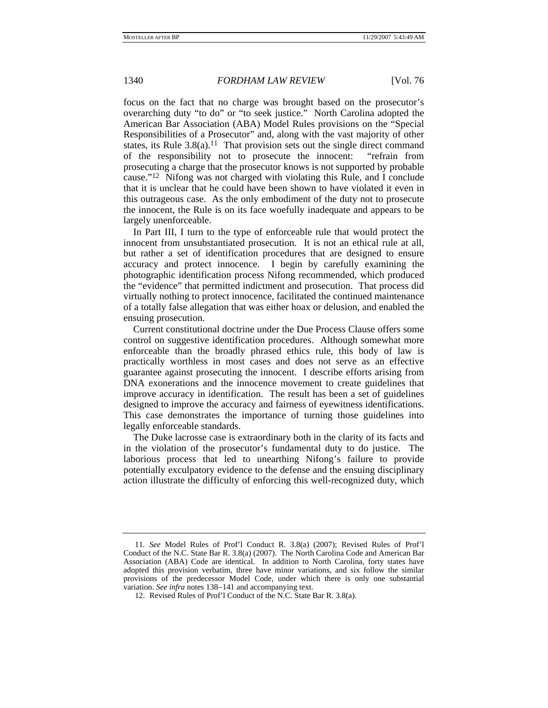focus on the fact that no charge was brought based on the prosecutor's overarching duty "to do" or "to seek justice." North Carolina adopted the American Bar Association (ABA) Model Rules provisions on the "Special Responsibilities of a Prosecutor" and, along with the vast majority of other states, its Rule  $3.8(a)$ .<sup>11</sup> That provision sets out the single direct command of the responsibility not to prosecute the innocent: "refrain from prosecuting a charge that the prosecutor knows is not supported by probable cause."12 Nifong was not charged with violating this Rule, and I conclude that it is unclear that he could have been shown to have violated it even in this outrageous case. As the only embodiment of the duty not to prosecute the innocent, the Rule is on its face woefully inadequate and appears to be largely unenforceable.

In Part III, I turn to the type of enforceable rule that would protect the innocent from unsubstantiated prosecution. It is not an ethical rule at all, but rather a set of identification procedures that are designed to ensure accuracy and protect innocence. I begin by carefully examining the photographic identification process Nifong recommended, which produced the "evidence" that permitted indictment and prosecution. That process did virtually nothing to protect innocence, facilitated the continued maintenance of a totally false allegation that was either hoax or delusion, and enabled the ensuing prosecution.

Current constitutional doctrine under the Due Process Clause offers some control on suggestive identification procedures. Although somewhat more enforceable than the broadly phrased ethics rule, this body of law is practically worthless in most cases and does not serve as an effective guarantee against prosecuting the innocent. I describe efforts arising from DNA exonerations and the innocence movement to create guidelines that improve accuracy in identification. The result has been a set of guidelines designed to improve the accuracy and fairness of eyewitness identifications. This case demonstrates the importance of turning those guidelines into legally enforceable standards.

The Duke lacrosse case is extraordinary both in the clarity of its facts and in the violation of the prosecutor's fundamental duty to do justice. The laborious process that led to unearthing Nifong's failure to provide potentially exculpatory evidence to the defense and the ensuing disciplinary action illustrate the difficulty of enforcing this well-recognized duty, which

<sup>11</sup>*. See* Model Rules of Prof'l Conduct R. 3.8(a) (2007); Revised Rules of Prof'l Conduct of the N.C. State Bar R. 3.8(a) (2007). The North Carolina Code and American Bar Association (ABA) Code are identical. In addition to North Carolina, forty states have adopted this provision verbatim, three have minor variations, and six follow the similar provisions of the predecessor Model Code, under which there is only one substantial variation. *See infra* notes 138−141 and accompanying text.

 <sup>12.</sup> Revised Rules of Prof'l Conduct of the N.C. State Bar R. 3.8(a).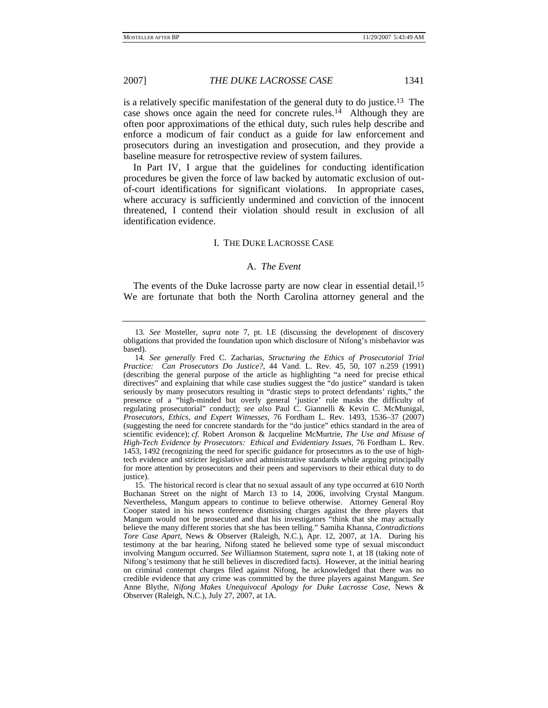is a relatively specific manifestation of the general duty to do justice.13 The case shows once again the need for concrete rules.14 Although they are often poor approximations of the ethical duty, such rules help describe and enforce a modicum of fair conduct as a guide for law enforcement and prosecutors during an investigation and prosecution, and they provide a baseline measure for retrospective review of system failures.

In Part IV, I argue that the guidelines for conducting identification procedures be given the force of law backed by automatic exclusion of outof-court identifications for significant violations. In appropriate cases, where accuracy is sufficiently undermined and conviction of the innocent threatened, I contend their violation should result in exclusion of all identification evidence.

### I. THE DUKE LACROSSE CASE

## A. *The Event*

The events of the Duke lacrosse party are now clear in essential detail.<sup>15</sup> We are fortunate that both the North Carolina attorney general and the

<sup>13</sup>*. See* Mosteller, *supra* note 7, pt. I.E (discussing the development of discovery obligations that provided the foundation upon which disclosure of Nifong's misbehavior was based).

<sup>14</sup>*. See generally* Fred C. Zacharias, *Structuring the Ethics of Prosecutorial Trial Practice: Can Prosecutors Do Justice?*, 44 Vand. L. Rev. 45, 50, 107 n.259 (1991) (describing the general purpose of the article as highlighting "a need for precise ethical directives" and explaining that while case studies suggest the "do justice" standard is taken seriously by many prosecutors resulting in "drastic steps to protect defendants' rights," the presence of a "high-minded but overly general 'justice' rule masks the difficulty of regulating prosecutorial" conduct); *see also* Paul C. Giannelli & Kevin C. McMunigal, *Prosecutors, Ethics, and Expert Witnesses*, 76 Fordham L. Rev. 1493, 1536–37 (2007) (suggesting the need for concrete standards for the "do justice" ethics standard in the area of scientific evidence); *cf.* Robert Aronson & Jacqueline McMurtrie, *The Use and Misuse of High-Tech Evidence by Prosecutors: Ethical and Evidentiary Issues*, 76 Fordham L. Rev. 1453, 1492 (recognizing the need for specific guidance for prosecutors as to the use of hightech evidence and stricter legislative and administrative standards while arguing principally for more attention by prosecutors and their peers and supervisors to their ethical duty to do justice).

 <sup>15.</sup> The historical record is clear that no sexual assault of any type occurred at 610 North Buchanan Street on the night of March 13 to 14, 2006, involving Crystal Mangum. Nevertheless, Mangum appears to continue to believe otherwise. Attorney General Roy Cooper stated in his news conference dismissing charges against the three players that Mangum would not be prosecuted and that his investigators "think that she may actually believe the many different stories that she has been telling." Samiha Khanna, *Contradictions Tore Case Apart*, News & Observer (Raleigh, N.C.), Apr. 12, 2007, at 1A. During his testimony at the bar hearing, Nifong stated he believed some type of sexual misconduct involving Mangum occurred. *See* Williamson Statement, *supra* note 1, at 18 (taking note of Nifong's testimony that he still believes in discredited facts). However, at the initial hearing on criminal contempt charges filed against Nifong, he acknowledged that there was no credible evidence that any crime was committed by the three players against Mangum. *See* Anne Blythe, *Nifong Makes Unequivocal Apology for Duke Lacrosse Case*, News & Observer (Raleigh, N.C.), July 27, 2007, at 1A.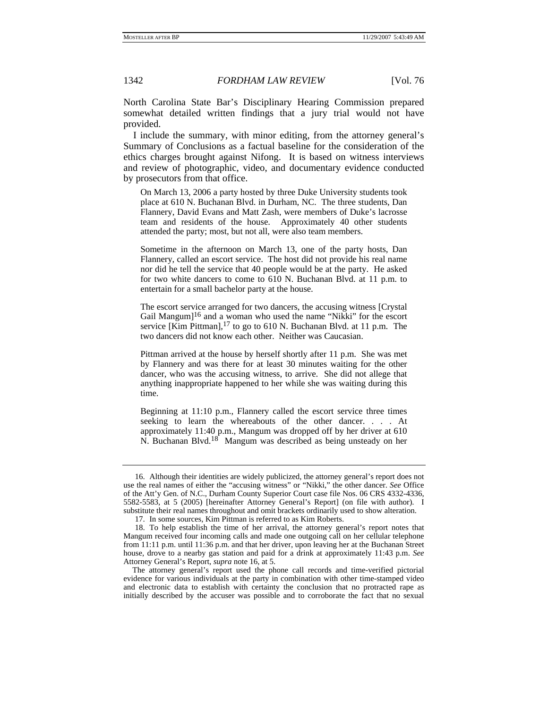North Carolina State Bar's Disciplinary Hearing Commission prepared somewhat detailed written findings that a jury trial would not have provided.

I include the summary, with minor editing, from the attorney general's Summary of Conclusions as a factual baseline for the consideration of the ethics charges brought against Nifong. It is based on witness interviews and review of photographic, video, and documentary evidence conducted by prosecutors from that office.

On March 13, 2006 a party hosted by three Duke University students took place at 610 N. Buchanan Blvd. in Durham, NC. The three students, Dan Flannery, David Evans and Matt Zash, were members of Duke's lacrosse team and residents of the house. Approximately 40 other students attended the party; most, but not all, were also team members.

Sometime in the afternoon on March 13, one of the party hosts, Dan Flannery, called an escort service. The host did not provide his real name nor did he tell the service that 40 people would be at the party. He asked for two white dancers to come to 610 N. Buchanan Blvd. at 11 p.m. to entertain for a small bachelor party at the house.

The escort service arranged for two dancers, the accusing witness [Crystal Gail Mangum $]^{16}$  and a woman who used the name "Nikki" for the escort service [Kim Pittman],<sup>17</sup> to go to 610 N. Buchanan Blvd. at 11 p.m. The two dancers did not know each other. Neither was Caucasian.

Pittman arrived at the house by herself shortly after 11 p.m. She was met by Flannery and was there for at least 30 minutes waiting for the other dancer, who was the accusing witness, to arrive. She did not allege that anything inappropriate happened to her while she was waiting during this time.

Beginning at 11:10 p.m., Flannery called the escort service three times seeking to learn the whereabouts of the other dancer. . . . At approximately 11:40 p.m., Mangum was dropped off by her driver at 610 N. Buchanan Blvd.18 Mangum was described as being unsteady on her

 <sup>16.</sup> Although their identities are widely publicized, the attorney general's report does not use the real names of either the "accusing witness" or "Nikki," the other dancer. *See* Office of the Att'y Gen. of N.C., Durham County Superior Court case file Nos. 06 CRS 4332-4336, 5582-5583, at 5 (2005) [hereinafter Attorney General's Report] (on file with author). I substitute their real names throughout and omit brackets ordinarily used to show alteration.

 <sup>17.</sup> In some sources, Kim Pittman is referred to as Kim Roberts.

 <sup>18.</sup> To help establish the time of her arrival, the attorney general's report notes that Mangum received four incoming calls and made one outgoing call on her cellular telephone from 11:11 p.m. until 11:36 p.m. and that her driver, upon leaving her at the Buchanan Street house, drove to a nearby gas station and paid for a drink at approximately 11:43 p.m. *See* Attorney General's Report, *supra* note 16, at 5.

The attorney general's report used the phone call records and time-verified pictorial evidence for various individuals at the party in combination with other time-stamped video and electronic data to establish with certainty the conclusion that no protracted rape as initially described by the accuser was possible and to corroborate the fact that no sexual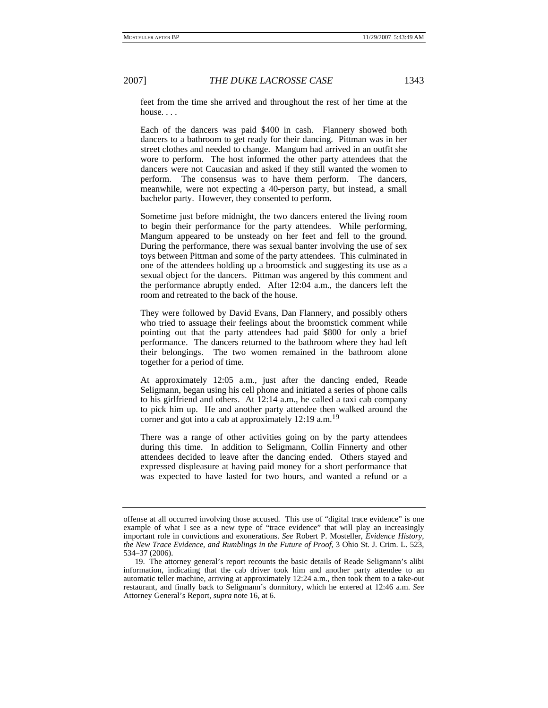feet from the time she arrived and throughout the rest of her time at the house. . . .

Each of the dancers was paid \$400 in cash. Flannery showed both dancers to a bathroom to get ready for their dancing. Pittman was in her street clothes and needed to change. Mangum had arrived in an outfit she wore to perform. The host informed the other party attendees that the dancers were not Caucasian and asked if they still wanted the women to perform. The consensus was to have them perform. The dancers, meanwhile, were not expecting a 40-person party, but instead, a small bachelor party. However, they consented to perform.

Sometime just before midnight, the two dancers entered the living room to begin their performance for the party attendees. While performing, Mangum appeared to be unsteady on her feet and fell to the ground. During the performance, there was sexual banter involving the use of sex toys between Pittman and some of the party attendees. This culminated in one of the attendees holding up a broomstick and suggesting its use as a sexual object for the dancers. Pittman was angered by this comment and the performance abruptly ended. After 12:04 a.m., the dancers left the room and retreated to the back of the house.

They were followed by David Evans, Dan Flannery, and possibly others who tried to assuage their feelings about the broomstick comment while pointing out that the party attendees had paid \$800 for only a brief performance. The dancers returned to the bathroom where they had left their belongings. The two women remained in the bathroom alone together for a period of time.

At approximately 12:05 a.m., just after the dancing ended, Reade Seligmann, began using his cell phone and initiated a series of phone calls to his girlfriend and others. At 12:14 a.m., he called a taxi cab company to pick him up. He and another party attendee then walked around the corner and got into a cab at approximately  $12:19$  a.m.<sup>19</sup>

There was a range of other activities going on by the party attendees during this time. In addition to Seligmann, Collin Finnerty and other attendees decided to leave after the dancing ended. Others stayed and expressed displeasure at having paid money for a short performance that was expected to have lasted for two hours, and wanted a refund or a

offense at all occurred involving those accused. This use of "digital trace evidence" is one example of what I see as a new type of "trace evidence" that will play an increasingly important role in convictions and exonerations. *See* Robert P. Mosteller, *Evidence History, the New Trace Evidence, and Rumblings in the Future of Proof*, 3 Ohio St. J. Crim. L. 523, 534–37 (2006).

 <sup>19.</sup> The attorney general's report recounts the basic details of Reade Seligmann's alibi information, indicating that the cab driver took him and another party attendee to an automatic teller machine, arriving at approximately 12:24 a.m., then took them to a take-out restaurant, and finally back to Seligmann's dormitory, which he entered at 12:46 a.m. *See* Attorney General's Report, *supra* note 16, at 6.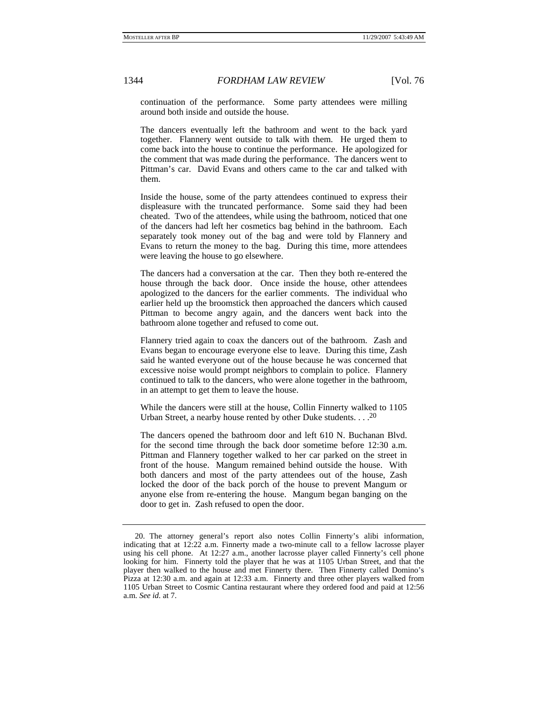continuation of the performance. Some party attendees were milling around both inside and outside the house.

The dancers eventually left the bathroom and went to the back yard together. Flannery went outside to talk with them. He urged them to come back into the house to continue the performance. He apologized for the comment that was made during the performance. The dancers went to Pittman's car. David Evans and others came to the car and talked with them.

Inside the house, some of the party attendees continued to express their displeasure with the truncated performance. Some said they had been cheated. Two of the attendees, while using the bathroom, noticed that one of the dancers had left her cosmetics bag behind in the bathroom. Each separately took money out of the bag and were told by Flannery and Evans to return the money to the bag. During this time, more attendees were leaving the house to go elsewhere.

The dancers had a conversation at the car. Then they both re-entered the house through the back door. Once inside the house, other attendees apologized to the dancers for the earlier comments. The individual who earlier held up the broomstick then approached the dancers which caused Pittman to become angry again, and the dancers went back into the bathroom alone together and refused to come out.

Flannery tried again to coax the dancers out of the bathroom. Zash and Evans began to encourage everyone else to leave. During this time, Zash said he wanted everyone out of the house because he was concerned that excessive noise would prompt neighbors to complain to police. Flannery continued to talk to the dancers, who were alone together in the bathroom, in an attempt to get them to leave the house.

While the dancers were still at the house, Collin Finnerty walked to 1105 Urban Street, a nearby house rented by other Duke students.  $\ldots$ <sup>20</sup>

The dancers opened the bathroom door and left 610 N. Buchanan Blvd. for the second time through the back door sometime before 12:30 a.m. Pittman and Flannery together walked to her car parked on the street in front of the house. Mangum remained behind outside the house. With both dancers and most of the party attendees out of the house, Zash locked the door of the back porch of the house to prevent Mangum or anyone else from re-entering the house. Mangum began banging on the door to get in. Zash refused to open the door.

 <sup>20.</sup> The attorney general's report also notes Collin Finnerty's alibi information, indicating that at  $12:22$  a.m. Finnerty made a two-minute call to a fellow lacrosse player using his cell phone. At 12:27 a.m., another lacrosse player called Finnerty's cell phone looking for him. Finnerty told the player that he was at 1105 Urban Street, and that the player then walked to the house and met Finnerty there. Then Finnerty called Domino's Pizza at 12:30 a.m. and again at 12:33 a.m. Finnerty and three other players walked from 1105 Urban Street to Cosmic Cantina restaurant where they ordered food and paid at 12:56 a.m. *See id.* at 7.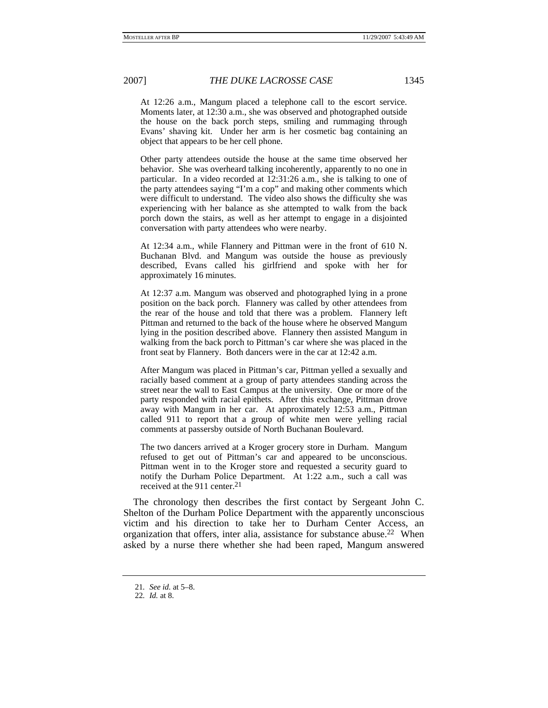At 12:26 a.m., Mangum placed a telephone call to the escort service. Moments later, at 12:30 a.m., she was observed and photographed outside the house on the back porch steps, smiling and rummaging through Evans' shaving kit. Under her arm is her cosmetic bag containing an object that appears to be her cell phone.

Other party attendees outside the house at the same time observed her behavior. She was overheard talking incoherently, apparently to no one in particular. In a video recorded at 12:31:26 a.m., she is talking to one of the party attendees saying "I'm a cop" and making other comments which were difficult to understand. The video also shows the difficulty she was experiencing with her balance as she attempted to walk from the back porch down the stairs, as well as her attempt to engage in a disjointed conversation with party attendees who were nearby.

At 12:34 a.m., while Flannery and Pittman were in the front of 610 N. Buchanan Blvd. and Mangum was outside the house as previously described, Evans called his girlfriend and spoke with her for approximately 16 minutes.

At 12:37 a.m. Mangum was observed and photographed lying in a prone position on the back porch. Flannery was called by other attendees from the rear of the house and told that there was a problem. Flannery left Pittman and returned to the back of the house where he observed Mangum lying in the position described above. Flannery then assisted Mangum in walking from the back porch to Pittman's car where she was placed in the front seat by Flannery. Both dancers were in the car at 12:42 a.m.

After Mangum was placed in Pittman's car, Pittman yelled a sexually and racially based comment at a group of party attendees standing across the street near the wall to East Campus at the university. One or more of the party responded with racial epithets. After this exchange, Pittman drove away with Mangum in her car. At approximately 12:53 a.m., Pittman called 911 to report that a group of white men were yelling racial comments at passersby outside of North Buchanan Boulevard.

The two dancers arrived at a Kroger grocery store in Durham. Mangum refused to get out of Pittman's car and appeared to be unconscious. Pittman went in to the Kroger store and requested a security guard to notify the Durham Police Department. At 1:22 a.m., such a call was received at the 911 center.<sup>21</sup>

The chronology then describes the first contact by Sergeant John C. Shelton of the Durham Police Department with the apparently unconscious victim and his direction to take her to Durham Center Access, an organization that offers, inter alia, assistance for substance abuse.<sup>22</sup> When asked by a nurse there whether she had been raped, Mangum answered

<sup>21</sup>*. See id.* at 5–8.

<sup>22</sup>*. Id.* at 8.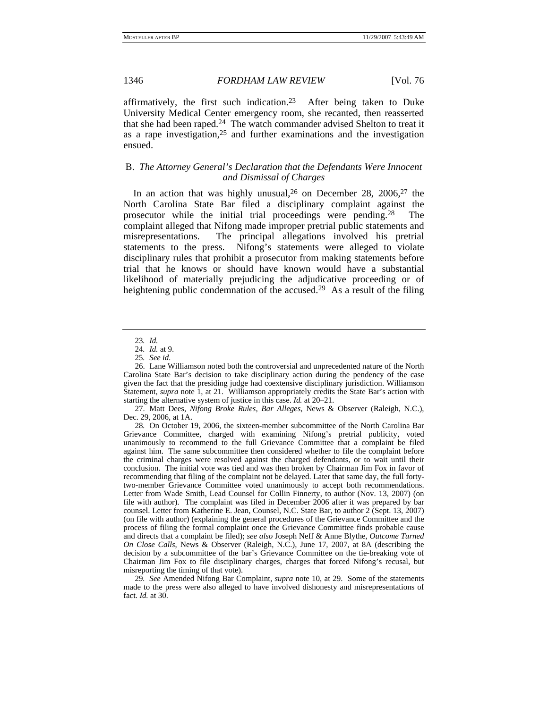affirmatively, the first such indication.<sup>23</sup> After being taken to Duke University Medical Center emergency room, she recanted, then reasserted that she had been raped.24 The watch commander advised Shelton to treat it as a rape investigation,  $25$  and further examinations and the investigation ensued.

## B. *The Attorney General's Declaration that the Defendants Were Innocent and Dismissal of Charges*

In an action that was highly unusual,  $26$  on December 28, 2006,  $27$  the North Carolina State Bar filed a disciplinary complaint against the prosecutor while the initial trial proceedings were pending.28 The complaint alleged that Nifong made improper pretrial public statements and misrepresentations. The principal allegations involved his pretrial statements to the press. Nifong's statements were alleged to violate disciplinary rules that prohibit a prosecutor from making statements before trial that he knows or should have known would have a substantial likelihood of materially prejudicing the adjudicative proceeding or of heightening public condemnation of the accused.<sup>29</sup> As a result of the filing

<sup>23</sup>*. Id.*

<sup>24</sup>*. Id.* at 9.

<sup>25</sup>*. See id.*

 <sup>26.</sup> Lane Williamson noted both the controversial and unprecedented nature of the North Carolina State Bar's decision to take disciplinary action during the pendency of the case given the fact that the presiding judge had coextensive disciplinary jurisdiction. Williamson Statement, *supra* note 1, at 21. Williamson appropriately credits the State Bar's action with starting the alternative system of justice in this case. *Id.* at 20–21.

 <sup>27.</sup> Matt Dees, *Nifong Broke Rules, Bar Alleges*, News & Observer (Raleigh, N.C.), Dec. 29, 2006, at 1A.

<sup>28</sup>*.* On October 19, 2006, the sixteen-member subcommittee of the North Carolina Bar Grievance Committee, charged with examining Nifong's pretrial publicity, voted unanimously to recommend to the full Grievance Committee that a complaint be filed against him. The same subcommittee then considered whether to file the complaint before the criminal charges were resolved against the charged defendants, or to wait until their conclusion. The initial vote was tied and was then broken by Chairman Jim Fox in favor of recommending that filing of the complaint not be delayed. Later that same day, the full fortytwo-member Grievance Committee voted unanimously to accept both recommendations. Letter from Wade Smith, Lead Counsel for Collin Finnerty, to author (Nov. 13, 2007) (on file with author). The complaint was filed in December 2006 after it was prepared by bar counsel. Letter from Katherine E. Jean, Counsel, N.C. State Bar, to author 2 (Sept. 13, 2007) (on file with author) (explaining the general procedures of the Grievance Committee and the process of filing the formal complaint once the Grievance Committee finds probable cause and directs that a complaint be filed); *see also* Joseph Neff & Anne Blythe, *Outcome Turned On Close Calls*, News & Observer (Raleigh, N.C.), June 17, 2007, at 8A (describing the decision by a subcommittee of the bar's Grievance Committee on the tie-breaking vote of Chairman Jim Fox to file disciplinary charges, charges that forced Nifong's recusal, but misreporting the timing of that vote).

<sup>29</sup>*. See* Amended Nifong Bar Complaint, *supra* note 10, at 29. Some of the statements made to the press were also alleged to have involved dishonesty and misrepresentations of fact. *Id.* at 30.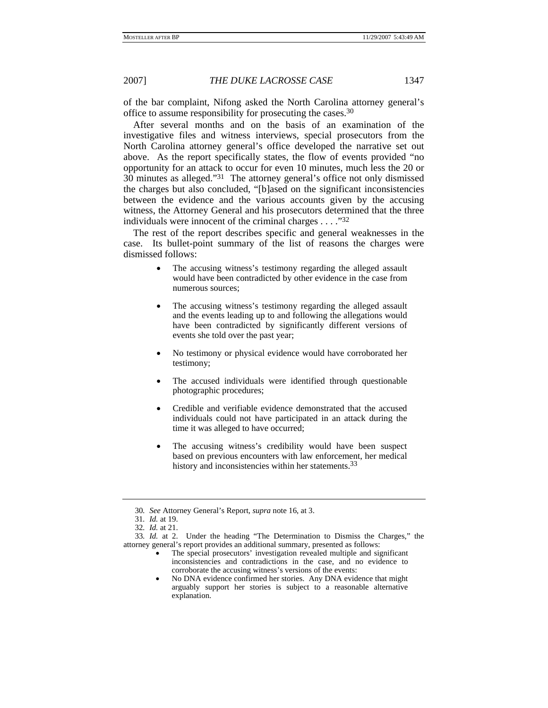of the bar complaint, Nifong asked the North Carolina attorney general's office to assume responsibility for prosecuting the cases.30

After several months and on the basis of an examination of the investigative files and witness interviews, special prosecutors from the North Carolina attorney general's office developed the narrative set out above. As the report specifically states, the flow of events provided "no opportunity for an attack to occur for even 10 minutes, much less the 20 or 30 minutes as alleged."31 The attorney general's office not only dismissed the charges but also concluded, "[b]ased on the significant inconsistencies between the evidence and the various accounts given by the accusing witness, the Attorney General and his prosecutors determined that the three individuals were innocent of the criminal charges . . . ."32

The rest of the report describes specific and general weaknesses in the case. Its bullet-point summary of the list of reasons the charges were dismissed follows:

- The accusing witness's testimony regarding the alleged assault would have been contradicted by other evidence in the case from numerous sources;
- The accusing witness's testimony regarding the alleged assault and the events leading up to and following the allegations would have been contradicted by significantly different versions of events she told over the past year;
- No testimony or physical evidence would have corroborated her testimony;
- The accused individuals were identified through questionable photographic procedures;
- Credible and verifiable evidence demonstrated that the accused individuals could not have participated in an attack during the time it was alleged to have occurred;
- The accusing witness's credibility would have been suspect based on previous encounters with law enforcement, her medical history and inconsistencies within her statements.<sup>33</sup>

<sup>30</sup>*. See* Attorney General's Report, *supra* note 16, at 3.

<sup>31</sup>*. Id.* at 19.

<sup>32</sup>*. Id.* at 21.

<sup>33</sup>*. Id.* at 2. Under the heading "The Determination to Dismiss the Charges," the attorney general's report provides an additional summary, presented as follows:

The special prosecutors' investigation revealed multiple and significant inconsistencies and contradictions in the case, and no evidence to corroborate the accusing witness's versions of the events:

<sup>•</sup> No DNA evidence confirmed her stories. Any DNA evidence that might arguably support her stories is subject to a reasonable alternative explanation.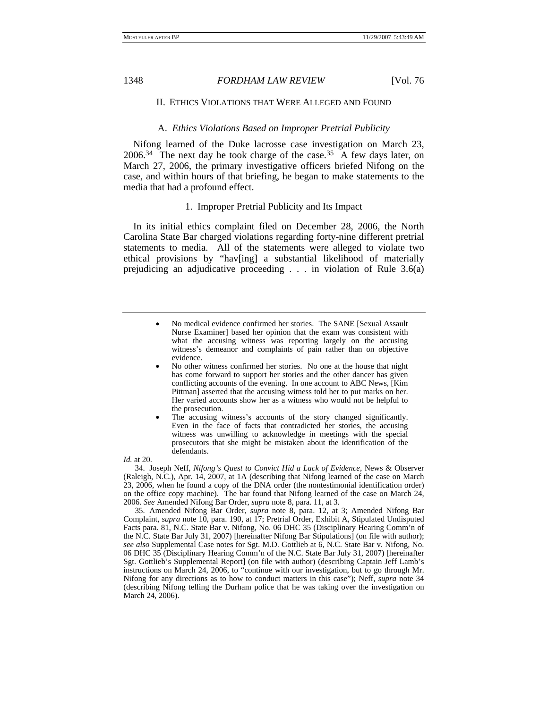### II. ETHICS VIOLATIONS THAT WERE ALLEGED AND FOUND

### A. *Ethics Violations Based on Improper Pretrial Publicity*

Nifong learned of the Duke lacrosse case investigation on March 23,  $2006<sup>34</sup>$  The next day he took charge of the case.<sup>35</sup> A few days later, on March 27, 2006, the primary investigative officers briefed Nifong on the case, and within hours of that briefing, he began to make statements to the media that had a profound effect.

### 1. Improper Pretrial Publicity and Its Impact

In its initial ethics complaint filed on December 28, 2006, the North Carolina State Bar charged violations regarding forty-nine different pretrial statements to media. All of the statements were alleged to violate two ethical provisions by "hav[ing] a substantial likelihood of materially prejudicing an adjudicative proceeding . . . in violation of Rule 3.6(a)

- No other witness confirmed her stories. No one at the house that night has come forward to support her stories and the other dancer has given conflicting accounts of the evening. In one account to ABC News, [Kim Pittman] asserted that the accusing witness told her to put marks on her. Her varied accounts show her as a witness who would not be helpful to the prosecution.
- The accusing witness's accounts of the story changed significantly. Even in the face of facts that contradicted her stories, the accusing witness was unwilling to acknowledge in meetings with the special prosecutors that she might be mistaken about the identification of the defendants.

*Id.* at 20.

 34. Joseph Neff, *Nifong's Quest to Convict Hid a Lack of Evidence*, News & Observer (Raleigh, N.C.), Apr. 14, 2007, at 1A (describing that Nifong learned of the case on March 23, 2006, when he found a copy of the DNA order (the nontestimonial identification order) on the office copy machine). The bar found that Nifong learned of the case on March 24, 2006. *See* Amended Nifong Bar Order, *supra* note 8, para. 11, at 3.

 35. Amended Nifong Bar Order, *supra* note 8, para. 12, at 3; Amended Nifong Bar Complaint, *supra* note 10, para. 190, at 17; Pretrial Order, Exhibit A, Stipulated Undisputed Facts para. 81, N.C. State Bar v. Nifong, No. 06 DHC 35 (Disciplinary Hearing Comm'n of the N.C. State Bar July 31, 2007) [hereinafter Nifong Bar Stipulations] (on file with author); *see also* Supplemental Case notes for Sgt. M.D. Gottlieb at 6, N.C. State Bar v. Nifong, No. 06 DHC 35 (Disciplinary Hearing Comm'n of the N.C. State Bar July 31, 2007) [hereinafter Sgt. Gottlieb's Supplemental Report] (on file with author) (describing Captain Jeff Lamb's instructions on March 24, 2006, to "continue with our investigation, but to go through Mr. Nifong for any directions as to how to conduct matters in this case"); Neff, *supra* note 34 (describing Nifong telling the Durham police that he was taking over the investigation on March 24, 2006).

<sup>•</sup> No medical evidence confirmed her stories. The SANE [Sexual Assault Nurse Examiner] based her opinion that the exam was consistent with what the accusing witness was reporting largely on the accusing witness's demeanor and complaints of pain rather than on objective evidence.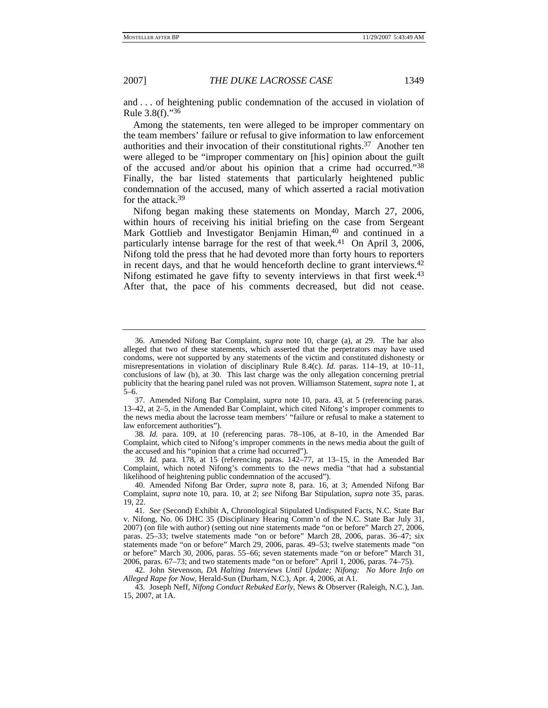and . . . of heightening public condemnation of the accused in violation of Rule 3.8(f)."36

Among the statements, ten were alleged to be improper commentary on the team members' failure or refusal to give information to law enforcement authorities and their invocation of their constitutional rights.37 Another ten were alleged to be "improper commentary on [his] opinion about the guilt of the accused and/or about his opinion that a crime had occurred."38 Finally, the bar listed statements that particularly heightened public condemnation of the accused, many of which asserted a racial motivation for the attack.39

Nifong began making these statements on Monday, March 27, 2006, within hours of receiving his initial briefing on the case from Sergeant Mark Gottlieb and Investigator Benjamin Himan,<sup>40</sup> and continued in a particularly intense barrage for the rest of that week.<sup>41</sup> On April 3, 2006, Nifong told the press that he had devoted more than forty hours to reporters in recent days, and that he would henceforth decline to grant interviews.<sup>42</sup> Nifong estimated he gave fifty to seventy interviews in that first week.<sup>43</sup> After that, the pace of his comments decreased, but did not cease.

39*. Id.* para. 178, at 15 (referencing paras. 142–77, at 13–15, in the Amended Bar Complaint, which noted Nifong's comments to the news media "that had a substantial likelihood of heightening public condemnation of the accused").

 <sup>36.</sup> Amended Nifong Bar Complaint, *supra* note 10, charge (a), at 29. The bar also alleged that two of these statements, which asserted that the perpetrators may have used condoms, were not supported by any statements of the victim and constituted dishonesty or misrepresentations in violation of disciplinary Rule 8.4(c). *Id.* paras. 114–19, at 10–11, conclusions of law (b), at 30. This last charge was the only allegation concerning pretrial publicity that the hearing panel ruled was not proven. Williamson Statement, *supra* note 1, at 5–6.

 <sup>37.</sup> Amended Nifong Bar Complaint, *supra* note 10, para. 43, at 5 (referencing paras. 13–42, at 2–5, in the Amended Bar Complaint, which cited Nifong's improper comments to the news media about the lacrosse team members' "failure or refusal to make a statement to law enforcement authorities").

<sup>38</sup>*. Id.* para. 109, at 10 (referencing paras. 78–106, at 8–10, in the Amended Bar Complaint, which cited to Nifong's improper comments in the news media about the guilt of the accused and his "opinion that a crime had occurred").

 <sup>40.</sup> Amended Nifong Bar Order, *supra* note 8, para. 16, at 3; Amended Nifong Bar Complaint, *supra* note 10, para. 10, at 2; *see* Nifong Bar Stipulation, *supra* note 35, paras. 19, 22.

<sup>41</sup>*. See* (Second) Exhibit A, Chronological Stipulated Undisputed Facts, N.C. State Bar v. Nifong, No. 06 DHC 35 (Disciplinary Hearing Comm'n of the N.C. State Bar July 31, 2007) (on file with author) (setting out nine statements made "on or before" March 27, 2006, paras. 25–33; twelve statements made "on or before" March 28, 2006, paras. 36–47; six statements made "on or before" March 29, 2006, paras. 49–53; twelve statements made "on or before" March 30, 2006, paras. 55–66; seven statements made "on or before" March 31, 2006, paras. 67–73; and two statements made "on or before" April 1, 2006, paras. 74–75).

 <sup>42.</sup> John Stevenson, *DA Halting Interviews Until Update; Nifong: No More Info on Alleged Rape for Now*, Herald-Sun (Durham, N.C.), Apr. 4, 2006, at A1.

 <sup>43.</sup> Joseph Neff, *Nifong Conduct Rebuked Early*, News & Observer (Raleigh, N.C.), Jan. 15, 2007, at 1A.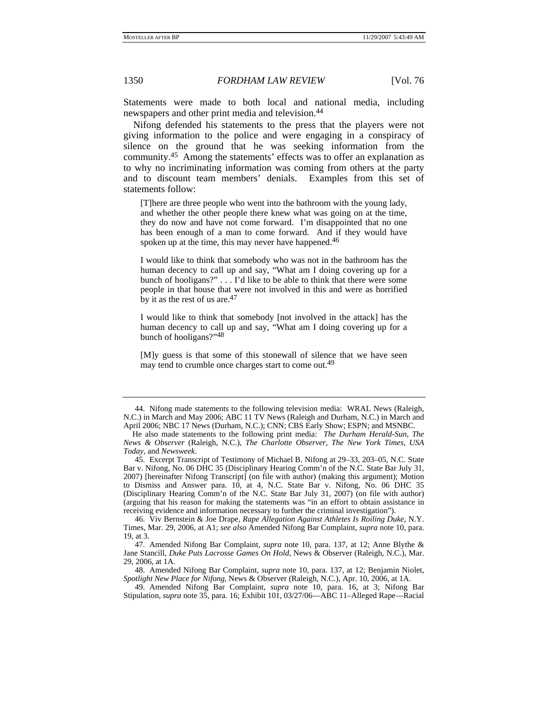Statements were made to both local and national media, including newspapers and other print media and television.<sup>44</sup>

Nifong defended his statements to the press that the players were not giving information to the police and were engaging in a conspiracy of silence on the ground that he was seeking information from the community.45 Among the statements' effects was to offer an explanation as to why no incriminating information was coming from others at the party and to discount team members' denials. Examples from this set of statements follow:

[T]here are three people who went into the bathroom with the young lady, and whether the other people there knew what was going on at the time, they do now and have not come forward. I'm disappointed that no one has been enough of a man to come forward. And if they would have spoken up at the time, this may never have happened.<sup>46</sup>

I would like to think that somebody who was not in the bathroom has the human decency to call up and say, "What am I doing covering up for a bunch of hooligans?" . . . I'd like to be able to think that there were some people in that house that were not involved in this and were as horrified by it as the rest of us are.<sup>47</sup>

I would like to think that somebody [not involved in the attack] has the human decency to call up and say, "What am I doing covering up for a bunch of hooligans?"48

[M]y guess is that some of this stonewall of silence that we have seen may tend to crumble once charges start to come out.<sup>49</sup>

 <sup>44.</sup> Nifong made statements to the following television media: WRAL News (Raleigh, N.C.) in March and May 2006; ABC 11 TV News (Raleigh and Durham, N.C.) in March and April 2006; NBC 17 News (Durham, N.C.); CNN; CBS Early Show; ESPN; and MSNBC.

He also made statements to the following print media: *The Durham Herald-Sun*, *The News & Observer* (Raleigh, N.C.), *The Charlotte Observer*, *The New York Times*, *USA Today*, and *Newsweek*.

 <sup>45.</sup> Excerpt Transcript of Testimony of Michael B. Nifong at 29–33, 203–05, N.C. State Bar v. Nifong, No. 06 DHC 35 (Disciplinary Hearing Comm'n of the N.C. State Bar July 31, 2007) [hereinafter Nifong Transcript] (on file with author) (making this argument); Motion to Dismiss and Answer para. 10, at 4, N.C. State Bar v. Nifong, No. 06 DHC 35 (Disciplinary Hearing Comm'n of the N.C. State Bar July 31, 2007) (on file with author) (arguing that his reason for making the statements was "in an effort to obtain assistance in receiving evidence and information necessary to further the criminal investigation").

 <sup>46.</sup> Viv Bernstein & Joe Drape, *Rape Allegation Against Athletes Is Roiling Duke*, N.Y. Times, Mar. 29, 2006, at A1; *see also* Amended Nifong Bar Complaint, *supra* note 10, para. 19, at 3.

 <sup>47.</sup> Amended Nifong Bar Complaint, *supra* note 10, para. 137, at 12; Anne Blythe & Jane Stancill, *Duke Puts Lacrosse Games On Hold*, News & Observer (Raleigh, N.C.), Mar. 29, 2006, at 1A.

 <sup>48.</sup> Amended Nifong Bar Complaint, *supra* note 10, para. 137, at 12; Benjamin Niolet, *Spotlight New Place for Nifong*, News & Observer (Raleigh, N.C.), Apr. 10, 2006, at 1A.

 <sup>49.</sup> Amended Nifong Bar Complaint, *supra* note 10, para. 16, at 3; Nifong Bar Stipulation, *supra* note 35, para. 16; Exhibit 101, 03/27/06—ABC 11–Alleged Rape—Racial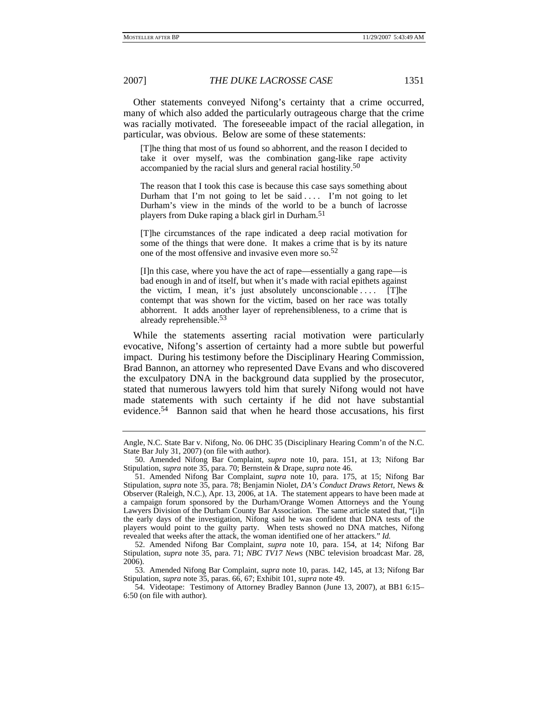Other statements conveyed Nifong's certainty that a crime occurred, many of which also added the particularly outrageous charge that the crime was racially motivated. The foreseeable impact of the racial allegation, in particular, was obvious. Below are some of these statements:

[T]he thing that most of us found so abhorrent, and the reason I decided to take it over myself, was the combination gang-like rape activity accompanied by the racial slurs and general racial hostility.<sup>50</sup>

The reason that I took this case is because this case says something about Durham that I'm not going to let be said  $\dots$ . I'm not going to let Durham's view in the minds of the world to be a bunch of lacrosse players from Duke raping a black girl in Durham.51

[T]he circumstances of the rape indicated a deep racial motivation for some of the things that were done. It makes a crime that is by its nature one of the most offensive and invasive even more so.52

[I]n this case, where you have the act of rape—essentially a gang rape—is bad enough in and of itself, but when it's made with racial epithets against the victim, I mean, it's just absolutely unconscionable . . . . [T]he contempt that was shown for the victim, based on her race was totally abhorrent. It adds another layer of reprehensibleness, to a crime that is already reprehensible.53

While the statements asserting racial motivation were particularly evocative, Nifong's assertion of certainty had a more subtle but powerful impact. During his testimony before the Disciplinary Hearing Commission, Brad Bannon, an attorney who represented Dave Evans and who discovered the exculpatory DNA in the background data supplied by the prosecutor, stated that numerous lawyers told him that surely Nifong would not have made statements with such certainty if he did not have substantial evidence.54 Bannon said that when he heard those accusations, his first

Angle, N.C. State Bar v. Nifong, No. 06 DHC 35 (Disciplinary Hearing Comm'n of the N.C. State Bar July 31, 2007) (on file with author).

 <sup>50.</sup> Amended Nifong Bar Complaint, *supra* note 10, para. 151, at 13; Nifong Bar Stipulation, *supra* note 35, para. 70; Bernstein & Drape, *supra* note 46.

 <sup>51.</sup> Amended Nifong Bar Complaint, *supra* note 10, para. 175, at 15; Nifong Bar Stipulation, *supra* note 35, para. 78; Benjamin Niolet, *DA's Conduct Draws Retort*, News & Observer (Raleigh, N.C.), Apr. 13, 2006, at 1A. The statement appears to have been made at a campaign forum sponsored by the Durham/Orange Women Attorneys and the Young Lawyers Division of the Durham County Bar Association. The same article stated that, "[i]n the early days of the investigation, Nifong said he was confident that DNA tests of the players would point to the guilty party. When tests showed no DNA matches, Nifong revealed that weeks after the attack, the woman identified one of her attackers." *Id.*

 <sup>52.</sup> Amended Nifong Bar Complaint, *supra* note 10, para. 154, at 14; Nifong Bar Stipulation, *supra* note 35, para. 71; *NBC TV17 News* (NBC television broadcast Mar. 28, 2006).

 <sup>53.</sup> Amended Nifong Bar Complaint, *supra* note 10, paras. 142, 145, at 13; Nifong Bar Stipulation, *supra* note 35, paras. 66, 67; Exhibit 101, *supra* note 49.

 <sup>54.</sup> Videotape: Testimony of Attorney Bradley Bannon (June 13, 2007), at BB1 6:15– 6:50 (on file with author).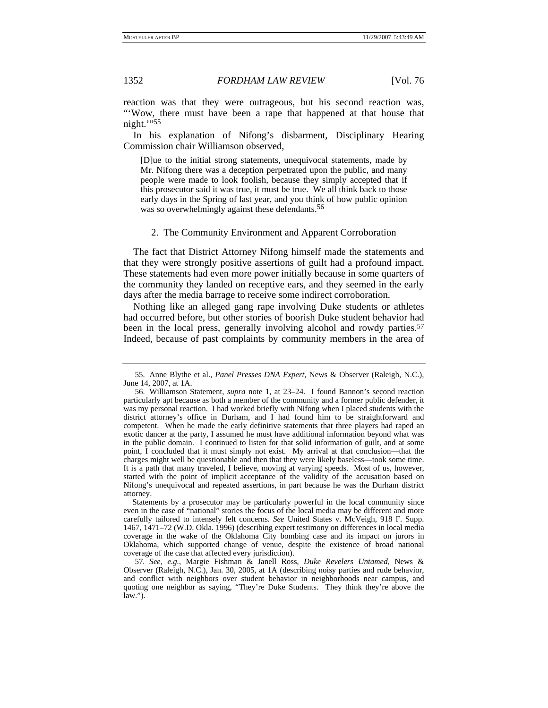reaction was that they were outrageous, but his second reaction was, "'Wow, there must have been a rape that happened at that house that night.'"55

In his explanation of Nifong's disbarment, Disciplinary Hearing Commission chair Williamson observed,

[D]ue to the initial strong statements, unequivocal statements, made by Mr. Nifong there was a deception perpetrated upon the public, and many people were made to look foolish, because they simply accepted that if this prosecutor said it was true, it must be true. We all think back to those early days in the Spring of last year, and you think of how public opinion was so overwhelmingly against these defendants.<sup>56</sup>

### 2. The Community Environment and Apparent Corroboration

The fact that District Attorney Nifong himself made the statements and that they were strongly positive assertions of guilt had a profound impact. These statements had even more power initially because in some quarters of the community they landed on receptive ears, and they seemed in the early days after the media barrage to receive some indirect corroboration.

Nothing like an alleged gang rape involving Duke students or athletes had occurred before, but other stories of boorish Duke student behavior had been in the local press, generally involving alcohol and rowdy parties.<sup>57</sup> Indeed, because of past complaints by community members in the area of

 <sup>55.</sup> Anne Blythe et al., *Panel Presses DNA Expert*, News & Observer (Raleigh, N.C.), June 14, 2007, at 1A.

 <sup>56.</sup> Williamson Statement, *supra* note 1, at 23–24. I found Bannon's second reaction particularly apt because as both a member of the community and a former public defender, it was my personal reaction. I had worked briefly with Nifong when I placed students with the district attorney's office in Durham, and I had found him to be straightforward and competent. When he made the early definitive statements that three players had raped an exotic dancer at the party, I assumed he must have additional information beyond what was in the public domain. I continued to listen for that solid information of guilt, and at some point, I concluded that it must simply not exist. My arrival at that conclusion—that the charges might well be questionable and then that they were likely baseless—took some time. It is a path that many traveled, I believe, moving at varying speeds. Most of us, however, started with the point of implicit acceptance of the validity of the accusation based on Nifong's unequivocal and repeated assertions, in part because he was the Durham district attorney.

Statements by a prosecutor may be particularly powerful in the local community since even in the case of "national" stories the focus of the local media may be different and more carefully tailored to intensely felt concerns. *See* United States v. McVeigh, 918 F. Supp. 1467, 1471–72 (W.D. Okla. 1996) (describing expert testimony on differences in local media coverage in the wake of the Oklahoma City bombing case and its impact on jurors in Oklahoma, which supported change of venue, despite the existence of broad national coverage of the case that affected every jurisdiction).

<sup>57</sup>*. See, e.g.*, Margie Fishman & Janell Ross, *Duke Revelers Untamed*, News & Observer (Raleigh, N.C.), Jan. 30, 2005, at 1A (describing noisy parties and rude behavior, and conflict with neighbors over student behavior in neighborhoods near campus, and quoting one neighbor as saying, "They're Duke Students. They think they're above the law.").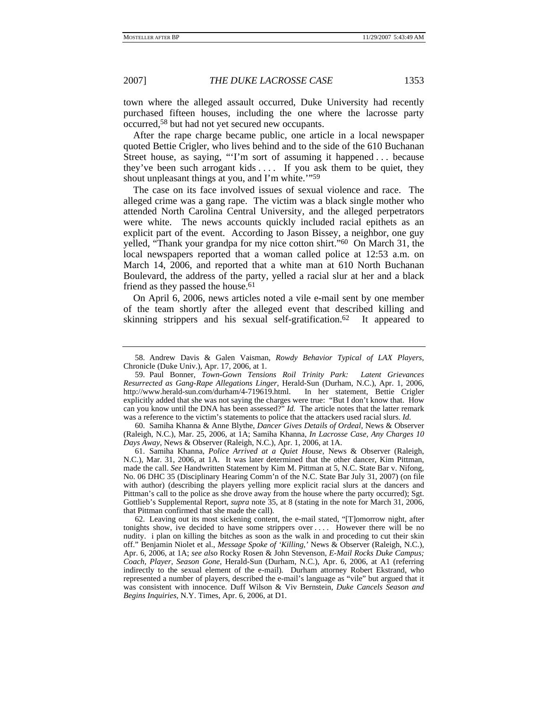town where the alleged assault occurred, Duke University had recently purchased fifteen houses, including the one where the lacrosse party occurred,58 but had not yet secured new occupants.

After the rape charge became public, one article in a local newspaper quoted Bettie Crigler, who lives behind and to the side of the 610 Buchanan Street house, as saying, "'I'm sort of assuming it happened . . . because they've been such arrogant kids  $\dots$ . If you ask them to be quiet, they shout unpleasant things at you, and I'm white."<sup>59</sup>

The case on its face involved issues of sexual violence and race. The alleged crime was a gang rape. The victim was a black single mother who attended North Carolina Central University, and the alleged perpetrators were white. The news accounts quickly included racial epithets as an explicit part of the event. According to Jason Bissey, a neighbor, one guy yelled, "Thank your grandpa for my nice cotton shirt."60 On March 31, the local newspapers reported that a woman called police at 12:53 a.m. on March 14, 2006, and reported that a white man at 610 North Buchanan Boulevard, the address of the party, yelled a racial slur at her and a black friend as they passed the house.<sup>61</sup>

On April 6, 2006, news articles noted a vile e-mail sent by one member of the team shortly after the alleged event that described killing and skinning strippers and his sexual self-gratification.62 It appeared to

 60. Samiha Khanna & Anne Blythe, *Dancer Gives Details of Ordeal,* News & Observer (Raleigh, N.C.), Mar. 25, 2006, at 1A; Samiha Khanna, *In Lacrosse Case, Any Charges 10 Days Away*, News & Observer (Raleigh, N.C.), Apr. 1, 2006, at 1A.

 61. Samiha Khanna, *Police Arrived at a Quiet House*, News & Observer (Raleigh, N.C.), Mar. 31, 2006, at 1A. It was later determined that the other dancer, Kim Pittman, made the call. *See* Handwritten Statement by Kim M. Pittman at 5, N.C. State Bar v. Nifong, No. 06 DHC 35 (Disciplinary Hearing Comm'n of the N.C. State Bar July 31, 2007) (on file with author) (describing the players yelling more explicit racial slurs at the dancers and Pittman's call to the police as she drove away from the house where the party occurred); Sgt. Gottlieb's Supplemental Report, *supra* note 35, at 8 (stating in the note for March 31, 2006, that Pittman confirmed that she made the call).

 62. Leaving out its most sickening content, the e-mail stated, "[T]omorrow night, after tonights show, ive decided to have some strippers over . . . . However there will be no nudity. i plan on killing the bitches as soon as the walk in and proceding to cut their skin off." Benjamin Niolet et al., *Message Spoke of 'Killing*,*'* News & Observer (Raleigh, N.C.), Apr. 6, 2006, at 1A; *see also* Rocky Rosen & John Stevenson, *E-Mail Rocks Duke Campus; Coach, Player, Season Gone*, Herald-Sun (Durham, N.C.), Apr. 6, 2006, at A1 (referring indirectly to the sexual element of the e-mail). Durham attorney Robert Ekstrand, who represented a number of players, described the e-mail's language as "vile" but argued that it was consistent with innocence. Duff Wilson & Viv Bernstein, *Duke Cancels Season and Begins Inquiries*, N.Y. Times, Apr. 6, 2006, at D1.

 <sup>58.</sup> Andrew Davis & Galen Vaisman, *Rowdy Behavior Typical of LAX Players*, Chronicle (Duke Univ.), Apr. 17, 2006, at 1.

 <sup>59.</sup> Paul Bonner, *Town-Gown Tensions Roil Trinity Park: Latent Grievances Resurrected as Gang-Rape Allegations Linger*, Herald-Sun (Durham, N.C.), Apr. 1, 2006, http://www.herald-sun.com/durham/4-719619.html. In her statement, Bettie Crigler explicitly added that she was not saying the charges were true: "But I don't know that. How can you know until the DNA has been assessed?" *Id.* The article notes that the latter remark was a reference to the victim's statements to police that the attackers used racial slurs. *Id.*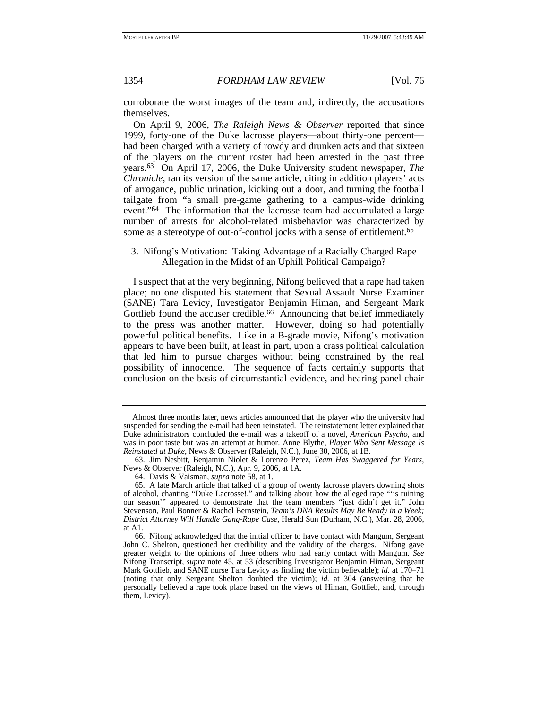corroborate the worst images of the team and, indirectly, the accusations themselves.

On April 9, 2006, *The Raleigh News & Observer* reported that since 1999, forty-one of the Duke lacrosse players—about thirty-one percent had been charged with a variety of rowdy and drunken acts and that sixteen of the players on the current roster had been arrested in the past three years.63 On April 17, 2006, the Duke University student newspaper, *The Chronicle*, ran its version of the same article, citing in addition players' acts of arrogance, public urination, kicking out a door, and turning the football tailgate from "a small pre-game gathering to a campus-wide drinking event."64 The information that the lacrosse team had accumulated a large number of arrests for alcohol-related misbehavior was characterized by some as a stereotype of out-of-control jocks with a sense of entitlement.<sup>65</sup>

## 3. Nifong's Motivation: Taking Advantage of a Racially Charged Rape Allegation in the Midst of an Uphill Political Campaign?

I suspect that at the very beginning, Nifong believed that a rape had taken place; no one disputed his statement that Sexual Assault Nurse Examiner (SANE) Tara Levicy, Investigator Benjamin Himan, and Sergeant Mark Gottlieb found the accuser credible.<sup>66</sup> Announcing that belief immediately to the press was another matter. However, doing so had potentially powerful political benefits. Like in a B-grade movie, Nifong's motivation appears to have been built, at least in part, upon a crass political calculation that led him to pursue charges without being constrained by the real possibility of innocence. The sequence of facts certainly supports that conclusion on the basis of circumstantial evidence, and hearing panel chair

Almost three months later, news articles announced that the player who the university had suspended for sending the e-mail had been reinstated. The reinstatement letter explained that Duke administrators concluded the e-mail was a takeoff of a novel, *American Psycho*, and was in poor taste but was an attempt at humor. Anne Blythe, *Player Who Sent Message Is Reinstated at Duke*, News & Observer (Raleigh, N.C.), June 30, 2006, at 1B.

 <sup>63.</sup> Jim Nesbitt, Benjamin Niolet & Lorenzo Perez, *Team Has Swaggered for Years*, News & Observer (Raleigh, N.C.), Apr. 9, 2006, at 1A.

 <sup>64.</sup> Davis & Vaisman, *supra* note 58, at 1.

 <sup>65.</sup> A late March article that talked of a group of twenty lacrosse players downing shots of alcohol, chanting "Duke Lacrosse!," and talking about how the alleged rape "'is ruining our season'" appeared to demonstrate that the team members "just didn't get it." John Stevenson, Paul Bonner & Rachel Bernstein, *Team's DNA Results May Be Ready in a Week; District Attorney Will Handle Gang-Rape Case*, Herald Sun (Durham, N.C.), Mar. 28, 2006, at A1.

 <sup>66.</sup> Nifong acknowledged that the initial officer to have contact with Mangum, Sergeant John C. Shelton, questioned her credibility and the validity of the charges. Nifong gave greater weight to the opinions of three others who had early contact with Mangum. *See* Nifong Transcript, *supra* note 45, at 53 (describing Investigator Benjamin Himan, Sergeant Mark Gottlieb, and SANE nurse Tara Levicy as finding the victim believable); *id.* at 170–71 (noting that only Sergeant Shelton doubted the victim); *id.* at 304 (answering that he personally believed a rape took place based on the views of Himan, Gottlieb, and, through them, Levicy).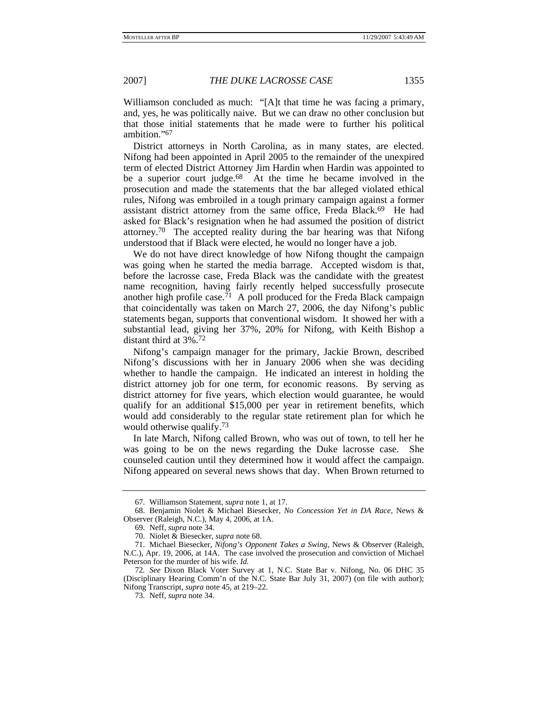Williamson concluded as much: "[A]t that time he was facing a primary, and, yes, he was politically naive. But we can draw no other conclusion but that those initial statements that he made were to further his political ambition."67

District attorneys in North Carolina, as in many states, are elected. Nifong had been appointed in April 2005 to the remainder of the unexpired term of elected District Attorney Jim Hardin when Hardin was appointed to be a superior court judge.<sup>68</sup> At the time he became involved in the prosecution and made the statements that the bar alleged violated ethical rules, Nifong was embroiled in a tough primary campaign against a former assistant district attorney from the same office, Freda Black.69 He had asked for Black's resignation when he had assumed the position of district attorney.70 The accepted reality during the bar hearing was that Nifong understood that if Black were elected, he would no longer have a job.

We do not have direct knowledge of how Nifong thought the campaign was going when he started the media barrage. Accepted wisdom is that, before the lacrosse case, Freda Black was the candidate with the greatest name recognition, having fairly recently helped successfully prosecute another high profile case.<sup>71</sup> A poll produced for the Freda Black campaign that coincidentally was taken on March 27, 2006, the day Nifong's public statements began, supports that conventional wisdom. It showed her with a substantial lead, giving her 37%, 20% for Nifong, with Keith Bishop a distant third at 3%.72

Nifong's campaign manager for the primary, Jackie Brown, described Nifong's discussions with her in January 2006 when she was deciding whether to handle the campaign. He indicated an interest in holding the district attorney job for one term, for economic reasons. By serving as district attorney for five years, which election would guarantee, he would qualify for an additional \$15,000 per year in retirement benefits, which would add considerably to the regular state retirement plan for which he would otherwise qualify.73

In late March, Nifong called Brown, who was out of town, to tell her he was going to be on the news regarding the Duke lacrosse case. She counseled caution until they determined how it would affect the campaign. Nifong appeared on several news shows that day. When Brown returned to

 <sup>67.</sup> Williamson Statement, *supra* note 1, at 17.

 <sup>68.</sup> Benjamin Niolet & Michael Biesecker, *No Concession Yet in DA Race*, News & Observer (Raleigh, N.C.), May 4, 2006, at 1A.

 <sup>69.</sup> Neff, *supra* note 34.

 <sup>70.</sup> Niolet & Biesecker, *supra* note 68.

 <sup>71.</sup> Michael Biesecker, *Nifong's Opponent Takes a Swing*, News & Observer (Raleigh, N.C.), Apr. 19, 2006, at 14A. The case involved the prosecution and conviction of Michael Peterson for the murder of his wife. *Id.*

<sup>72</sup>*. See* Dixon Black Voter Survey at 1, N.C. State Bar v. Nifong, No. 06 DHC 35 (Disciplinary Hearing Comm'n of the N.C. State Bar July 31, 2007) (on file with author); Nifong Transcript, *supra* note 45, at 219–22.

 <sup>73.</sup> Neff, *supra* note 34.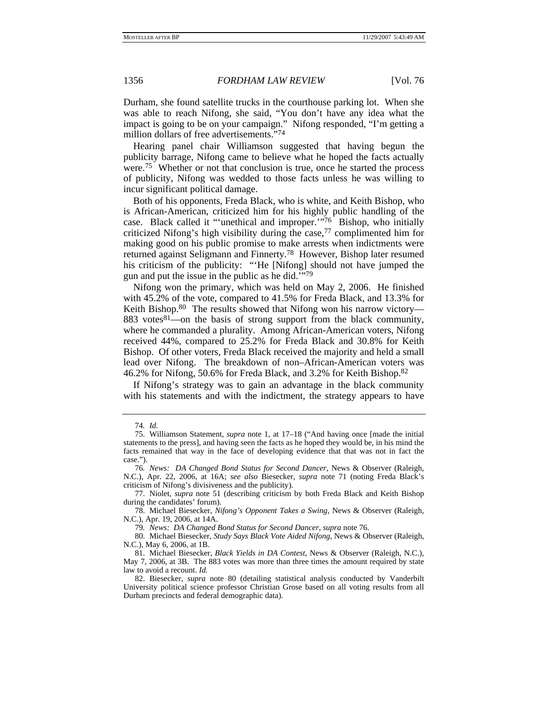Durham, she found satellite trucks in the courthouse parking lot. When she was able to reach Nifong, she said, "You don't have any idea what the impact is going to be on your campaign." Nifong responded, "I'm getting a million dollars of free advertisements."74

Hearing panel chair Williamson suggested that having begun the publicity barrage, Nifong came to believe what he hoped the facts actually were.<sup>75</sup> Whether or not that conclusion is true, once he started the process of publicity, Nifong was wedded to those facts unless he was willing to incur significant political damage.

Both of his opponents, Freda Black, who is white, and Keith Bishop, who is African-American, criticized him for his highly public handling of the case. Black called it "'unethical and improper.'"76 Bishop, who initially criticized Nifong's high visibility during the case, $77$  complimented him for making good on his public promise to make arrests when indictments were returned against Seligmann and Finnerty.78 However, Bishop later resumed his criticism of the publicity: "'He [Nifong] should not have jumped the gun and put the issue in the public as he did.'"79

Nifong won the primary, which was held on May 2, 2006. He finished with 45.2% of the vote, compared to 41.5% for Freda Black, and 13.3% for Keith Bishop.<sup>80</sup> The results showed that Nifong won his narrow victory— 883 votes<sup>81</sup>—on the basis of strong support from the black community, where he commanded a plurality. Among African-American voters, Nifong received 44%, compared to 25.2% for Freda Black and 30.8% for Keith Bishop. Of other voters, Freda Black received the majority and held a small lead over Nifong. The breakdown of non–African-American voters was 46.2% for Nifong, 50.6% for Freda Black, and 3.2% for Keith Bishop.82

If Nifong's strategy was to gain an advantage in the black community with his statements and with the indictment, the strategy appears to have

<sup>74</sup>*. Id.*

 <sup>75.</sup> Williamson Statement, *supra* note 1, at 17–18 ("And having once [made the initial statements to the press], and having seen the facts as he hoped they would be, in his mind the facts remained that way in the face of developing evidence that that was not in fact the case.").

<sup>76</sup>*. News: DA Changed Bond Status for Second Dancer*, News & Observer (Raleigh, N.C.), Apr. 22, 2006, at 16A; *see also* Biesecker, *supra* note 71 (noting Freda Black's criticism of Nifong's divisiveness and the publicity).

 <sup>77.</sup> Niolet, *supra* note 51 (describing criticism by both Freda Black and Keith Bishop during the candidates' forum).

 <sup>78.</sup> Michael Biesecker, *Nifong's Opponent Takes a Swing*, News & Observer (Raleigh, N.C.), Apr. 19, 2006, at 14A.

<sup>79</sup>*. News: DA Changed Bond Status for Second Dancer*, *supra* note 76.

 <sup>80.</sup> Michael Biesecker, *Study Says Black Vote Aided Nifong*, News & Observer (Raleigh, N.C.), May 6, 2006, at 1B.

 <sup>81.</sup> Michael Biesecker, *Black Yields in DA Contest*, News & Observer (Raleigh, N.C.), May 7, 2006, at 3B. The 883 votes was more than three times the amount required by state law to avoid a recount. *Id.*

 <sup>82.</sup> Biesecker, *supra* note 80 (detailing statistical analysis conducted by Vanderbilt University political science professor Christian Grose based on all voting results from all Durham precincts and federal demographic data).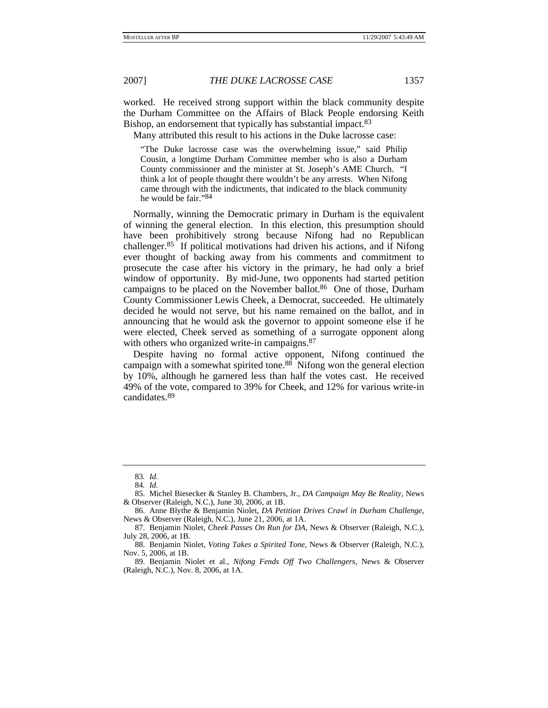worked. He received strong support within the black community despite the Durham Committee on the Affairs of Black People endorsing Keith Bishop, an endorsement that typically has substantial impact.<sup>83</sup>

Many attributed this result to his actions in the Duke lacrosse case:

"The Duke lacrosse case was the overwhelming issue," said Philip Cousin, a longtime Durham Committee member who is also a Durham County commissioner and the minister at St. Joseph's AME Church. "I think a lot of people thought there wouldn't be any arrests. When Nifong came through with the indictments, that indicated to the black community he would be fair."84

Normally, winning the Democratic primary in Durham is the equivalent of winning the general election. In this election, this presumption should have been prohibitively strong because Nifong had no Republican challenger.85 If political motivations had driven his actions, and if Nifong ever thought of backing away from his comments and commitment to prosecute the case after his victory in the primary, he had only a brief window of opportunity. By mid-June, two opponents had started petition campaigns to be placed on the November ballot.<sup>86</sup> One of those, Durham County Commissioner Lewis Cheek, a Democrat, succeeded. He ultimately decided he would not serve, but his name remained on the ballot, and in announcing that he would ask the governor to appoint someone else if he were elected, Cheek served as something of a surrogate opponent along with others who organized write-in campaigns.<sup>87</sup>

Despite having no formal active opponent, Nifong continued the campaign with a somewhat spirited tone.88 Nifong won the general election by 10%, although he garnered less than half the votes cast. He received 49% of the vote, compared to 39% for Cheek, and 12% for various write-in candidates.89

<sup>83</sup>*. Id.*

<sup>84</sup>*. Id.*

 <sup>85.</sup> Michel Biesecker & Stanley B. Chambers, Jr., *DA Campaign May Be Reality*, News & Observer (Raleigh, N.C.), June 30, 2006, at 1B.

 <sup>86.</sup> Anne Blythe & Benjamin Niolet, *DA Petition Drives Crawl in Durham Challenge*, News & Observer (Raleigh, N.C.), June 21, 2006, at 1A.

 <sup>87.</sup> Benjamin Niolet, *Cheek Passes On Run for DA*, News & Observer (Raleigh, N.C.), July 28, 2006, at 1B.

 <sup>88.</sup> Benjamin Niolet, *Voting Takes a Spirited Tone*, News & Observer (Raleigh, N.C.), Nov. 5, 2006, at 1B.

 <sup>89.</sup> Benjamin Niolet et al., *Nifong Fends Off Two Challengers*, News & Observer (Raleigh, N.C.), Nov. 8, 2006, at 1A.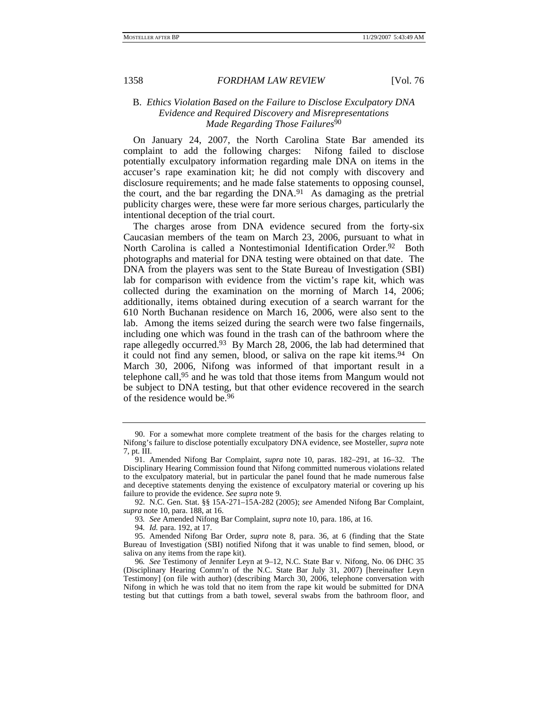## B. *Ethics Violation Based on the Failure to Disclose Exculpatory DNA Evidence and Required Discovery and Misrepresentations Made Regarding Those Failures*<sup>90</sup>

On January 24, 2007, the North Carolina State Bar amended its complaint to add the following charges: Nifong failed to disclose potentially exculpatory information regarding male DNA on items in the accuser's rape examination kit; he did not comply with discovery and disclosure requirements; and he made false statements to opposing counsel, the court, and the bar regarding the DNA.<sup>91</sup> As damaging as the pretrial publicity charges were, these were far more serious charges, particularly the intentional deception of the trial court.

The charges arose from DNA evidence secured from the forty-six Caucasian members of the team on March 23, 2006, pursuant to what in North Carolina is called a Nontestimonial Identification Order.<sup>92</sup> Both photographs and material for DNA testing were obtained on that date. The DNA from the players was sent to the State Bureau of Investigation (SBI) lab for comparison with evidence from the victim's rape kit, which was collected during the examination on the morning of March 14, 2006; additionally, items obtained during execution of a search warrant for the 610 North Buchanan residence on March 16, 2006, were also sent to the lab. Among the items seized during the search were two false fingernails, including one which was found in the trash can of the bathroom where the rape allegedly occurred.93 By March 28, 2006, the lab had determined that it could not find any semen, blood, or saliva on the rape kit items.<sup>94</sup> On March 30, 2006, Nifong was informed of that important result in a telephone call,95 and he was told that those items from Mangum would not be subject to DNA testing, but that other evidence recovered in the search of the residence would be.96

 <sup>90.</sup> For a somewhat more complete treatment of the basis for the charges relating to Nifong's failure to disclose potentially exculpatory DNA evidence, see Mosteller, *supra* note 7, pt. III.

 <sup>91.</sup> Amended Nifong Bar Complaint, *supra* note 10, paras. 182–291, at 16–32. The Disciplinary Hearing Commission found that Nifong committed numerous violations related to the exculpatory material, but in particular the panel found that he made numerous false and deceptive statements denying the existence of exculpatory material or covering up his failure to provide the evidence. *See supra* note 9.

 <sup>92.</sup> N.C. Gen. Stat. §§ 15A-271–15A-282 (2005); *see* Amended Nifong Bar Complaint, *supra* note 10, para. 188, at 16.

<sup>93</sup>*. See* Amended Nifong Bar Complaint, *supra* note 10, para. 186, at 16.

<sup>94</sup>*. Id.* para. 192, at 17.

 <sup>95.</sup> Amended Nifong Bar Order, *supra* note 8, para. 36, at 6 (finding that the State Bureau of Investigation (SBI) notified Nifong that it was unable to find semen, blood, or saliva on any items from the rape kit).

<sup>96</sup>*. See* Testimony of Jennifer Leyn at 9–12, N.C. State Bar v. Nifong, No. 06 DHC 35 (Disciplinary Hearing Comm'n of the N.C. State Bar July 31, 2007) [hereinafter Leyn Testimony] (on file with author) (describing March 30, 2006, telephone conversation with Nifong in which he was told that no item from the rape kit would be submitted for DNA testing but that cuttings from a bath towel, several swabs from the bathroom floor, and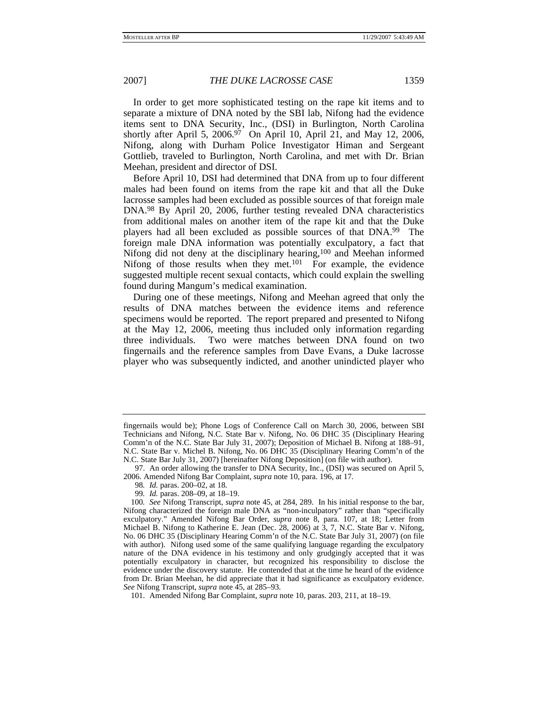In order to get more sophisticated testing on the rape kit items and to separate a mixture of DNA noted by the SBI lab, Nifong had the evidence items sent to DNA Security, Inc., (DSI) in Burlington, North Carolina shortly after April 5,  $2006<sup>97</sup>$  On April 10, April 21, and May 12, 2006, Nifong, along with Durham Police Investigator Himan and Sergeant Gottlieb, traveled to Burlington, North Carolina, and met with Dr. Brian Meehan, president and director of DSI.

Before April 10, DSI had determined that DNA from up to four different males had been found on items from the rape kit and that all the Duke lacrosse samples had been excluded as possible sources of that foreign male DNA.98 By April 20, 2006, further testing revealed DNA characteristics from additional males on another item of the rape kit and that the Duke players had all been excluded as possible sources of that DNA.99 The foreign male DNA information was potentially exculpatory, a fact that Nifong did not deny at the disciplinary hearing,100 and Meehan informed Nifong of those results when they met.<sup>101</sup> For example, the evidence suggested multiple recent sexual contacts, which could explain the swelling found during Mangum's medical examination.

During one of these meetings, Nifong and Meehan agreed that only the results of DNA matches between the evidence items and reference specimens would be reported. The report prepared and presented to Nifong at the May 12, 2006, meeting thus included only information regarding three individuals. Two were matches between DNA found on two fingernails and the reference samples from Dave Evans, a Duke lacrosse player who was subsequently indicted, and another unindicted player who

fingernails would be); Phone Logs of Conference Call on March 30, 2006, between SBI Technicians and Nifong, N.C. State Bar v. Nifong, No. 06 DHC 35 (Disciplinary Hearing Comm'n of the N.C. State Bar July 31, 2007); Deposition of Michael B. Nifong at 188–91, N.C. State Bar v. Michel B. Nifong, No. 06 DHC 35 (Disciplinary Hearing Comm'n of the N.C. State Bar July 31, 2007) [hereinafter Nifong Deposition] (on file with author).

 <sup>97.</sup> An order allowing the transfer to DNA Security, Inc., (DSI) was secured on April 5, 2006. Amended Nifong Bar Complaint, *supra* note 10, para. 196, at 17.

<sup>98</sup>*. Id.* paras. 200–02, at 18.

<sup>99</sup>*. Id.* paras. 208–09, at 18–19.

<sup>100</sup>*. See* Nifong Transcript, *supra* note 45, at 284, 289. In his initial response to the bar, Nifong characterized the foreign male DNA as "non-inculpatory" rather than "specifically exculpatory." Amended Nifong Bar Order, *supra* note 8, para. 107, at 18; Letter from Michael B. Nifong to Katherine E. Jean (Dec. 28, 2006) at 3, 7, N.C. State Bar v. Nifong, No. 06 DHC 35 (Disciplinary Hearing Comm'n of the N.C. State Bar July 31, 2007) (on file with author). Nifong used some of the same qualifying language regarding the exculpatory nature of the DNA evidence in his testimony and only grudgingly accepted that it was potentially exculpatory in character, but recognized his responsibility to disclose the evidence under the discovery statute. He contended that at the time he heard of the evidence from Dr. Brian Meehan, he did appreciate that it had significance as exculpatory evidence. *See* Nifong Transcript, *supra* note 45, at 285–93.

 <sup>101.</sup> Amended Nifong Bar Complaint, *supra* note 10, paras. 203, 211, at 18–19.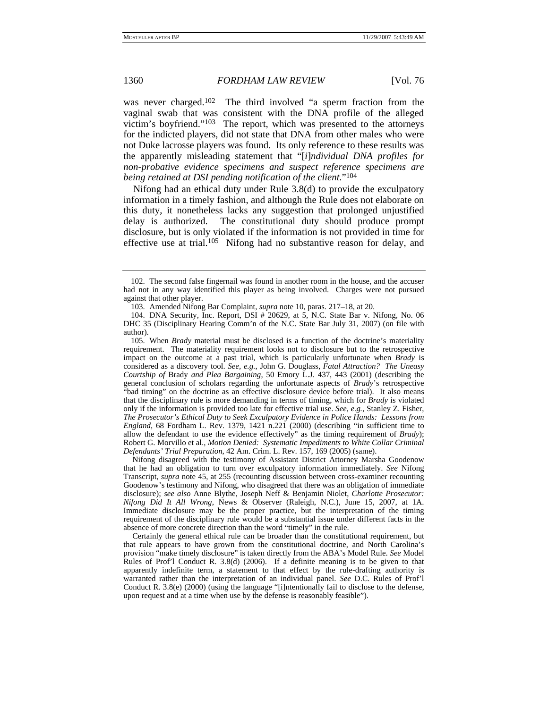was never charged.102 The third involved "a sperm fraction from the vaginal swab that was consistent with the DNA profile of the alleged victim's boyfriend."103 The report, which was presented to the attorneys for the indicted players, did not state that DNA from other males who were not Duke lacrosse players was found. Its only reference to these results was the apparently misleading statement that "[*i*]*ndividual DNA profiles for non-probative evidence specimens and suspect reference specimens are being retained at DSI pending notification of the client*."104

Nifong had an ethical duty under Rule 3.8(d) to provide the exculpatory information in a timely fashion, and although the Rule does not elaborate on this duty, it nonetheless lacks any suggestion that prolonged unjustified delay is authorized. The constitutional duty should produce prompt disclosure, but is only violated if the information is not provided in time for effective use at trial.<sup>105</sup> Nifong had no substantive reason for delay, and

Nifong disagreed with the testimony of Assistant District Attorney Marsha Goodenow that he had an obligation to turn over exculpatory information immediately. *See* Nifong Transcript, *supra* note 45, at 255 (recounting discussion between cross-examiner recounting Goodenow's testimony and Nifong, who disagreed that there was an obligation of immediate disclosure); *see also* Anne Blythe, Joseph Neff & Benjamin Niolet, *Charlotte Prosecutor: Nifong Did It All Wrong*, News & Observer (Raleigh, N.C.), June 15, 2007, at 1A. Immediate disclosure may be the proper practice, but the interpretation of the timing requirement of the disciplinary rule would be a substantial issue under different facts in the absence of more concrete direction than the word "timely" in the rule.

Certainly the general ethical rule can be broader than the constitutional requirement, but that rule appears to have grown from the constitutional doctrine, and North Carolina's provision "make timely disclosure" is taken directly from the ABA's Model Rule. *See* Model Rules of Prof'l Conduct R. 3.8(d) (2006). If a definite meaning is to be given to that apparently indefinite term, a statement to that effect by the rule-drafting authority is warranted rather than the interpretation of an individual panel. *See* D.C. Rules of Prof'l Conduct R. 3.8(e) (2000) (using the language "[i]ntentionally fail to disclose to the defense, upon request and at a time when use by the defense is reasonably feasible").

 <sup>102.</sup> The second false fingernail was found in another room in the house, and the accuser had not in any way identified this player as being involved. Charges were not pursued against that other player.

 <sup>103.</sup> Amended Nifong Bar Complaint, *supra* note 10, paras. 217–18, at 20.

 <sup>104.</sup> DNA Security, Inc. Report, DSI # 20629, at 5, N.C. State Bar v. Nifong, No. 06 DHC 35 (Disciplinary Hearing Comm'n of the N.C. State Bar July 31, 2007) (on file with author).

 <sup>105.</sup> When *Brady* material must be disclosed is a function of the doctrine's materiality requirement. The materiality requirement looks not to disclosure but to the retrospective impact on the outcome at a past trial, which is particularly unfortunate when *Brady* is considered as a discovery tool. *See, e.g.*, John G. Douglass, *Fatal Attraction? The Uneasy Courtship of* Brady *and Plea Bargaining*, 50 Emory L.J. 437, 443 (2001) (describing the general conclusion of scholars regarding the unfortunate aspects of *Brady*'s retrospective "bad timing" on the doctrine as an effective disclosure device before trial). It also means that the disciplinary rule is more demanding in terms of timing, which for *Brady* is violated only if the information is provided too late for effective trial use. *See, e.g.*, Stanley Z. Fisher, *The Prosecutor's Ethical Duty to Seek Exculpatory Evidence in Police Hands: Lessons from England*, 68 Fordham L. Rev. 1379, 1421 n.221 (2000) (describing "in sufficient time to allow the defendant to use the evidence effectively" as the timing requirement of *Brady*); Robert G. Morvillo et al., *Motion Denied: Systematic Impediments to White Collar Criminal Defendants' Trial Preparation*, 42 Am. Crim. L. Rev. 157, 169 (2005) (same).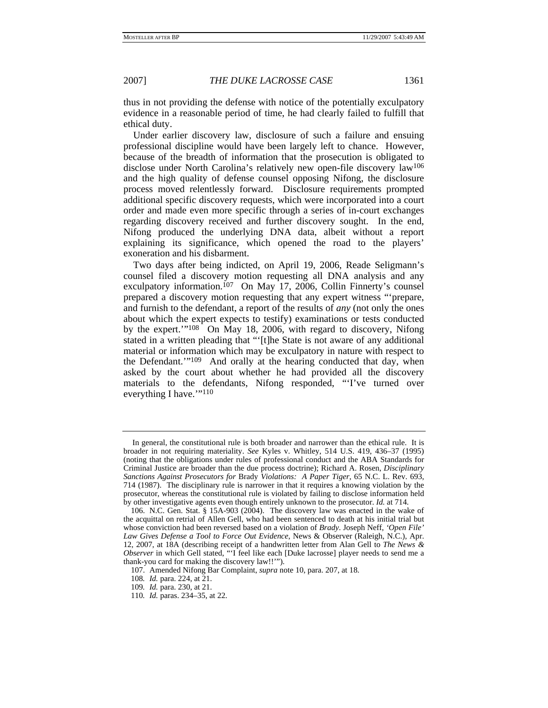thus in not providing the defense with notice of the potentially exculpatory evidence in a reasonable period of time, he had clearly failed to fulfill that ethical duty.

Under earlier discovery law, disclosure of such a failure and ensuing professional discipline would have been largely left to chance. However, because of the breadth of information that the prosecution is obligated to disclose under North Carolina's relatively new open-file discovery law106 and the high quality of defense counsel opposing Nifong, the disclosure process moved relentlessly forward. Disclosure requirements prompted additional specific discovery requests, which were incorporated into a court order and made even more specific through a series of in-court exchanges regarding discovery received and further discovery sought. In the end, Nifong produced the underlying DNA data, albeit without a report explaining its significance, which opened the road to the players' exoneration and his disbarment.

Two days after being indicted, on April 19, 2006, Reade Seligmann's counsel filed a discovery motion requesting all DNA analysis and any exculpatory information.<sup>107</sup> On May 17, 2006, Collin Finnerty's counsel prepared a discovery motion requesting that any expert witness "'prepare, and furnish to the defendant, a report of the results of *any* (not only the ones about which the expert expects to testify) examinations or tests conducted by the expert.""<sup>108</sup> On May 18, 2006, with regard to discovery, Nifong stated in a written pleading that "'[t]he State is not aware of any additional material or information which may be exculpatory in nature with respect to the Defendant.'"109 And orally at the hearing conducted that day, when asked by the court about whether he had provided all the discovery materials to the defendants, Nifong responded, "'I've turned over everything I have."<sup>110</sup>

In general, the constitutional rule is both broader and narrower than the ethical rule. It is broader in not requiring materiality. *See* Kyles v. Whitley, 514 U.S. 419, 436–37 (1995) (noting that the obligations under rules of professional conduct and the ABA Standards for Criminal Justice are broader than the due process doctrine); Richard A. Rosen, *Disciplinary Sanctions Against Prosecutors for* Brady *Violations: A Paper Tiger*, 65 N.C. L. Rev. 693, 714 (1987). The disciplinary rule is narrower in that it requires a knowing violation by the prosecutor, whereas the constitutional rule is violated by failing to disclose information held by other investigative agents even though entirely unknown to the prosecutor. *Id.* at 714.

 <sup>106.</sup> N.C. Gen. Stat. § 15A-903 (2004). The discovery law was enacted in the wake of the acquittal on retrial of Allen Gell, who had been sentenced to death at his initial trial but whose conviction had been reversed based on a violation of *Brady*. Joseph Neff, *'Open File' Law Gives Defense a Tool to Force Out Evidence*, News & Observer (Raleigh, N.C.), Apr. 12, 2007, at 18A (describing receipt of a handwritten letter from Alan Gell to *The News & Observer* in which Gell stated, "'I feel like each [Duke lacrosse] player needs to send me a thank-you card for making the discovery law!!'").

 <sup>107.</sup> Amended Nifong Bar Complaint, *supra* note 10, para. 207, at 18.

<sup>108</sup>*. Id.* para. 224, at 21.

<sup>109</sup>*. Id.* para. 230, at 21.

<sup>110</sup>*. Id.* paras. 234–35, at 22.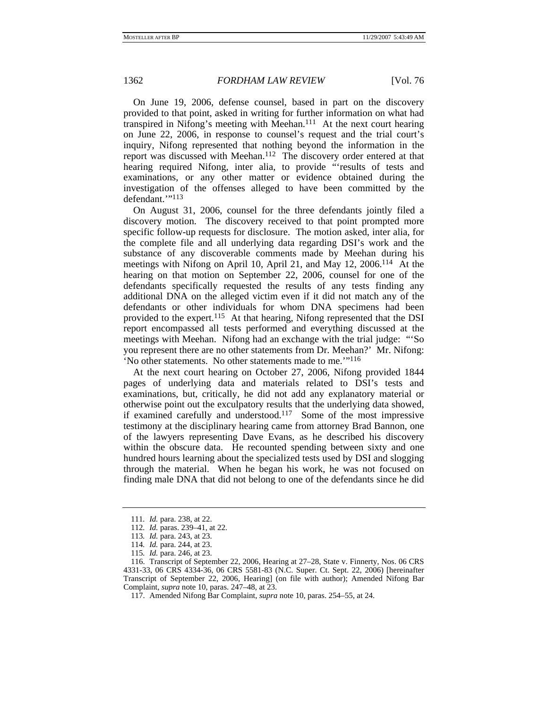On June 19, 2006, defense counsel, based in part on the discovery provided to that point, asked in writing for further information on what had transpired in Nifong's meeting with Meehan.111 At the next court hearing on June 22, 2006, in response to counsel's request and the trial court's inquiry, Nifong represented that nothing beyond the information in the report was discussed with Meehan.112 The discovery order entered at that hearing required Nifong, inter alia, to provide "'results of tests and examinations, or any other matter or evidence obtained during the investigation of the offenses alleged to have been committed by the defendant.'"113

On August 31, 2006, counsel for the three defendants jointly filed a discovery motion. The discovery received to that point prompted more specific follow-up requests for disclosure. The motion asked, inter alia, for the complete file and all underlying data regarding DSI's work and the substance of any discoverable comments made by Meehan during his meetings with Nifong on April 10, April 21, and May 12, 2006.114 At the hearing on that motion on September 22, 2006, counsel for one of the defendants specifically requested the results of any tests finding any additional DNA on the alleged victim even if it did not match any of the defendants or other individuals for whom DNA specimens had been provided to the expert.115 At that hearing, Nifong represented that the DSI report encompassed all tests performed and everything discussed at the meetings with Meehan. Nifong had an exchange with the trial judge: "'So you represent there are no other statements from Dr. Meehan?' Mr. Nifong: 'No other statements. No other statements made to me.'"116

At the next court hearing on October 27, 2006, Nifong provided 1844 pages of underlying data and materials related to DSI's tests and examinations, but, critically, he did not add any explanatory material or otherwise point out the exculpatory results that the underlying data showed, if examined carefully and understood.117 Some of the most impressive testimony at the disciplinary hearing came from attorney Brad Bannon, one of the lawyers representing Dave Evans, as he described his discovery within the obscure data. He recounted spending between sixty and one hundred hours learning about the specialized tests used by DSI and slogging through the material. When he began his work, he was not focused on finding male DNA that did not belong to one of the defendants since he did

<sup>111</sup>*. Id.* para. 238, at 22.

<sup>112</sup>*. Id.* paras. 239–41, at 22.

<sup>113</sup>*. Id.* para. 243, at 23.

<sup>114</sup>*. Id.* para. 244, at 23.

<sup>115</sup>*. Id.* para. 246, at 23.

 <sup>116.</sup> Transcript of September 22, 2006, Hearing at 27–28, State v. Finnerty, Nos. 06 CRS 4331-33, 06 CRS 4334-36, 06 CRS 5581-83 (N.C. Super. Ct. Sept. 22, 2006) [hereinafter Transcript of September 22, 2006, Hearing] (on file with author); Amended Nifong Bar Complaint, *supra* note 10, paras. 247–48, at 23.

 <sup>117.</sup> Amended Nifong Bar Complaint, *supra* note 10, paras. 254–55, at 24.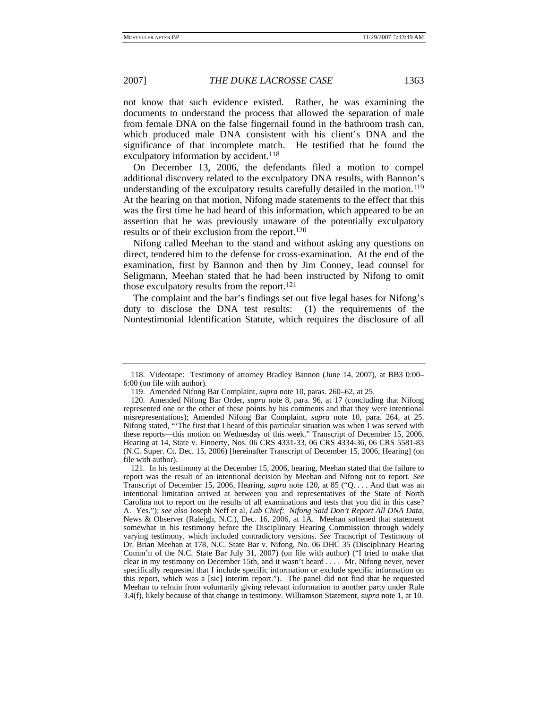not know that such evidence existed. Rather, he was examining the documents to understand the process that allowed the separation of male from female DNA on the false fingernail found in the bathroom trash can, which produced male DNA consistent with his client's DNA and the significance of that incomplete match. He testified that he found the exculpatory information by accident.<sup>118</sup>

On December 13, 2006, the defendants filed a motion to compel additional discovery related to the exculpatory DNA results, with Bannon's understanding of the exculpatory results carefully detailed in the motion.<sup>119</sup> At the hearing on that motion, Nifong made statements to the effect that this was the first time he had heard of this information, which appeared to be an assertion that he was previously unaware of the potentially exculpatory results or of their exclusion from the report.<sup>120</sup>

Nifong called Meehan to the stand and without asking any questions on direct, tendered him to the defense for cross-examination. At the end of the examination, first by Bannon and then by Jim Cooney, lead counsel for Seligmann, Meehan stated that he had been instructed by Nifong to omit those exculpatory results from the report.121

The complaint and the bar's findings set out five legal bases for Nifong's duty to disclose the DNA test results: (1) the requirements of the Nontestimonial Identification Statute, which requires the disclosure of all

 <sup>118.</sup> Videotape: Testimony of attorney Bradley Bannon (June 14, 2007), at BB3 0:00– 6:00 (on file with author).

 <sup>119.</sup> Amended Nifong Bar Complaint, *supra* note 10, paras. 260–62, at 25.

 <sup>120.</sup> Amended Nifong Bar Order, *supra* note 8, para. 96, at 17 (concluding that Nifong represented one or the other of these points by his comments and that they were intentional misrepresentations); Amended Nifong Bar Complaint, *supra* note 10, para. 264, at 25. Nifong stated, "'The first that I heard of this particular situation was when I was served with these reports—this motion on Wednesday of this week." Transcript of December 15, 2006, Hearing at 14, State v. Finnerty, Nos. 06 CRS 4331-33, 06 CRS 4334-36, 06 CRS 5581-83 (N.C. Super. Ct. Dec. 15, 2006) [hereinafter Transcript of December 15, 2006, Hearing] (on file with author).

 <sup>121.</sup> In his testimony at the December 15, 2006, hearing, Meehan stated that the failure to report was the result of an intentional decision by Meehan and Nifong not to report. *See* Transcript of December 15, 2006, Hearing, *supra* note 120, at 85 ("Q. . . . And that was an intentional limitation arrived at between you and representatives of the State of North Carolina not to report on the results of all examinations and tests that you did in this case? A. Yes."); *see also* Joseph Neff et al, *Lab Chief: Nifong Said Don't Report All DNA Data*, News & Observer (Raleigh, N.C.), Dec. 16, 2006, at 1A. Meehan softened that statement somewhat in his testimony before the Disciplinary Hearing Commission through widely varying testimony, which included contradictory versions. *See* Transcript of Testimony of Dr. Brian Meehan at 178, N.C. State Bar v. Nifong, No. 06 DHC 35 (Disciplinary Hearing Comm'n of the N.C. State Bar July 31, 2007) (on file with author) ("I tried to make that clear in my testimony on December 15th, and it wasn't heard . . . . Mr. Nifong never, never specifically requested that I include specific information or exclude specific information on this report, which was a [sic] interim report."). The panel did not find that he requested Meehan to refrain from voluntarily giving relevant information to another party under Rule 3.4(f), likely because of that change in testimony. Williamson Statement, *supra* note 1, at 10.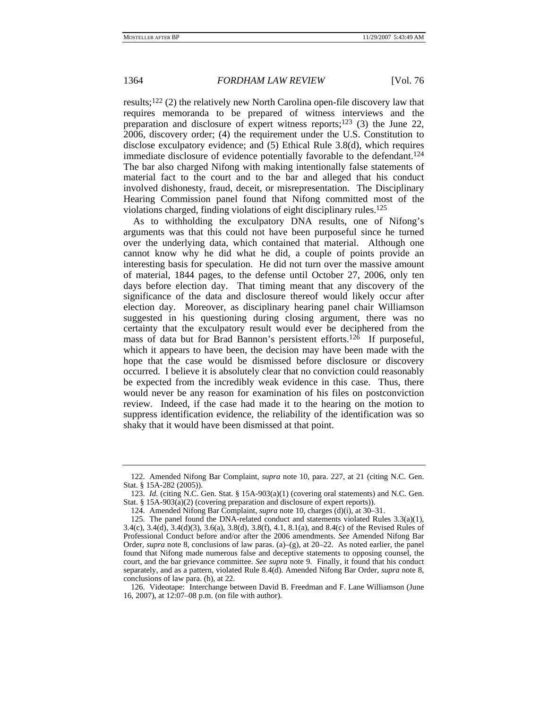results;122 (2) the relatively new North Carolina open-file discovery law that requires memoranda to be prepared of witness interviews and the preparation and disclosure of expert witness reports;<sup>123</sup> (3) the June 22, 2006, discovery order; (4) the requirement under the U.S. Constitution to disclose exculpatory evidence; and (5) Ethical Rule 3.8(d), which requires immediate disclosure of evidence potentially favorable to the defendant.<sup>124</sup> The bar also charged Nifong with making intentionally false statements of material fact to the court and to the bar and alleged that his conduct involved dishonesty, fraud, deceit, or misrepresentation. The Disciplinary Hearing Commission panel found that Nifong committed most of the violations charged, finding violations of eight disciplinary rules.125

As to withholding the exculpatory DNA results, one of Nifong's arguments was that this could not have been purposeful since he turned over the underlying data, which contained that material. Although one cannot know why he did what he did, a couple of points provide an interesting basis for speculation. He did not turn over the massive amount of material, 1844 pages, to the defense until October 27, 2006, only ten days before election day. That timing meant that any discovery of the significance of the data and disclosure thereof would likely occur after election day. Moreover, as disciplinary hearing panel chair Williamson suggested in his questioning during closing argument, there was no certainty that the exculpatory result would ever be deciphered from the mass of data but for Brad Bannon's persistent efforts.126 If purposeful, which it appears to have been, the decision may have been made with the hope that the case would be dismissed before disclosure or discovery occurred. I believe it is absolutely clear that no conviction could reasonably be expected from the incredibly weak evidence in this case. Thus, there would never be any reason for examination of his files on postconviction review. Indeed, if the case had made it to the hearing on the motion to suppress identification evidence, the reliability of the identification was so shaky that it would have been dismissed at that point.

 <sup>122.</sup> Amended Nifong Bar Complaint, *supra* note 10, para. 227, at 21 (citing N.C. Gen. Stat. § 15A-282 (2005)).

 <sup>123.</sup> *Id.* (citing N.C. Gen. Stat. § 15A-903(a)(1) (covering oral statements) and N.C. Gen. Stat. § 15A-903(a)(2) (covering preparation and disclosure of expert reports)).

 <sup>124.</sup> Amended Nifong Bar Complaint, *supra* note 10, charges (d)(i), at 30–31.

<sup>125.</sup> The panel found the DNA-related conduct and statements violated Rules  $3.3(a)(1)$ , 3.4(c), 3.4(d), 3.4(d)(3), 3.6(a), 3.8(d), 3.8(f), 4.1, 8.1(a), and 8.4(c) of the Revised Rules of Professional Conduct before and/or after the 2006 amendments. *See* Amended Nifong Bar Order, *supra* note 8, conclusions of law paras. (a)–(g), at 20–22. As noted earlier, the panel found that Nifong made numerous false and deceptive statements to opposing counsel, the court, and the bar grievance committee. *See supra* note 9. Finally, it found that his conduct separately, and as a pattern, violated Rule 8.4(d). Amended Nifong Bar Order, *supra* note 8, conclusions of law para. (h), at 22.

 <sup>126.</sup> Videotape: Interchange between David B. Freedman and F. Lane Williamson (June 16, 2007), at 12:07–08 p.m. (on file with author).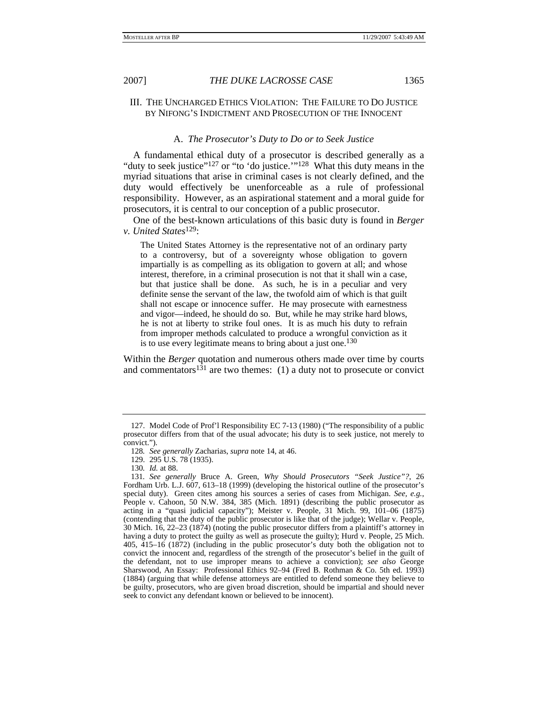## III. THE UNCHARGED ETHICS VIOLATION: THE FAILURE TO DO JUSTICE BY NIFONG'S INDICTMENT AND PROSECUTION OF THE INNOCENT

### A. *The Prosecutor's Duty to Do or to Seek Justice*

A fundamental ethical duty of a prosecutor is described generally as a "duty to seek justice"<sup>127</sup> or "to 'do justice."<sup>128</sup> What this duty means in the myriad situations that arise in criminal cases is not clearly defined, and the duty would effectively be unenforceable as a rule of professional responsibility. However, as an aspirational statement and a moral guide for prosecutors, it is central to our conception of a public prosecutor.

One of the best-known articulations of this basic duty is found in *Berger v. United States*129:

The United States Attorney is the representative not of an ordinary party to a controversy, but of a sovereignty whose obligation to govern impartially is as compelling as its obligation to govern at all; and whose interest, therefore, in a criminal prosecution is not that it shall win a case, but that justice shall be done. As such, he is in a peculiar and very definite sense the servant of the law, the twofold aim of which is that guilt shall not escape or innocence suffer. He may prosecute with earnestness and vigor—indeed, he should do so. But, while he may strike hard blows, he is not at liberty to strike foul ones. It is as much his duty to refrain from improper methods calculated to produce a wrongful conviction as it is to use every legitimate means to bring about a just one.<sup>130</sup>

Within the *Berger* quotation and numerous others made over time by courts and commentators $131$  are two themes: (1) a duty not to prosecute or convict

 <sup>127.</sup> Model Code of Prof'l Responsibility EC 7-13 (1980) ("The responsibility of a public prosecutor differs from that of the usual advocate; his duty is to seek justice, not merely to convict.").

<sup>128</sup>*. See generally* Zacharias, *supra* note 14, at 46.

 <sup>129. 295</sup> U.S. 78 (1935).

<sup>130</sup>*. Id.* at 88.

<sup>131</sup>*. See generally* Bruce A. Green, *Why Should Prosecutors "Seek Justice"?*, 26 Fordham Urb. L.J. 607, 613–18 (1999) (developing the historical outline of the prosecutor's special duty). Green cites among his sources a series of cases from Michigan. *See, e.g.*, People v. Cahoon, 50 N.W. 384, 385 (Mich. 1891) (describing the public prosecutor as acting in a "quasi judicial capacity"); Meister v. People, 31 Mich. 99, 101–06 (1875) (contending that the duty of the public prosecutor is like that of the judge); Wellar v. People, 30 Mich. 16, 22–23 (1874) (noting the public prosecutor differs from a plaintiff's attorney in having a duty to protect the guilty as well as prosecute the guilty); Hurd v. People, 25 Mich. 405, 415–16 (1872) (including in the public prosecutor's duty both the obligation not to convict the innocent and, regardless of the strength of the prosecutor's belief in the guilt of the defendant, not to use improper means to achieve a conviction); *see also* George Sharswood, An Essay: Professional Ethics 92–94 (Fred B. Rothman & Co. 5th ed. 1993) (1884) (arguing that while defense attorneys are entitled to defend someone they believe to be guilty, prosecutors, who are given broad discretion, should be impartial and should never seek to convict any defendant known or believed to be innocent).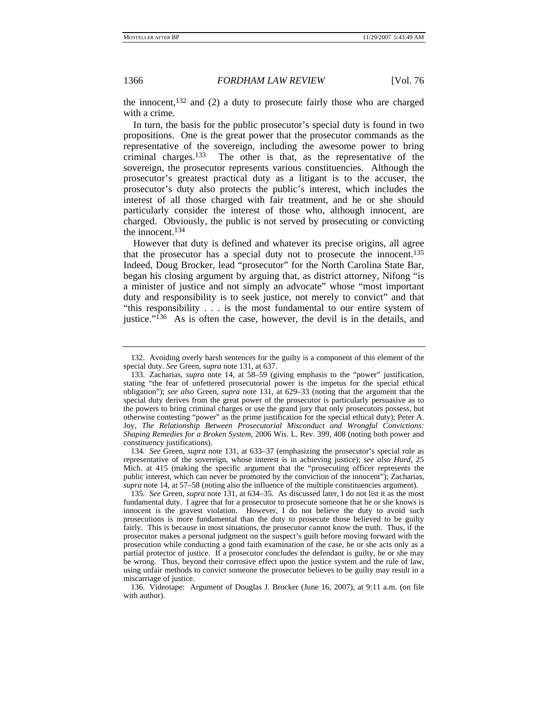the innocent, $132$  and (2) a duty to prosecute fairly those who are charged with a crime.

In turn, the basis for the public prosecutor's special duty is found in two propositions. One is the great power that the prosecutor commands as the representative of the sovereign, including the awesome power to bring criminal charges.133 The other is that, as the representative of the sovereign, the prosecutor represents various constituencies. Although the prosecutor's greatest practical duty as a litigant is to the accuser, the prosecutor's duty also protects the public's interest, which includes the interest of all those charged with fair treatment, and he or she should particularly consider the interest of those who, although innocent, are charged. Obviously, the public is not served by prosecuting or convicting the innocent.134

However that duty is defined and whatever its precise origins, all agree that the prosecutor has a special duty not to prosecute the innocent.135 Indeed, Doug Brocker, lead "prosecutor" for the North Carolina State Bar, began his closing argument by arguing that, as district attorney, Nifong "is a minister of justice and not simply an advocate" whose "most important duty and responsibility is to seek justice, not merely to convict" and that "this responsibility . . . is the most fundamental to our entire system of justice."136 As is often the case, however, the devil is in the details, and

134*. See* Green, *supra* note 131, at 633–37 (emphasizing the prosecutor's special role as representative of the sovereign, whose interest is in achieving justice); *see also Hurd*, 25 Mich. at 415 (making the specific argument that the "prosecuting officer represents the public interest, which can never be promoted by the conviction of the innocent"); Zacharias, *supra* note 14, at 57–58 (noting also the influence of the multiple constituencies argument).

 136. Videotape: Argument of Douglas J. Brocker (June 16, 2007), at 9:11 a.m. (on file with author).

 <sup>132.</sup> Avoiding overly harsh sentences for the guilty is a component of this element of the special duty. *See* Green, *supra* note 131, at 637.

 <sup>133.</sup> Zacharias, *supra* note 14, at 58–59 (giving emphasis to the "power" justification, stating "the fear of unfettered prosecutorial power is the impetus for the special ethical obligation"); *see also* Green, *supra* note 131, at 629–33 (noting that the argument that the special duty derives from the great power of the prosecutor is particularly persuasive as to the powers to bring criminal charges or use the grand jury that only prosecutors possess, but otherwise contesting "power" as the prime justification for the special ethical duty); Peter A. Joy, *The Relationship Between Prosecutorial Misconduct and Wrongful Convictions: Shaping Remedies for a Broken System*, 2006 Wis. L. Rev. 399, 408 (noting both power and constituency justifications).

<sup>135</sup>*. See* Green, *supra* note 131, at 634–35. As discussed later, I do not list it as the most fundamental duty. I agree that for a prosecutor to prosecute someone that he or she knows is innocent is the gravest violation. However, I do not believe the duty to avoid such prosecutions is more fundamental than the duty to prosecute those believed to be guilty fairly. This is because in most situations, the prosecutor cannot know the truth. Thus, if the prosecutor makes a personal judgment on the suspect's guilt before moving forward with the prosecution while conducting a good faith examination of the case, he or she acts only as a partial protector of justice. If a prosecutor concludes the defendant is guilty, he or she may be wrong. Thus, beyond their corrosive effect upon the justice system and the rule of law, using unfair methods to convict someone the prosecutor believes to be guilty may result in a miscarriage of justice.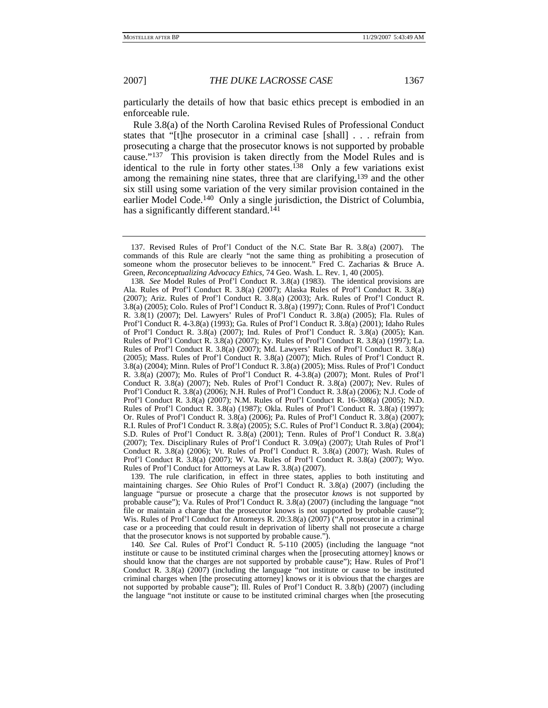particularly the details of how that basic ethics precept is embodied in an enforceable rule.

Rule 3.8(a) of the North Carolina Revised Rules of Professional Conduct states that "[t]he prosecutor in a criminal case [shall] . . . refrain from prosecuting a charge that the prosecutor knows is not supported by probable cause."137 This provision is taken directly from the Model Rules and is identical to the rule in forty other states.<sup>138</sup> Only a few variations exist among the remaining nine states, three that are clarifying,139 and the other six still using some variation of the very similar provision contained in the earlier Model Code.140 Only a single jurisdiction, the District of Columbia, has a significantly different standard.<sup>141</sup>

 139. The rule clarification, in effect in three states, applies to both instituting and maintaining charges. *See* Ohio Rules of Prof'l Conduct R. 3.8(a) (2007) (including the language "pursue or prosecute a charge that the prosecutor *knows* is not supported by probable cause"); Va. Rules of Prof'l Conduct R. 3.8(a) (2007) (including the language "not file or maintain a charge that the prosecutor knows is not supported by probable cause"); Wis. Rules of Prof'l Conduct for Attorneys R. 20:3.8(a) (2007) ("A prosecutor in a criminal case or a proceeding that could result in deprivation of liberty shall not prosecute a charge that the prosecutor knows is not supported by probable cause.").

140*. See* Cal. Rules of Prof'l Conduct R. 5-110 (2005) (including the language "not institute or cause to be instituted criminal charges when the [prosecuting attorney] knows or should know that the charges are not supported by probable cause"); Haw. Rules of Prof'l Conduct R. 3.8(a) (2007) (including the language "not institute or cause to be instituted criminal charges when [the prosecuting attorney] knows or it is obvious that the charges are not supported by probable cause"); Ill. Rules of Prof'l Conduct R. 3.8(b) (2007) (including the language "not institute or cause to be instituted criminal charges when [the prosecuting

 <sup>137.</sup> Revised Rules of Prof'l Conduct of the N.C. State Bar R. 3.8(a) (2007). The commands of this Rule are clearly "not the same thing as prohibiting a prosecution of someone whom the prosecutor believes to be innocent." Fred C. Zacharias & Bruce A. Green, *Reconceptualizing Advocacy Ethics*, 74 Geo. Wash. L. Rev. 1, 40 (2005).

<sup>138</sup>*. See* Model Rules of Prof'l Conduct R. 3.8(a) (1983). The identical provisions are Ala. Rules of Prof'l Conduct R. 3.8(a) (2007); Alaska Rules of Prof'l Conduct R. 3.8(a) (2007); Ariz. Rules of Prof'l Conduct R. 3.8(a) (2003); Ark. Rules of Prof'l Conduct R. 3.8(a) (2005); Colo. Rules of Prof'l Conduct R. 3.8(a) (1997); Conn. Rules of Prof'l Conduct R. 3.8(1) (2007); Del. Lawyers' Rules of Prof'l Conduct R. 3.8(a) (2005); Fla. Rules of Prof'l Conduct R. 4-3.8(a) (1993); Ga. Rules of Prof'l Conduct R. 3.8(a) (2001); Idaho Rules of Prof'l Conduct R. 3.8(a) (2007); Ind. Rules of Prof'l Conduct R. 3.8(a) (2005); Kan. Rules of Prof'l Conduct R. 3.8(a) (2007); Ky. Rules of Prof'l Conduct R. 3.8(a) (1997); La. Rules of Prof'l Conduct R. 3.8(a) (2007); Md. Lawyers' Rules of Prof'l Conduct R. 3.8(a) (2005); Mass. Rules of Prof'l Conduct R. 3.8(a) (2007); Mich. Rules of Prof'l Conduct R. 3.8(a) (2004); Minn. Rules of Prof'l Conduct R. 3.8(a) (2005); Miss. Rules of Prof'l Conduct R. 3.8(a) (2007); Mo. Rules of Prof'l Conduct R. 4-3.8(a) (2007); Mont. Rules of Prof'l Conduct R. 3.8(a) (2007); Neb. Rules of Prof'l Conduct R. 3.8(a) (2007); Nev. Rules of Prof'l Conduct R. 3.8(a) (2006); N.H. Rules of Prof'l Conduct R. 3.8(a) (2006); N.J. Code of Prof'l Conduct R. 3.8(a) (2007); N.M. Rules of Prof'l Conduct R. 16-308(a) (2005); N.D. Rules of Prof'l Conduct R. 3.8(a) (1987); Okla. Rules of Prof'l Conduct R. 3.8(a) (1997); Or. Rules of Prof'l Conduct R. 3.8(a) (2006); Pa. Rules of Prof'l Conduct R. 3.8(a) (2007); R.I. Rules of Prof'l Conduct R. 3.8(a) (2005); S.C. Rules of Prof'l Conduct R. 3.8(a) (2004); S.D. Rules of Prof'l Conduct R. 3.8(a) (2001); Tenn. Rules of Prof'l Conduct R. 3.8(a) (2007); Tex. Disciplinary Rules of Prof'l Conduct R. 3.09(a) (2007); Utah Rules of Prof'l Conduct R. 3.8(a) (2006); Vt. Rules of Prof'l Conduct R. 3.8(a) (2007); Wash. Rules of Prof'l Conduct R. 3.8(a) (2007); W. Va. Rules of Prof'l Conduct R. 3.8(a) (2007); Wyo. Rules of Prof'l Conduct for Attorneys at Law R. 3.8(a) (2007).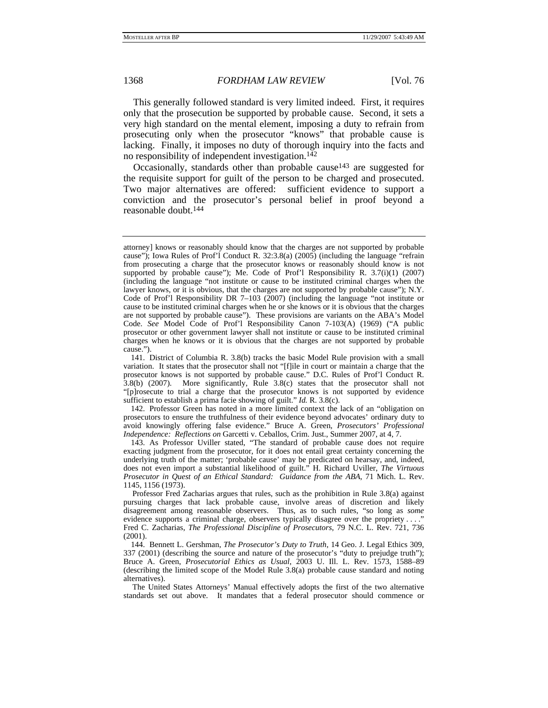This generally followed standard is very limited indeed. First, it requires only that the prosecution be supported by probable cause. Second, it sets a very high standard on the mental element, imposing a duty to refrain from prosecuting only when the prosecutor "knows" that probable cause is lacking. Finally, it imposes no duty of thorough inquiry into the facts and no responsibility of independent investigation.<sup>142</sup>

Occasionally, standards other than probable cause<sup>143</sup> are suggested for the requisite support for guilt of the person to be charged and prosecuted. Two major alternatives are offered: sufficient evidence to support a conviction and the prosecutor's personal belief in proof beyond a reasonable doubt.144

 142. Professor Green has noted in a more limited context the lack of an "obligation on prosecutors to ensure the truthfulness of their evidence beyond advocates' ordinary duty to avoid knowingly offering false evidence." Bruce A. Green, *Prosecutors' Professional Independence: Reflections on* Garcetti v. Ceballos, Crim. Just., Summer 2007, at 4, 7.

 143. As Professor Uviller stated, "The standard of probable cause does not require exacting judgment from the prosecutor, for it does not entail great certainty concerning the underlying truth of the matter; 'probable cause' may be predicated on hearsay, and, indeed, does not even import a substantial likelihood of guilt." H. Richard Uviller, *The Virtuous Prosecutor in Quest of an Ethical Standard: Guidance from the ABA*, 71 Mich. L. Rev. 1145, 1156 (1973).

The United States Attorneys' Manual effectively adopts the first of the two alternative standards set out above. It mandates that a federal prosecutor should commence or

attorney] knows or reasonably should know that the charges are not supported by probable cause"); Iowa Rules of Prof'l Conduct R. 32:3.8(a) (2005) (including the language "refrain from prosecuting a charge that the prosecutor knows or reasonably should know is not supported by probable cause"); Me. Code of Prof'l Responsibility R. 3.7(i)(1) (2007) (including the language "not institute or cause to be instituted criminal charges when the lawyer knows, or it is obvious, that the charges are not supported by probable cause"); N.Y. Code of Prof'l Responsibility DR 7–103 (2007) (including the language "not institute or cause to be instituted criminal charges when he or she knows or it is obvious that the charges are not supported by probable cause"). These provisions are variants on the ABA's Model Code. *See* Model Code of Prof'l Responsibility Canon 7-103(A) (1969) ("A public prosecutor or other government lawyer shall not institute or cause to be instituted criminal charges when he knows or it is obvious that the charges are not supported by probable cause.").

 <sup>141.</sup> District of Columbia R. 3.8(b) tracks the basic Model Rule provision with a small variation. It states that the prosecutor shall not "[f]ile in court or maintain a charge that the prosecutor knows is not supported by probable cause." D.C. Rules of Prof'l Conduct R. 3.8(b) (2007). More significantly, Rule 3.8(c) states that the prosecutor shall not "[p]rosecute to trial a charge that the prosecutor knows is not supported by evidence sufficient to establish a prima facie showing of guilt." *Id.* R. 3.8(c).

Professor Fred Zacharias argues that rules, such as the prohibition in Rule 3.8(a) against pursuing charges that lack probable cause, involve areas of discretion and likely disagreement among reasonable observers. Thus, as to such rules, "so long as *some* evidence supports a criminal charge, observers typically disagree over the propriety . . . . Fred C. Zacharias, *The Professional Discipline of Prosecutors*, 79 N.C. L. Rev. 721, 736 (2001).

 <sup>144.</sup> Bennett L. Gershman, *The Prosecutor's Duty to Truth*, 14 Geo. J. Legal Ethics 309, 337 (2001) (describing the source and nature of the prosecutor's "duty to prejudge truth"); Bruce A. Green, *Prosecutorial Ethics as Usual*, 2003 U. Ill. L. Rev. 1573, 1588–89 (describing the limited scope of the Model Rule 3.8(a) probable cause standard and noting alternatives).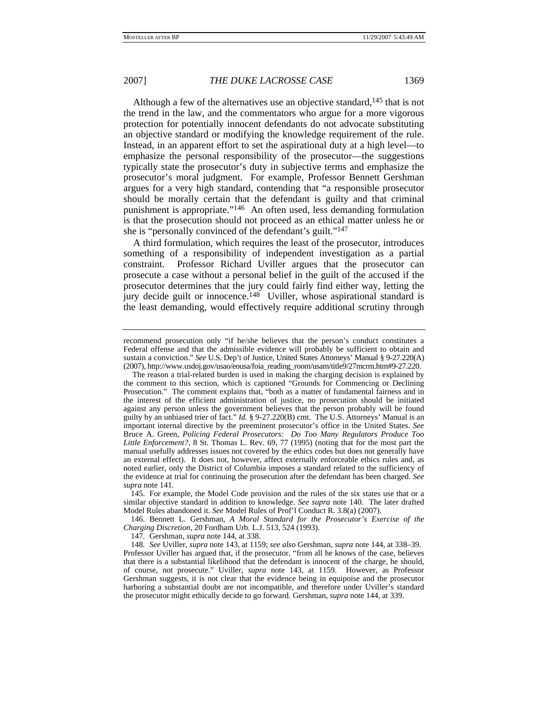Although a few of the alternatives use an objective standard,<sup>145</sup> that is not the trend in the law, and the commentators who argue for a more vigorous protection for potentially innocent defendants do not advocate substituting an objective standard or modifying the knowledge requirement of the rule. Instead, in an apparent effort to set the aspirational duty at a high level—to emphasize the personal responsibility of the prosecutor—the suggestions typically state the prosecutor's duty in subjective terms and emphasize the prosecutor's moral judgment. For example, Professor Bennett Gershman argues for a very high standard, contending that "a responsible prosecutor should be morally certain that the defendant is guilty and that criminal punishment is appropriate."146 An often used, less demanding formulation is that the prosecution should not proceed as an ethical matter unless he or she is "personally convinced of the defendant's guilt."147

A third formulation, which requires the least of the prosecutor, introduces something of a responsibility of independent investigation as a partial constraint. Professor Richard Uviller argues that the prosecutor can prosecute a case without a personal belief in the guilt of the accused if the prosecutor determines that the jury could fairly find either way, letting the jury decide guilt or innocence.148 Uviller, whose aspirational standard is the least demanding, would effectively require additional scrutiny through

 146. Bennett L. Gershman, *A Moral Standard for the Prosecutor's Exercise of the Charging Discretion*, 20 Fordham Urb. L.J. 513, 524 (1993).

147. Gershman, *supra* note 144, at 338.

148*. See* Uviller, *supra* note 143, at 1159; *see also* Gershman, *supra* note 144, at 338–39. Professor Uviller has argued that, if the prosecutor, "from all he knows of the case, believes that there is a substantial likelihood that the defendant is innocent of the charge, he should, of course, not prosecute." Uviller, *supra* note 143, at 1159. However, as Professor Gershman suggests, it is not clear that the evidence being in equipoise and the prosecutor harboring a substantial doubt are not incompatible, and therefore under Uviller's standard the prosecutor might ethically decide to go forward. Gershman, *supra* note 144, at 339.

recommend prosecution only "if he/she believes that the person's conduct constitutes a Federal offense and that the admissible evidence will probably be sufficient to obtain and sustain a conviction." *See* U.S. Dep't of Justice, United States Attorneys' Manual § 9-27.220(A) (2007), http://www.usdoj.gov/usao/eousa/foia\_reading\_room/usam/title9/27mcrm.htm#9-27.220.

The reason a trial-related burden is used in making the charging decision is explained by the comment to this section, which is captioned "Grounds for Commencing or Declining Prosecution." The comment explains that, "both as a matter of fundamental fairness and in the interest of the efficient administration of justice, no prosecution should be initiated against any person unless the government believes that the person probably will be found guilty by an unbiased trier of fact." *Id.* § 9-27.220(B) cmt. The U.S. Attorneys' Manual is an important internal directive by the preeminent prosecutor's office in the United States. *See* Bruce A. Green, *Policing Federal Prosecutors: Do Too Many Regulators Produce Too Little Enforcement?*, 8 St. Thomas L. Rev. 69, 77 (1995) (noting that for the most part the manual usefully addresses issues not covered by the ethics codes but does not generally have an external effect). It does not, however, affect externally enforceable ethics rules and, as noted earlier, only the District of Columbia imposes a standard related to the sufficiency of the evidence at trial for continuing the prosecution after the defendant has been charged. *See supra* note 141.

 <sup>145.</sup> For example, the Model Code provision and the rules of the six states use that or a similar objective standard in addition to knowledge. *See supra* note 140. The later drafted Model Rules abandoned it. *See* Model Rules of Prof'l Conduct R. 3.8(a) (2007).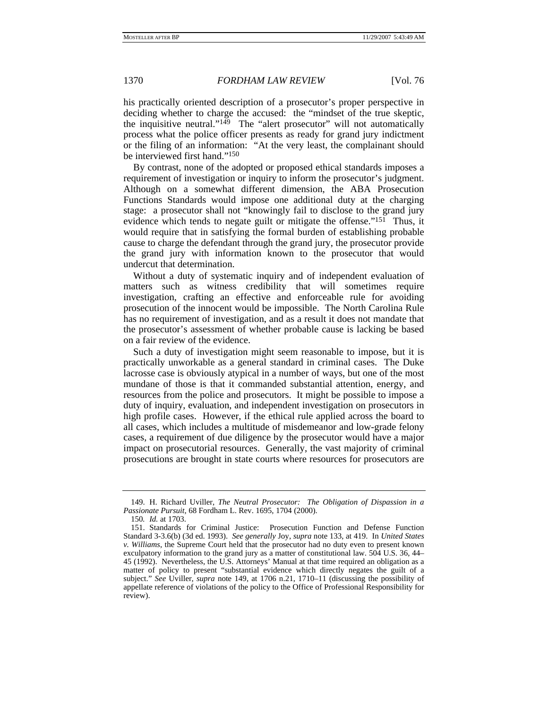his practically oriented description of a prosecutor's proper perspective in deciding whether to charge the accused: the "mindset of the true skeptic, the inquisitive neutral." $149$  The "alert prosecutor" will not automatically process what the police officer presents as ready for grand jury indictment or the filing of an information: "At the very least, the complainant should be interviewed first hand."150

By contrast, none of the adopted or proposed ethical standards imposes a requirement of investigation or inquiry to inform the prosecutor's judgment. Although on a somewhat different dimension, the ABA Prosecution Functions Standards would impose one additional duty at the charging stage: a prosecutor shall not "knowingly fail to disclose to the grand jury evidence which tends to negate guilt or mitigate the offense."<sup>151</sup> Thus, it would require that in satisfying the formal burden of establishing probable cause to charge the defendant through the grand jury, the prosecutor provide the grand jury with information known to the prosecutor that would undercut that determination.

Without a duty of systematic inquiry and of independent evaluation of matters such as witness credibility that will sometimes require investigation, crafting an effective and enforceable rule for avoiding prosecution of the innocent would be impossible. The North Carolina Rule has no requirement of investigation, and as a result it does not mandate that the prosecutor's assessment of whether probable cause is lacking be based on a fair review of the evidence.

Such a duty of investigation might seem reasonable to impose, but it is practically unworkable as a general standard in criminal cases. The Duke lacrosse case is obviously atypical in a number of ways, but one of the most mundane of those is that it commanded substantial attention, energy, and resources from the police and prosecutors. It might be possible to impose a duty of inquiry, evaluation, and independent investigation on prosecutors in high profile cases. However, if the ethical rule applied across the board to all cases, which includes a multitude of misdemeanor and low-grade felony cases, a requirement of due diligence by the prosecutor would have a major impact on prosecutorial resources. Generally, the vast majority of criminal prosecutions are brought in state courts where resources for prosecutors are

 <sup>149.</sup> H. Richard Uviller, *The Neutral Prosecutor: The Obligation of Dispassion in a Passionate Pursuit*, 68 Fordham L. Rev. 1695, 1704 (2000).

<sup>150</sup>*. Id.* at 1703.

 <sup>151.</sup> Standards for Criminal Justice: Prosecution Function and Defense Function Standard 3-3.6(b) (3d ed. 1993). *See generally* Joy, *supra* note 133, at 419. In *United States v. Williams*, the Supreme Court held that the prosecutor had no duty even to present known exculpatory information to the grand jury as a matter of constitutional law. 504 U.S. 36, 44– 45 (1992). Nevertheless, the U.S. Attorneys' Manual at that time required an obligation as a matter of policy to present "substantial evidence which directly negates the guilt of a subject." *See* Uviller, *supra* note 149, at 1706 n.21, 1710–11 (discussing the possibility of appellate reference of violations of the policy to the Office of Professional Responsibility for review).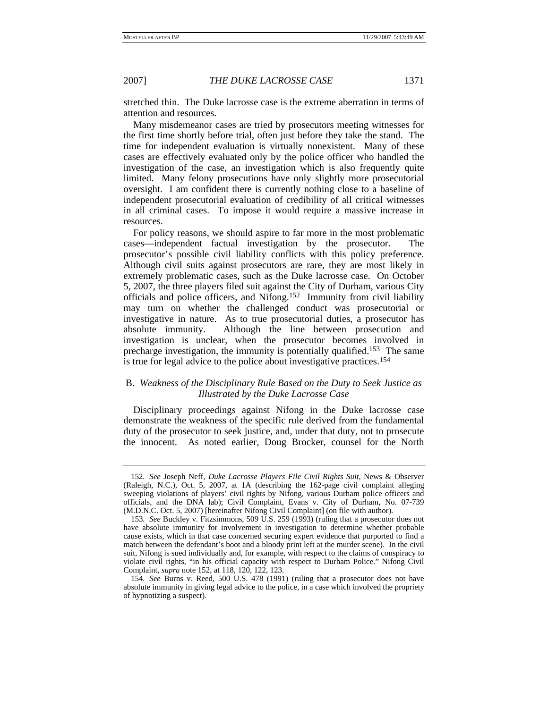stretched thin. The Duke lacrosse case is the extreme aberration in terms of attention and resources.

Many misdemeanor cases are tried by prosecutors meeting witnesses for the first time shortly before trial, often just before they take the stand. The time for independent evaluation is virtually nonexistent. Many of these cases are effectively evaluated only by the police officer who handled the investigation of the case, an investigation which is also frequently quite limited. Many felony prosecutions have only slightly more prosecutorial oversight. I am confident there is currently nothing close to a baseline of independent prosecutorial evaluation of credibility of all critical witnesses in all criminal cases. To impose it would require a massive increase in resources.

For policy reasons, we should aspire to far more in the most problematic cases—independent factual investigation by the prosecutor. The prosecutor's possible civil liability conflicts with this policy preference. Although civil suits against prosecutors are rare, they are most likely in extremely problematic cases, such as the Duke lacrosse case. On October 5, 2007, the three players filed suit against the City of Durham, various City officials and police officers, and Nifong.152 Immunity from civil liability may turn on whether the challenged conduct was prosecutorial or investigative in nature. As to true prosecutorial duties, a prosecutor has absolute immunity. Although the line between prosecution and investigation is unclear, when the prosecutor becomes involved in precharge investigation, the immunity is potentially qualified.153 The same is true for legal advice to the police about investigative practices.154

## B. *Weakness of the Disciplinary Rule Based on the Duty to Seek Justice as Illustrated by the Duke Lacrosse Case*

Disciplinary proceedings against Nifong in the Duke lacrosse case demonstrate the weakness of the specific rule derived from the fundamental duty of the prosecutor to seek justice, and, under that duty, not to prosecute the innocent. As noted earlier, Doug Brocker, counsel for the North

<sup>152</sup>*. See* Joseph Neff, *Duke Lacrosse Players File Civil Rights Suit*, News & Observer (Raleigh, N.C.), Oct. 5, 2007, at 1A (describing the 162-page civil complaint alleging sweeping violations of players' civil rights by Nifong, various Durham police officers and officials, and the DNA lab); Civil Complaint, Evans v. City of Durham, No. 07-739 (M.D.N.C. Oct. 5, 2007) [hereinafter Nifong Civil Complaint] (on file with author).

<sup>153</sup>*. See* Buckley v. Fitzsimmons, 509 U.S. 259 (1993) (ruling that a prosecutor does not have absolute immunity for involvement in investigation to determine whether probable cause exists, which in that case concerned securing expert evidence that purported to find a match between the defendant's boot and a bloody print left at the murder scene). In the civil suit, Nifong is sued individually and, for example, with respect to the claims of conspiracy to violate civil rights, "in his official capacity with respect to Durham Police." Nifong Civil Complaint, *supra* note 152, at 118, 120, 122, 123.

<sup>154</sup>*. See* Burns v. Reed, 500 U.S. 478 (1991) (ruling that a prosecutor does not have absolute immunity in giving legal advice to the police, in a case which involved the propriety of hypnotizing a suspect).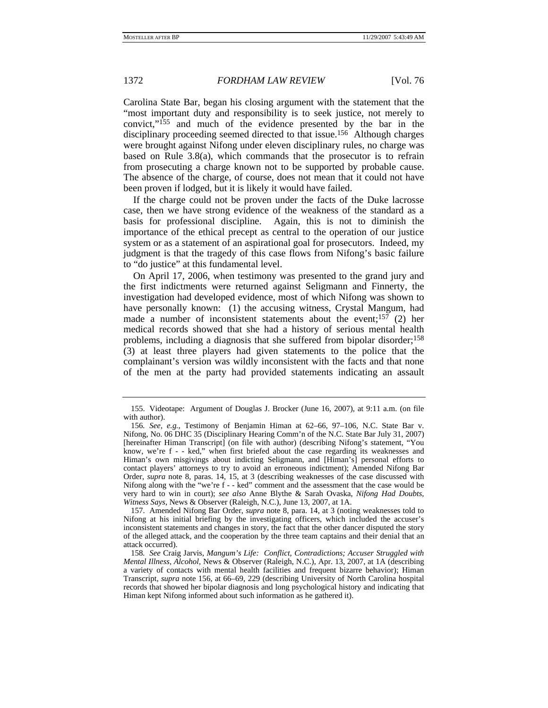Carolina State Bar, began his closing argument with the statement that the "most important duty and responsibility is to seek justice, not merely to convict,"155 and much of the evidence presented by the bar in the disciplinary proceeding seemed directed to that issue.156 Although charges were brought against Nifong under eleven disciplinary rules, no charge was based on Rule 3.8(a), which commands that the prosecutor is to refrain from prosecuting a charge known not to be supported by probable cause. The absence of the charge, of course, does not mean that it could not have been proven if lodged, but it is likely it would have failed.

If the charge could not be proven under the facts of the Duke lacrosse case, then we have strong evidence of the weakness of the standard as a basis for professional discipline. Again, this is not to diminish the importance of the ethical precept as central to the operation of our justice system or as a statement of an aspirational goal for prosecutors. Indeed, my judgment is that the tragedy of this case flows from Nifong's basic failure to "do justice" at this fundamental level.

On April 17, 2006, when testimony was presented to the grand jury and the first indictments were returned against Seligmann and Finnerty, the investigation had developed evidence, most of which Nifong was shown to have personally known: (1) the accusing witness, Crystal Mangum, had made a number of inconsistent statements about the event;<sup>157</sup> (2) her medical records showed that she had a history of serious mental health problems, including a diagnosis that she suffered from bipolar disorder;158 (3) at least three players had given statements to the police that the complainant's version was wildly inconsistent with the facts and that none of the men at the party had provided statements indicating an assault

 <sup>155.</sup> Videotape: Argument of Douglas J. Brocker (June 16, 2007), at 9:11 a.m. (on file with author).

<sup>156</sup>*. See, e.g.*, Testimony of Benjamin Himan at 62–66, 97–106, N.C. State Bar v. Nifong, No. 06 DHC 35 (Disciplinary Hearing Comm'n of the N.C. State Bar July 31, 2007) [hereinafter Himan Transcript] (on file with author) (describing Nifong's statement, "You know, we're f - - ked," when first briefed about the case regarding its weaknesses and Himan's own misgivings about indicting Seligmann, and [Himan's] personal efforts to contact players' attorneys to try to avoid an erroneous indictment); Amended Nifong Bar Order, *supra* note 8, paras. 14, 15, at 3 (describing weaknesses of the case discussed with Nifong along with the "we're f - - ked" comment and the assessment that the case would be very hard to win in court); *see also* Anne Blythe & Sarah Ovaska, *Nifong Had Doubts, Witness Says*, News & Observer (Raleigh, N.C.), June 13, 2007, at 1A.

 <sup>157.</sup> Amended Nifong Bar Order, *supra* note 8, para. 14, at 3 (noting weaknesses told to Nifong at his initial briefing by the investigating officers, which included the accuser's inconsistent statements and changes in story, the fact that the other dancer disputed the story of the alleged attack, and the cooperation by the three team captains and their denial that an attack occurred).

<sup>158</sup>*. See* Craig Jarvis, *Mangum's Life: Conflict, Contradictions; Accuser Struggled with Mental Illness, Alcohol*, News & Observer (Raleigh, N.C.), Apr. 13, 2007, at 1A (describing a variety of contacts with mental health facilities and frequent bizarre behavior); Himan Transcript, *supra* note 156, at 66–69, 229 (describing University of North Carolina hospital records that showed her bipolar diagnosis and long psychological history and indicating that Himan kept Nifong informed about such information as he gathered it).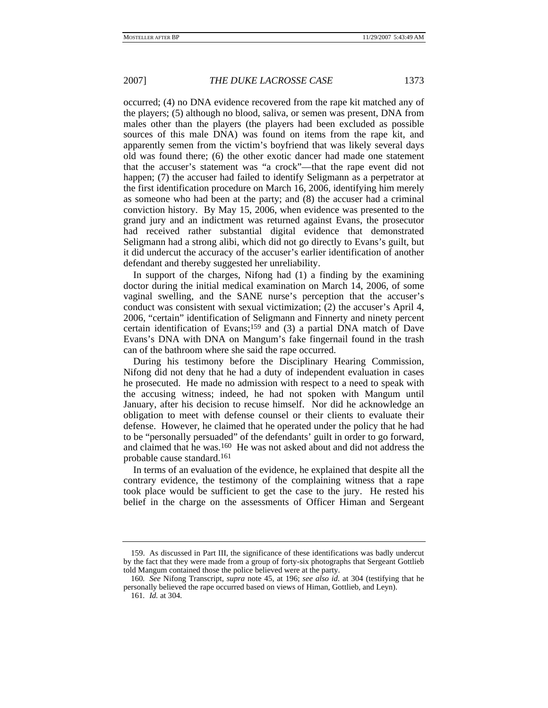occurred; (4) no DNA evidence recovered from the rape kit matched any of the players; (5) although no blood, saliva, or semen was present, DNA from males other than the players (the players had been excluded as possible sources of this male DNA) was found on items from the rape kit, and apparently semen from the victim's boyfriend that was likely several days old was found there; (6) the other exotic dancer had made one statement that the accuser's statement was "a crock"—that the rape event did not happen; (7) the accuser had failed to identify Seligmann as a perpetrator at the first identification procedure on March 16, 2006, identifying him merely as someone who had been at the party; and (8) the accuser had a criminal conviction history. By May 15, 2006, when evidence was presented to the grand jury and an indictment was returned against Evans, the prosecutor had received rather substantial digital evidence that demonstrated Seligmann had a strong alibi, which did not go directly to Evans's guilt, but it did undercut the accuracy of the accuser's earlier identification of another defendant and thereby suggested her unreliability.

In support of the charges, Nifong had (1) a finding by the examining doctor during the initial medical examination on March 14, 2006, of some vaginal swelling, and the SANE nurse's perception that the accuser's conduct was consistent with sexual victimization; (2) the accuser's April 4, 2006, "certain" identification of Seligmann and Finnerty and ninety percent certain identification of Evans;159 and (3) a partial DNA match of Dave Evans's DNA with DNA on Mangum's fake fingernail found in the trash can of the bathroom where she said the rape occurred.

During his testimony before the Disciplinary Hearing Commission, Nifong did not deny that he had a duty of independent evaluation in cases he prosecuted. He made no admission with respect to a need to speak with the accusing witness; indeed, he had not spoken with Mangum until January, after his decision to recuse himself. Nor did he acknowledge an obligation to meet with defense counsel or their clients to evaluate their defense. However, he claimed that he operated under the policy that he had to be "personally persuaded" of the defendants' guilt in order to go forward, and claimed that he was.160 He was not asked about and did not address the probable cause standard.161

In terms of an evaluation of the evidence, he explained that despite all the contrary evidence, the testimony of the complaining witness that a rape took place would be sufficient to get the case to the jury. He rested his belief in the charge on the assessments of Officer Himan and Sergeant

 <sup>159.</sup> As discussed in Part III, the significance of these identifications was badly undercut by the fact that they were made from a group of forty-six photographs that Sergeant Gottlieb told Mangum contained those the police believed were at the party.

<sup>160</sup>*. See* Nifong Transcript, *supra* note 45, at 196; *see also id.* at 304 (testifying that he personally believed the rape occurred based on views of Himan, Gottlieb, and Leyn).

<sup>161</sup>*. Id.* at 304.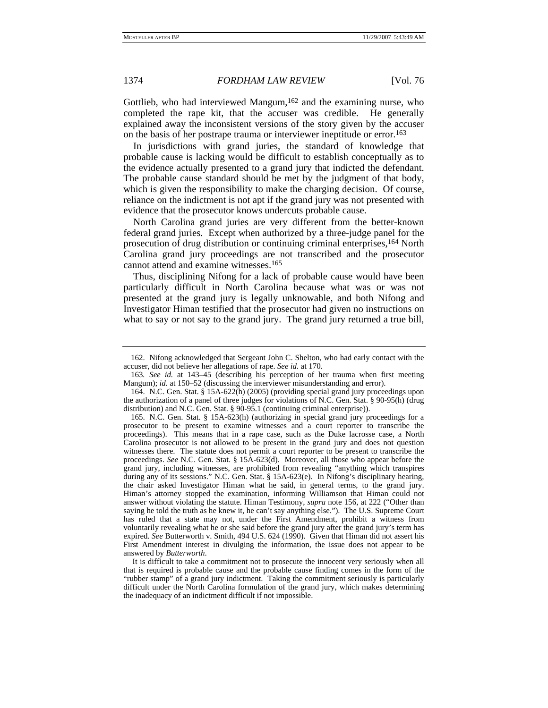Gottlieb, who had interviewed Mangum,<sup>162</sup> and the examining nurse, who completed the rape kit, that the accuser was credible. He generally explained away the inconsistent versions of the story given by the accuser on the basis of her postrape trauma or interviewer ineptitude or error.163

In jurisdictions with grand juries, the standard of knowledge that probable cause is lacking would be difficult to establish conceptually as to the evidence actually presented to a grand jury that indicted the defendant. The probable cause standard should be met by the judgment of that body, which is given the responsibility to make the charging decision. Of course, reliance on the indictment is not apt if the grand jury was not presented with evidence that the prosecutor knows undercuts probable cause.

North Carolina grand juries are very different from the better-known federal grand juries. Except when authorized by a three-judge panel for the prosecution of drug distribution or continuing criminal enterprises,<sup>164</sup> North Carolina grand jury proceedings are not transcribed and the prosecutor cannot attend and examine witnesses.165

Thus, disciplining Nifong for a lack of probable cause would have been particularly difficult in North Carolina because what was or was not presented at the grand jury is legally unknowable, and both Nifong and Investigator Himan testified that the prosecutor had given no instructions on what to say or not say to the grand jury. The grand jury returned a true bill,

 <sup>162.</sup> Nifong acknowledged that Sergeant John C. Shelton, who had early contact with the accuser, did not believe her allegations of rape. *See id.* at 170.

<sup>163</sup>*. See id.* at 143–45 (describing his perception of her trauma when first meeting Mangum); *id.* at 150–52 (discussing the interviewer misunderstanding and error).

 <sup>164.</sup> N.C. Gen. Stat. § 15A-622(h) (2005) (providing special grand jury proceedings upon the authorization of a panel of three judges for violations of N.C. Gen. Stat. § 90-95(h) (drug distribution) and N.C. Gen. Stat. § 90-95.1 (continuing criminal enterprise)).

 <sup>165.</sup> N.C. Gen. Stat. § 15A-623(h) (authorizing in special grand jury proceedings for a prosecutor to be present to examine witnesses and a court reporter to transcribe the proceedings). This means that in a rape case, such as the Duke lacrosse case, a North Carolina prosecutor is not allowed to be present in the grand jury and does not question witnesses there. The statute does not permit a court reporter to be present to transcribe the proceedings. *See* N.C. Gen. Stat. § 15A-623(d). Moreover, all those who appear before the grand jury, including witnesses, are prohibited from revealing "anything which transpires during any of its sessions." N.C. Gen. Stat. § 15A-623(e). In Nifong's disciplinary hearing, the chair asked Investigator Himan what he said, in general terms, to the grand jury. Himan's attorney stopped the examination, informing Williamson that Himan could not answer without violating the statute. Himan Testimony, *supra* note 156, at 222 ("Other than saying he told the truth as he knew it, he can't say anything else."). The U.S. Supreme Court has ruled that a state may not, under the First Amendment, prohibit a witness from voluntarily revealing what he or she said before the grand jury after the grand jury's term has expired. *See* Butterworth v. Smith, 494 U.S. 624 (1990). Given that Himan did not assert his First Amendment interest in divulging the information, the issue does not appear to be answered by *Butterworth*.

It is difficult to take a commitment not to prosecute the innocent very seriously when all that is required is probable cause and the probable cause finding comes in the form of the "rubber stamp" of a grand jury indictment. Taking the commitment seriously is particularly difficult under the North Carolina formulation of the grand jury, which makes determining the inadequacy of an indictment difficult if not impossible.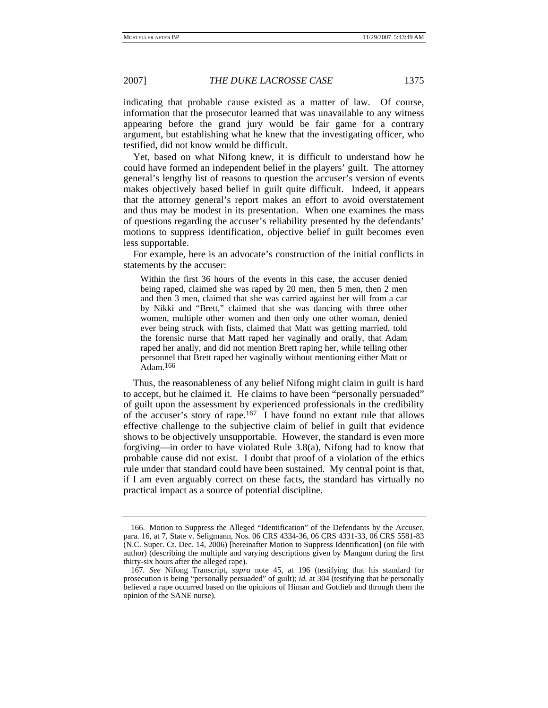indicating that probable cause existed as a matter of law. Of course, information that the prosecutor learned that was unavailable to any witness appearing before the grand jury would be fair game for a contrary argument, but establishing what he knew that the investigating officer, who testified, did not know would be difficult.

Yet, based on what Nifong knew, it is difficult to understand how he could have formed an independent belief in the players' guilt. The attorney general's lengthy list of reasons to question the accuser's version of events makes objectively based belief in guilt quite difficult. Indeed, it appears that the attorney general's report makes an effort to avoid overstatement and thus may be modest in its presentation. When one examines the mass of questions regarding the accuser's reliability presented by the defendants' motions to suppress identification, objective belief in guilt becomes even less supportable.

For example, here is an advocate's construction of the initial conflicts in statements by the accuser:

Within the first 36 hours of the events in this case, the accuser denied being raped, claimed she was raped by 20 men, then 5 men, then 2 men and then 3 men, claimed that she was carried against her will from a car by Nikki and "Brett," claimed that she was dancing with three other women, multiple other women and then only one other woman, denied ever being struck with fists, claimed that Matt was getting married, told the forensic nurse that Matt raped her vaginally and orally, that Adam raped her anally, and did not mention Brett raping her, while telling other personnel that Brett raped her vaginally without mentioning either Matt or Adam.166

Thus, the reasonableness of any belief Nifong might claim in guilt is hard to accept, but he claimed it. He claims to have been "personally persuaded" of guilt upon the assessment by experienced professionals in the credibility of the accuser's story of rape.167 I have found no extant rule that allows effective challenge to the subjective claim of belief in guilt that evidence shows to be objectively unsupportable. However, the standard is even more forgiving—in order to have violated Rule 3.8(a), Nifong had to know that probable cause did not exist. I doubt that proof of a violation of the ethics rule under that standard could have been sustained. My central point is that, if I am even arguably correct on these facts, the standard has virtually no practical impact as a source of potential discipline.

 <sup>166.</sup> Motion to Suppress the Alleged "Identification" of the Defendants by the Accuser, para. 16, at 7, State v. Seligmann, Nos. 06 CRS 4334-36, 06 CRS 4331-33, 06 CRS 5581-83 (N.C. Super. Ct. Dec. 14, 2006) [hereinafter Motion to Suppress Identification] (on file with author) (describing the multiple and varying descriptions given by Mangum during the first thirty-six hours after the alleged rape).

<sup>167</sup>*. See* Nifong Transcript, *supra* note 45, at 196 (testifying that his standard for prosecution is being "personally persuaded" of guilt); *id.* at 304 (testifying that he personally believed a rape occurred based on the opinions of Himan and Gottlieb and through them the opinion of the SANE nurse).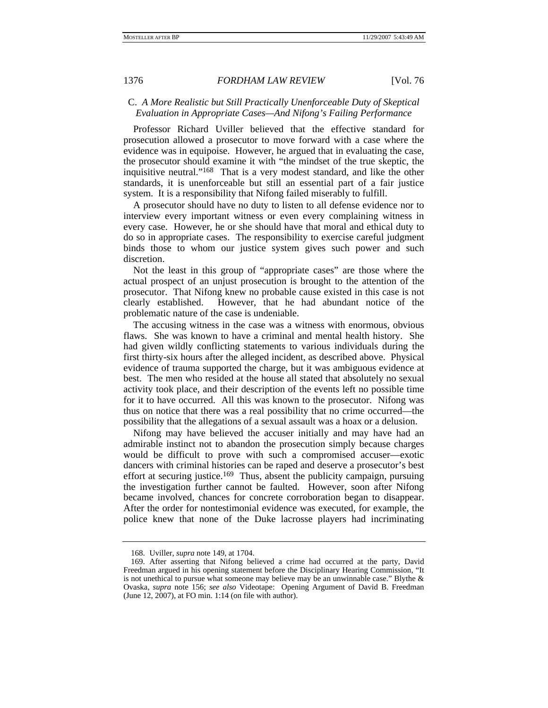# C. *A More Realistic but Still Practically Unenforceable Duty of Skeptical Evaluation in Appropriate Cases—And Nifong's Failing Performance*

Professor Richard Uviller believed that the effective standard for prosecution allowed a prosecutor to move forward with a case where the evidence was in equipoise. However, he argued that in evaluating the case, the prosecutor should examine it with "the mindset of the true skeptic, the inquisitive neutral."168 That is a very modest standard, and like the other standards, it is unenforceable but still an essential part of a fair justice system. It is a responsibility that Nifong failed miserably to fulfill.

A prosecutor should have no duty to listen to all defense evidence nor to interview every important witness or even every complaining witness in every case. However, he or she should have that moral and ethical duty to do so in appropriate cases. The responsibility to exercise careful judgment binds those to whom our justice system gives such power and such discretion.

Not the least in this group of "appropriate cases" are those where the actual prospect of an unjust prosecution is brought to the attention of the prosecutor. That Nifong knew no probable cause existed in this case is not clearly established. However, that he had abundant notice of the problematic nature of the case is undeniable.

The accusing witness in the case was a witness with enormous, obvious flaws. She was known to have a criminal and mental health history. She had given wildly conflicting statements to various individuals during the first thirty-six hours after the alleged incident, as described above. Physical evidence of trauma supported the charge, but it was ambiguous evidence at best. The men who resided at the house all stated that absolutely no sexual activity took place, and their description of the events left no possible time for it to have occurred. All this was known to the prosecutor. Nifong was thus on notice that there was a real possibility that no crime occurred—the possibility that the allegations of a sexual assault was a hoax or a delusion.

Nifong may have believed the accuser initially and may have had an admirable instinct not to abandon the prosecution simply because charges would be difficult to prove with such a compromised accuser—exotic dancers with criminal histories can be raped and deserve a prosecutor's best effort at securing justice.<sup>169</sup> Thus, absent the publicity campaign, pursuing the investigation further cannot be faulted. However, soon after Nifong became involved, chances for concrete corroboration began to disappear. After the order for nontestimonial evidence was executed, for example, the police knew that none of the Duke lacrosse players had incriminating

 <sup>168.</sup> Uviller, *supra* note 149, at 1704.

 <sup>169.</sup> After asserting that Nifong believed a crime had occurred at the party, David Freedman argued in his opening statement before the Disciplinary Hearing Commission, "It is not unethical to pursue what someone may believe may be an unwinnable case." Blythe & Ovaska, *supra* note 156; *see also* Videotape: Opening Argument of David B. Freedman (June 12, 2007), at FO min. 1:14 (on file with author).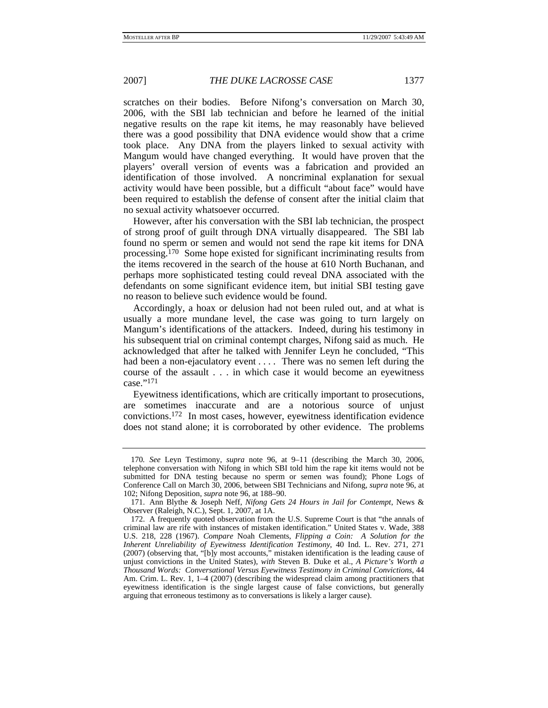scratches on their bodies. Before Nifong's conversation on March 30, 2006, with the SBI lab technician and before he learned of the initial negative results on the rape kit items, he may reasonably have believed there was a good possibility that DNA evidence would show that a crime took place. Any DNA from the players linked to sexual activity with Mangum would have changed everything. It would have proven that the players' overall version of events was a fabrication and provided an identification of those involved. A noncriminal explanation for sexual activity would have been possible, but a difficult "about face" would have been required to establish the defense of consent after the initial claim that no sexual activity whatsoever occurred.

However, after his conversation with the SBI lab technician, the prospect of strong proof of guilt through DNA virtually disappeared. The SBI lab found no sperm or semen and would not send the rape kit items for DNA processing.170 Some hope existed for significant incriminating results from the items recovered in the search of the house at 610 North Buchanan, and perhaps more sophisticated testing could reveal DNA associated with the defendants on some significant evidence item, but initial SBI testing gave no reason to believe such evidence would be found.

Accordingly, a hoax or delusion had not been ruled out, and at what is usually a more mundane level, the case was going to turn largely on Mangum's identifications of the attackers. Indeed, during his testimony in his subsequent trial on criminal contempt charges, Nifong said as much. He acknowledged that after he talked with Jennifer Leyn he concluded, "This had been a non-ejaculatory event . . . . There was no semen left during the course of the assault . . . in which case it would become an eyewitness case."171

Eyewitness identifications, which are critically important to prosecutions, are sometimes inaccurate and are a notorious source of unjust convictions.172 In most cases, however, eyewitness identification evidence does not stand alone; it is corroborated by other evidence. The problems

<sup>170</sup>*. See* Leyn Testimony, *supra* note 96, at 9–11 (describing the March 30, 2006, telephone conversation with Nifong in which SBI told him the rape kit items would not be submitted for DNA testing because no sperm or semen was found); Phone Logs of Conference Call on March 30, 2006, between SBI Technicians and Nifong, *supra* note 96, at 102; Nifong Deposition, *supra* note 96, at 188–90.

 <sup>171.</sup> Ann Blythe & Joseph Neff, *Nifong Gets 24 Hours in Jail for Contempt*, News & Observer (Raleigh, N.C.), Sept. 1, 2007, at 1A.

 <sup>172.</sup> A frequently quoted observation from the U.S. Supreme Court is that "the annals of criminal law are rife with instances of mistaken identification." United States v. Wade, 388 U.S. 218, 228 (1967). *Compare* Noah Clements, *Flipping a Coin: A Solution for the Inherent Unreliability of Eyewitness Identification Testimony*, 40 Ind. L. Rev. 271, 271 (2007) (observing that, "[b]y most accounts," mistaken identification is the leading cause of unjust convictions in the United States), *with* Steven B. Duke et al., *A Picture's Worth a Thousand Words: Conversational Versus Eyewitness Testimony in Criminal Convictions*, 44 Am. Crim. L. Rev. 1, 1–4 (2007) (describing the widespread claim among practitioners that eyewitness identification is the single largest cause of false convictions, but generally arguing that erroneous testimony as to conversations is likely a larger cause).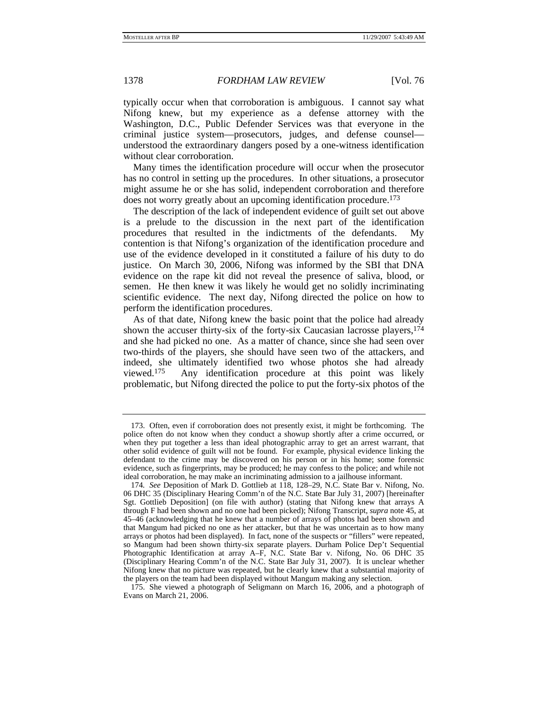typically occur when that corroboration is ambiguous. I cannot say what Nifong knew, but my experience as a defense attorney with the Washington, D.C., Public Defender Services was that everyone in the criminal justice system—prosecutors, judges, and defense counsel understood the extraordinary dangers posed by a one-witness identification without clear corroboration.

Many times the identification procedure will occur when the prosecutor has no control in setting up the procedures. In other situations, a prosecutor might assume he or she has solid, independent corroboration and therefore does not worry greatly about an upcoming identification procedure.173

The description of the lack of independent evidence of guilt set out above is a prelude to the discussion in the next part of the identification procedures that resulted in the indictments of the defendants. My contention is that Nifong's organization of the identification procedure and use of the evidence developed in it constituted a failure of his duty to do justice. On March 30, 2006, Nifong was informed by the SBI that DNA evidence on the rape kit did not reveal the presence of saliva, blood, or semen. He then knew it was likely he would get no solidly incriminating scientific evidence. The next day, Nifong directed the police on how to perform the identification procedures.

As of that date, Nifong knew the basic point that the police had already shown the accuser thirty-six of the forty-six Caucasian lacrosse players, <sup>174</sup> and she had picked no one. As a matter of chance, since she had seen over two-thirds of the players, she should have seen two of the attackers, and indeed, she ultimately identified two whose photos she had already viewed.175 Any identification procedure at this point was likely problematic, but Nifong directed the police to put the forty-six photos of the

 <sup>173.</sup> Often, even if corroboration does not presently exist, it might be forthcoming. The police often do not know when they conduct a showup shortly after a crime occurred, or when they put together a less than ideal photographic array to get an arrest warrant, that other solid evidence of guilt will not be found. For example, physical evidence linking the defendant to the crime may be discovered on his person or in his home; some forensic evidence, such as fingerprints, may be produced; he may confess to the police; and while not ideal corroboration, he may make an incriminating admission to a jailhouse informant.

<sup>174</sup>*. See* Deposition of Mark D. Gottlieb at 118, 128–29, N.C. State Bar v. Nifong, No. 06 DHC 35 (Disciplinary Hearing Comm'n of the N.C. State Bar July 31, 2007) [hereinafter Sgt. Gottlieb Deposition] (on file with author) (stating that Nifong knew that arrays A through F had been shown and no one had been picked); Nifong Transcript, *supra* note 45, at 45–46 (acknowledging that he knew that a number of arrays of photos had been shown and that Mangum had picked no one as her attacker, but that he was uncertain as to how many arrays or photos had been displayed). In fact, none of the suspects or "fillers" were repeated, so Mangum had been shown thirty-six separate players. Durham Police Dep't Sequential Photographic Identification at array A–F, N.C. State Bar v. Nifong, No. 06 DHC 35 (Disciplinary Hearing Comm'n of the N.C. State Bar July 31, 2007). It is unclear whether Nifong knew that no picture was repeated, but he clearly knew that a substantial majority of the players on the team had been displayed without Mangum making any selection.

 <sup>175.</sup> She viewed a photograph of Seligmann on March 16, 2006, and a photograph of Evans on March 21, 2006.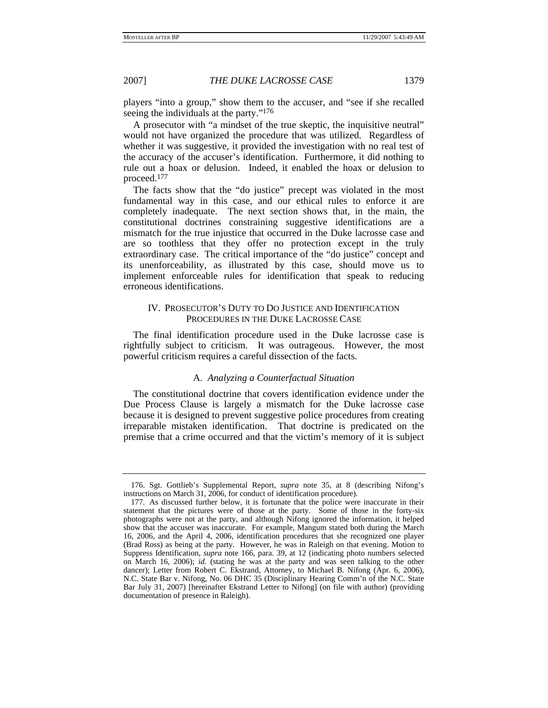players "into a group," show them to the accuser, and "see if she recalled seeing the individuals at the party."176

A prosecutor with "a mindset of the true skeptic, the inquisitive neutral" would not have organized the procedure that was utilized. Regardless of whether it was suggestive, it provided the investigation with no real test of the accuracy of the accuser's identification. Furthermore, it did nothing to rule out a hoax or delusion. Indeed, it enabled the hoax or delusion to proceed.177

The facts show that the "do justice" precept was violated in the most fundamental way in this case, and our ethical rules to enforce it are completely inadequate. The next section shows that, in the main, the constitutional doctrines constraining suggestive identifications are a mismatch for the true injustice that occurred in the Duke lacrosse case and are so toothless that they offer no protection except in the truly extraordinary case. The critical importance of the "do justice" concept and its unenforceability, as illustrated by this case, should move us to implement enforceable rules for identification that speak to reducing erroneous identifications.

## IV. PROSECUTOR'S DUTY TO DO JUSTICE AND IDENTIFICATION PROCEDURES IN THE DUKE LACROSSE CASE

The final identification procedure used in the Duke lacrosse case is rightfully subject to criticism. It was outrageous. However, the most powerful criticism requires a careful dissection of the facts.

# A. *Analyzing a Counterfactual Situation*

The constitutional doctrine that covers identification evidence under the Due Process Clause is largely a mismatch for the Duke lacrosse case because it is designed to prevent suggestive police procedures from creating irreparable mistaken identification. That doctrine is predicated on the premise that a crime occurred and that the victim's memory of it is subject

 <sup>176.</sup> Sgt. Gottlieb's Supplemental Report, *supra* note 35, at 8 (describing Nifong's instructions on March 31, 2006, for conduct of identification procedure).

 <sup>177.</sup> As discussed further below, it is fortunate that the police were inaccurate in their statement that the pictures were of those at the party. Some of those in the forty-six photographs were not at the party, and although Nifong ignored the information, it helped show that the accuser was inaccurate. For example, Mangum stated both during the March 16, 2006, and the April 4, 2006, identification procedures that she recognized one player (Brad Ross) as being at the party. However, he was in Raleigh on that evening. Motion to Suppress Identification, *supra* note 166, para. 39, at 12 (indicating photo numbers selected on March 16, 2006); *id.* (stating he was at the party and was seen talking to the other dancer); Letter from Robert C. Ekstrand, Attorney, to Michael B. Nifong (Apr. 6, 2006), N.C. State Bar v. Nifong, No. 06 DHC 35 (Disciplinary Hearing Comm'n of the N.C. State Bar July 31, 2007) [hereinafter Ekstrand Letter to Nifong] (on file with author) (providing documentation of presence in Raleigh).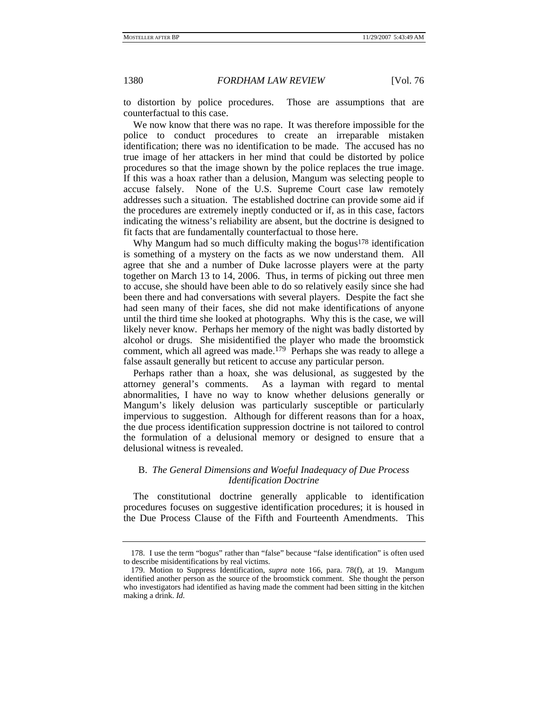to distortion by police procedures. Those are assumptions that are counterfactual to this case.

We now know that there was no rape. It was therefore impossible for the police to conduct procedures to create an irreparable mistaken identification; there was no identification to be made. The accused has no true image of her attackers in her mind that could be distorted by police procedures so that the image shown by the police replaces the true image. If this was a hoax rather than a delusion, Mangum was selecting people to accuse falsely. None of the U.S. Supreme Court case law remotely addresses such a situation. The established doctrine can provide some aid if the procedures are extremely ineptly conducted or if, as in this case, factors indicating the witness's reliability are absent, but the doctrine is designed to fit facts that are fundamentally counterfactual to those here.

Why Mangum had so much difficulty making the bogus<sup>178</sup> identification is something of a mystery on the facts as we now understand them. All agree that she and a number of Duke lacrosse players were at the party together on March 13 to 14, 2006. Thus, in terms of picking out three men to accuse, she should have been able to do so relatively easily since she had been there and had conversations with several players. Despite the fact she had seen many of their faces, she did not make identifications of anyone until the third time she looked at photographs. Why this is the case, we will likely never know. Perhaps her memory of the night was badly distorted by alcohol or drugs. She misidentified the player who made the broomstick comment, which all agreed was made.179 Perhaps she was ready to allege a false assault generally but reticent to accuse any particular person.

Perhaps rather than a hoax, she was delusional, as suggested by the attorney general's comments. As a layman with regard to mental abnormalities, I have no way to know whether delusions generally or Mangum's likely delusion was particularly susceptible or particularly impervious to suggestion. Although for different reasons than for a hoax, the due process identification suppression doctrine is not tailored to control the formulation of a delusional memory or designed to ensure that a delusional witness is revealed.

## B. *The General Dimensions and Woeful Inadequacy of Due Process Identification Doctrine*

The constitutional doctrine generally applicable to identification procedures focuses on suggestive identification procedures; it is housed in the Due Process Clause of the Fifth and Fourteenth Amendments. This

 <sup>178.</sup> I use the term "bogus" rather than "false" because "false identification" is often used to describe misidentifications by real victims.

 <sup>179.</sup> Motion to Suppress Identification, *supra* note 166, para. 78(f), at 19. Mangum identified another person as the source of the broomstick comment. She thought the person who investigators had identified as having made the comment had been sitting in the kitchen making a drink. *Id.*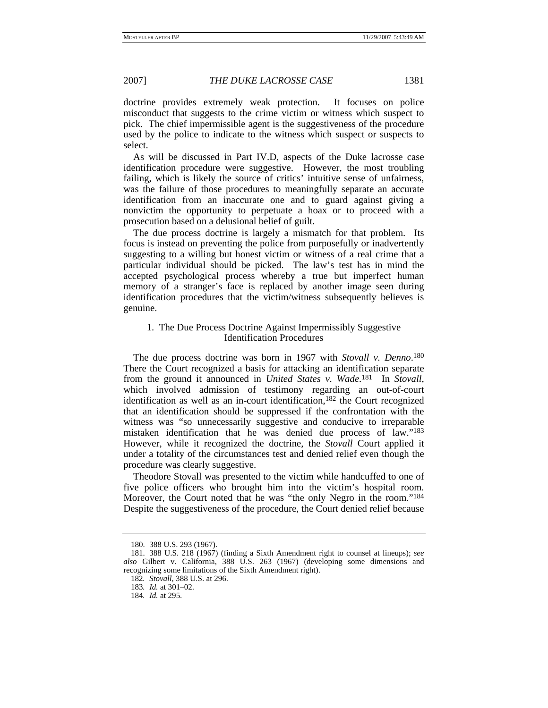doctrine provides extremely weak protection. It focuses on police misconduct that suggests to the crime victim or witness which suspect to pick. The chief impermissible agent is the suggestiveness of the procedure used by the police to indicate to the witness which suspect or suspects to select.

As will be discussed in Part IV.D, aspects of the Duke lacrosse case identification procedure were suggestive. However, the most troubling failing, which is likely the source of critics' intuitive sense of unfairness, was the failure of those procedures to meaningfully separate an accurate identification from an inaccurate one and to guard against giving a nonvictim the opportunity to perpetuate a hoax or to proceed with a prosecution based on a delusional belief of guilt.

The due process doctrine is largely a mismatch for that problem. Its focus is instead on preventing the police from purposefully or inadvertently suggesting to a willing but honest victim or witness of a real crime that a particular individual should be picked. The law's test has in mind the accepted psychological process whereby a true but imperfect human memory of a stranger's face is replaced by another image seen during identification procedures that the victim/witness subsequently believes is genuine.

# 1. The Due Process Doctrine Against Impermissibly Suggestive Identification Procedures

The due process doctrine was born in 1967 with *Stovall v. Denno*. 180 There the Court recognized a basis for attacking an identification separate from the ground it announced in *United States v. Wade*. 181 In *Stovall*, which involved admission of testimony regarding an out-of-court identification as well as an in-court identification,<sup>182</sup> the Court recognized that an identification should be suppressed if the confrontation with the witness was "so unnecessarily suggestive and conducive to irreparable mistaken identification that he was denied due process of law."183 However, while it recognized the doctrine, the *Stovall* Court applied it under a totality of the circumstances test and denied relief even though the procedure was clearly suggestive.

Theodore Stovall was presented to the victim while handcuffed to one of five police officers who brought him into the victim's hospital room. Moreover, the Court noted that he was "the only Negro in the room."184 Despite the suggestiveness of the procedure, the Court denied relief because

 <sup>180. 388</sup> U.S. 293 (1967).

 <sup>181. 388</sup> U.S. 218 (1967) (finding a Sixth Amendment right to counsel at lineups); *see also* Gilbert v. California, 388 U.S. 263 (1967) (developing some dimensions and recognizing some limitations of the Sixth Amendment right).

<sup>182</sup>*. Stovall*, 388 U.S. at 296.

<sup>183</sup>*. Id.* at 301–02.

<sup>184</sup>*. Id.* at 295.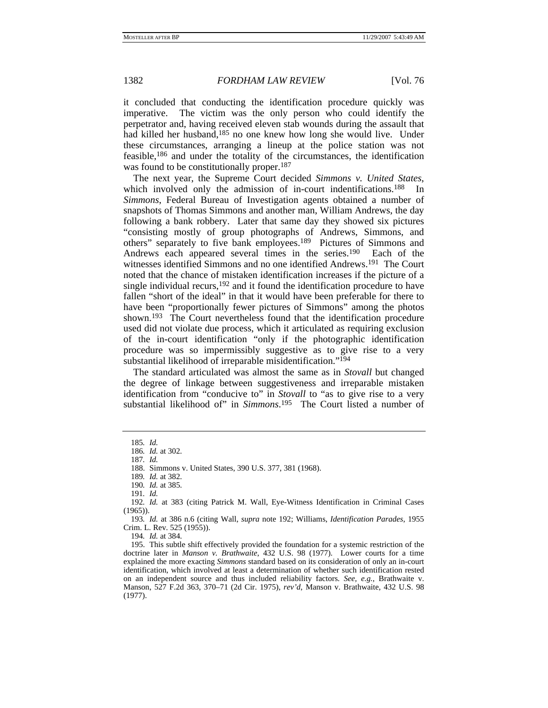it concluded that conducting the identification procedure quickly was imperative. The victim was the only person who could identify the perpetrator and, having received eleven stab wounds during the assault that had killed her husband,<sup>185</sup> no one knew how long she would live. Under these circumstances, arranging a lineup at the police station was not feasible,186 and under the totality of the circumstances, the identification was found to be constitutionally proper.<sup>187</sup>

The next year, the Supreme Court decided *Simmons v. United States*, which involved only the admission of in-court indentifications.<sup>188</sup> In *Simmons*, Federal Bureau of Investigation agents obtained a number of snapshots of Thomas Simmons and another man, William Andrews, the day following a bank robbery. Later that same day they showed six pictures "consisting mostly of group photographs of Andrews, Simmons, and others" separately to five bank employees.189 Pictures of Simmons and Andrews each appeared several times in the series.190 Each of the witnesses identified Simmons and no one identified Andrews.191 The Court noted that the chance of mistaken identification increases if the picture of a single individual recurs, $192$  and it found the identification procedure to have fallen "short of the ideal" in that it would have been preferable for there to have been "proportionally fewer pictures of Simmons" among the photos shown.193 The Court nevertheless found that the identification procedure used did not violate due process, which it articulated as requiring exclusion of the in-court identification "only if the photographic identification procedure was so impermissibly suggestive as to give rise to a very substantial likelihood of irreparable misidentification."194

The standard articulated was almost the same as in *Stovall* but changed the degree of linkage between suggestiveness and irreparable mistaken identification from "conducive to" in *Stovall* to "as to give rise to a very substantial likelihood of" in *Simmons*. 195 The Court listed a number of

194*. Id.* at 384.

 195. This subtle shift effectively provided the foundation for a systemic restriction of the doctrine later in *Manson v. Brathwaite*, 432 U.S. 98 (1977). Lower courts for a time explained the more exacting *Simmons* standard based on its consideration of only an in-court identification, which involved at least a determination of whether such identification rested on an independent source and thus included reliability factors. *See, e.g.*, Brathwaite v. Manson, 527 F.2d 363, 370–71 (2d Cir. 1975), *rev'd*, Manson v. Brathwaite, 432 U.S. 98 (1977).

<sup>185</sup>*. Id.*

<sup>186</sup>*. Id.* at 302.

<sup>187</sup>*. Id.*

 <sup>188.</sup> Simmons v. United States, 390 U.S. 377, 381 (1968).

<sup>189</sup>*. Id.* at 382.

<sup>190</sup>*. Id.* at 385.

<sup>191</sup>*. Id.*

<sup>192</sup>*. Id.* at 383 (citing Patrick M. Wall, Eye-Witness Identification in Criminal Cases (1965)).

<sup>193</sup>*. Id.* at 386 n.6 (citing Wall, *supra* note 192; Williams, *Identification Parades*, 1955 Crim. L. Rev. 525 (1955)).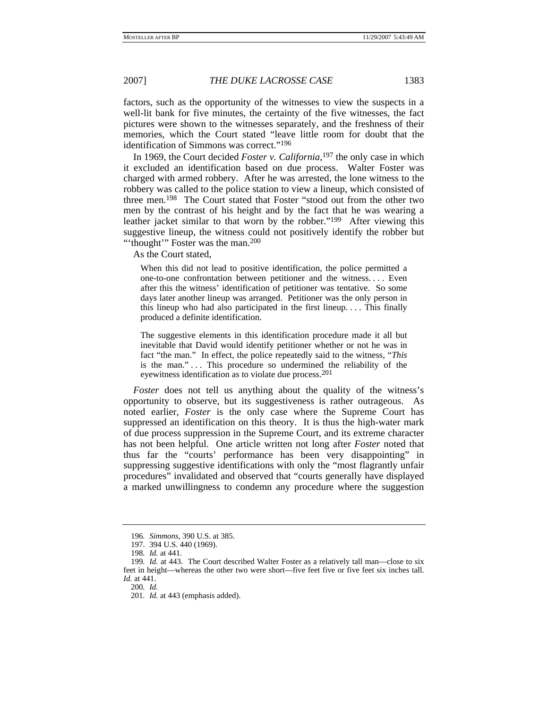factors, such as the opportunity of the witnesses to view the suspects in a well-lit bank for five minutes, the certainty of the five witnesses, the fact pictures were shown to the witnesses separately, and the freshness of their memories, which the Court stated "leave little room for doubt that the identification of Simmons was correct."196

In 1969, the Court decided *Foster v. California*, 197 the only case in which it excluded an identification based on due process. Walter Foster was charged with armed robbery. After he was arrested, the lone witness to the robbery was called to the police station to view a lineup, which consisted of three men.198 The Court stated that Foster "stood out from the other two men by the contrast of his height and by the fact that he was wearing a leather jacket similar to that worn by the robber."199 After viewing this suggestive lineup, the witness could not positively identify the robber but "'thought'" Foster was the man.<sup>200</sup>

As the Court stated,

When this did not lead to positive identification, the police permitted a one-to-one confrontation between petitioner and the witness. . . . Even after this the witness' identification of petitioner was tentative. So some days later another lineup was arranged. Petitioner was the only person in this lineup who had also participated in the first lineup. . . . This finally produced a definite identification.

The suggestive elements in this identification procedure made it all but inevitable that David would identify petitioner whether or not he was in fact "the man." In effect, the police repeatedly said to the witness, "*This* is the man." ... This procedure so undermined the reliability of the eyewitness identification as to violate due process.<sup>201</sup>

*Foster* does not tell us anything about the quality of the witness's opportunity to observe, but its suggestiveness is rather outrageous. As noted earlier, *Foster* is the only case where the Supreme Court has suppressed an identification on this theory. It is thus the high-water mark of due process suppression in the Supreme Court, and its extreme character has not been helpful. One article written not long after *Foster* noted that thus far the "courts' performance has been very disappointing" in suppressing suggestive identifications with only the "most flagrantly unfair procedures" invalidated and observed that "courts generally have displayed a marked unwillingness to condemn any procedure where the suggestion

200*. Id.*

<sup>196</sup>*. Simmons*, 390 U.S. at 385.

 <sup>197. 394</sup> U.S. 440 (1969).

<sup>198</sup>*. Id.* at 441.

<sup>199</sup>*. Id.* at 443. The Court described Walter Foster as a relatively tall man—close to six feet in height—whereas the other two were short—five feet five or five feet six inches tall. *Id.* at 441.

<sup>201</sup>*. Id.* at 443 (emphasis added).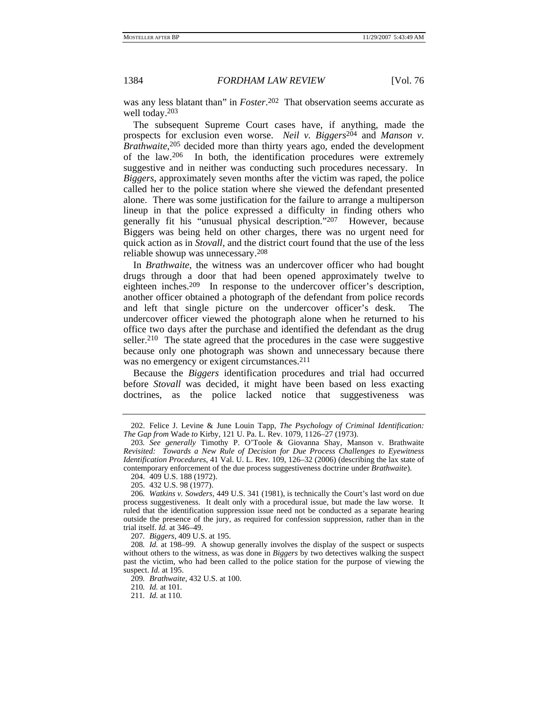was any less blatant than" in *Foster*. 202 That observation seems accurate as well today.203

The subsequent Supreme Court cases have, if anything, made the prospects for exclusion even worse. *Neil v. Biggers*<sup>204</sup> and *Manson v. Brathwaite*, 205 decided more than thirty years ago, ended the development of the law.206 In both, the identification procedures were extremely suggestive and in neither was conducting such procedures necessary. In *Biggers*, approximately seven months after the victim was raped, the police called her to the police station where she viewed the defendant presented alone. There was some justification for the failure to arrange a multiperson lineup in that the police expressed a difficulty in finding others who generally fit his "unusual physical description."207 However, because Biggers was being held on other charges, there was no urgent need for quick action as in *Stovall*, and the district court found that the use of the less reliable showup was unnecessary.208

In *Brathwaite*, the witness was an undercover officer who had bought drugs through a door that had been opened approximately twelve to eighteen inches.209 In response to the undercover officer's description, another officer obtained a photograph of the defendant from police records and left that single picture on the undercover officer's desk. The undercover officer viewed the photograph alone when he returned to his office two days after the purchase and identified the defendant as the drug seller.<sup>210</sup> The state agreed that the procedures in the case were suggestive because only one photograph was shown and unnecessary because there was no emergency or exigent circumstances.<sup>211</sup>

Because the *Biggers* identification procedures and trial had occurred before *Stovall* was decided, it might have been based on less exacting doctrines, as the police lacked notice that suggestiveness was

207*. Biggers*, 409 U.S. at 195.

208*. Id.* at 198–99. A showup generally involves the display of the suspect or suspects without others to the witness, as was done in *Biggers* by two detectives walking the suspect past the victim, who had been called to the police station for the purpose of viewing the suspect. *Id.* at 195.

209*. Brathwaite*, 432 U.S. at 100.

210*. Id.* at 101.

 <sup>202.</sup> Felice J. Levine & June Louin Tapp, *The Psychology of Criminal Identification: The Gap from* Wade *to* Kirby, 121 U. Pa. L. Rev. 1079, 1126–27 (1973).

<sup>203</sup>*. See generally* Timothy P. O'Toole & Giovanna Shay, Manson v. Brathwaite *Revisited: Towards a New Rule of Decision for Due Process Challenges to Eyewitness Identification Procedures*, 41 Val. U. L. Rev. 109, 126–32 (2006) (describing the lax state of contemporary enforcement of the due process suggestiveness doctrine under *Brathwaite*).

 <sup>204. 409</sup> U.S. 188 (1972).

 <sup>205. 432</sup> U.S. 98 (1977). 206*. Watkins v. Sowders*, 449 U.S. 341 (1981), is technically the Court's last word on due process suggestiveness. It dealt only with a procedural issue, but made the law worse. It

ruled that the identification suppression issue need not be conducted as a separate hearing outside the presence of the jury, as required for confession suppression, rather than in the trial itself. *Id.* at 346–49.

<sup>211</sup>*. Id.* at 110.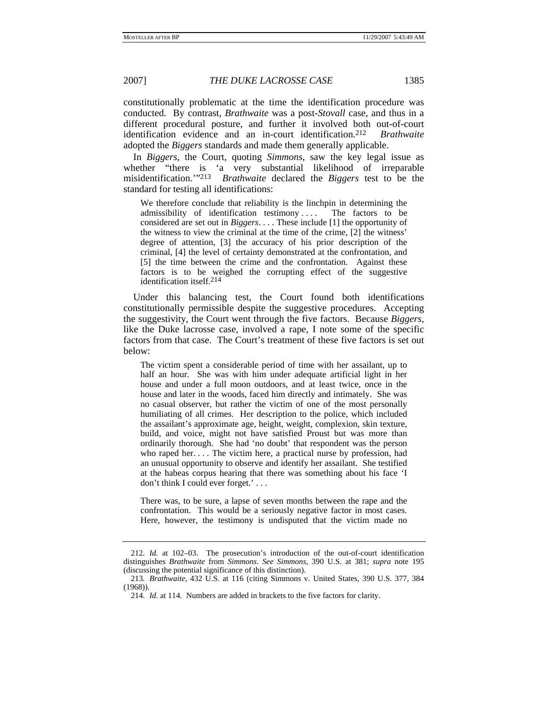constitutionally problematic at the time the identification procedure was conducted. By contrast, *Brathwaite* was a post-*Stovall* case, and thus in a different procedural posture, and further it involved both out-of-court identification evidence and an in-court identification.212 *Brathwaite* adopted the *Biggers* standards and made them generally applicable.

In *Biggers*, the Court, quoting *Simmons*, saw the key legal issue as whether "there is 'a very substantial likelihood of irreparable misidentification.'"213 *Brathwaite* declared the *Biggers* test to be the standard for testing all identifications:

We therefore conclude that reliability is the linchpin in determining the admissibility of identification testimony . . . . The factors to be considered are set out in *Biggers*. . . . These include [1] the opportunity of the witness to view the criminal at the time of the crime, [2] the witness' degree of attention, [3] the accuracy of his prior description of the criminal, [4] the level of certainty demonstrated at the confrontation, and [5] the time between the crime and the confrontation. Against these factors is to be weighed the corrupting effect of the suggestive identification itself.214

Under this balancing test, the Court found both identifications constitutionally permissible despite the suggestive procedures. Accepting the suggestivity, the Court went through the five factors. Because *Biggers*, like the Duke lacrosse case, involved a rape, I note some of the specific factors from that case. The Court's treatment of these five factors is set out below:

The victim spent a considerable period of time with her assailant, up to half an hour. She was with him under adequate artificial light in her house and under a full moon outdoors, and at least twice, once in the house and later in the woods, faced him directly and intimately. She was no casual observer, but rather the victim of one of the most personally humiliating of all crimes. Her description to the police, which included the assailant's approximate age, height, weight, complexion, skin texture, build, and voice, might not have satisfied Proust but was more than ordinarily thorough. She had 'no doubt' that respondent was the person who raped her. . . . The victim here, a practical nurse by profession, had an unusual opportunity to observe and identify her assailant. She testified at the habeas corpus hearing that there was something about his face 'I don't think I could ever forget.' . . .

There was, to be sure, a lapse of seven months between the rape and the confrontation. This would be a seriously negative factor in most cases. Here, however, the testimony is undisputed that the victim made no

<sup>212</sup>*. Id.* at 102–03. The prosecution's introduction of the out-of-court identification distinguishes *Brathwaite* from *Simmons*. *See Simmons*, 390 U.S. at 381; *supra* note 195 (discussing the potential significance of this distinction).

<sup>213</sup>*. Brathwaite*, 432 U.S. at 116 (citing Simmons v. United States, 390 U.S. 377, 384 (1968)).

<sup>214</sup>*. Id.* at 114. Numbers are added in brackets to the five factors for clarity.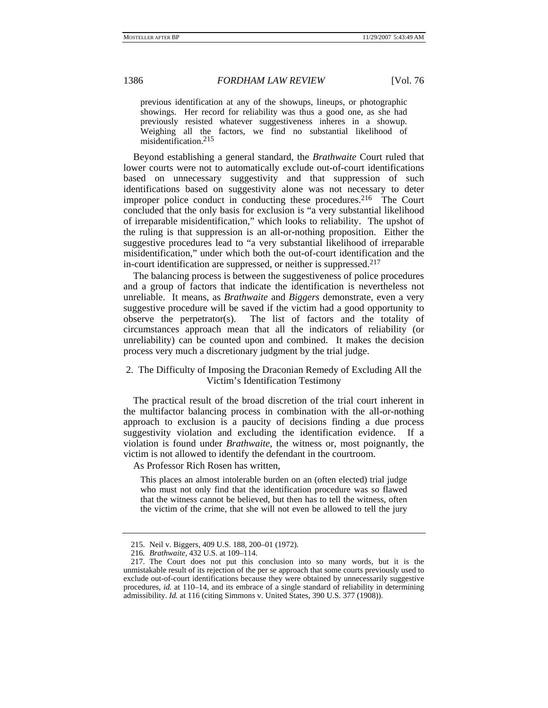previous identification at any of the showups, lineups, or photographic showings. Her record for reliability was thus a good one, as she had previously resisted whatever suggestiveness inheres in a showup. Weighing all the factors, we find no substantial likelihood of misidentification.215

Beyond establishing a general standard, the *Brathwaite* Court ruled that lower courts were not to automatically exclude out-of-court identifications based on unnecessary suggestivity and that suppression of such identifications based on suggestivity alone was not necessary to deter improper police conduct in conducting these procedures.<sup>216</sup> The Court concluded that the only basis for exclusion is "a very substantial likelihood of irreparable misidentification," which looks to reliability. The upshot of the ruling is that suppression is an all-or-nothing proposition. Either the suggestive procedures lead to "a very substantial likelihood of irreparable misidentification," under which both the out-of-court identification and the in-court identification are suppressed, or neither is suppressed.217

The balancing process is between the suggestiveness of police procedures and a group of factors that indicate the identification is nevertheless not unreliable. It means, as *Brathwaite* and *Biggers* demonstrate, even a very suggestive procedure will be saved if the victim had a good opportunity to observe the perpetrator(s). The list of factors and the totality of circumstances approach mean that all the indicators of reliability (or unreliability) can be counted upon and combined. It makes the decision process very much a discretionary judgment by the trial judge.

# 2. The Difficulty of Imposing the Draconian Remedy of Excluding All the Victim's Identification Testimony

The practical result of the broad discretion of the trial court inherent in the multifactor balancing process in combination with the all-or-nothing approach to exclusion is a paucity of decisions finding a due process suggestivity violation and excluding the identification evidence. If a violation is found under *Brathwaite*, the witness or, most poignantly, the victim is not allowed to identify the defendant in the courtroom.

As Professor Rich Rosen has written,

This places an almost intolerable burden on an (often elected) trial judge who must not only find that the identification procedure was so flawed that the witness cannot be believed, but then has to tell the witness, often the victim of the crime, that she will not even be allowed to tell the jury

 <sup>215.</sup> Neil v. Biggers, 409 U.S. 188, 200–01 (1972).

<sup>216</sup>*. Brathwaite*, 432 U.S. at 109–114.

 <sup>217.</sup> The Court does not put this conclusion into so many words, but it is the unmistakable result of its rejection of the per se approach that some courts previously used to exclude out-of-court identifications because they were obtained by unnecessarily suggestive procedures, *id.* at 110–14, and its embrace of a single standard of reliability in determining admissibility. *Id.* at 116 (citing Simmons v. United States, 390 U.S. 377 (1908)).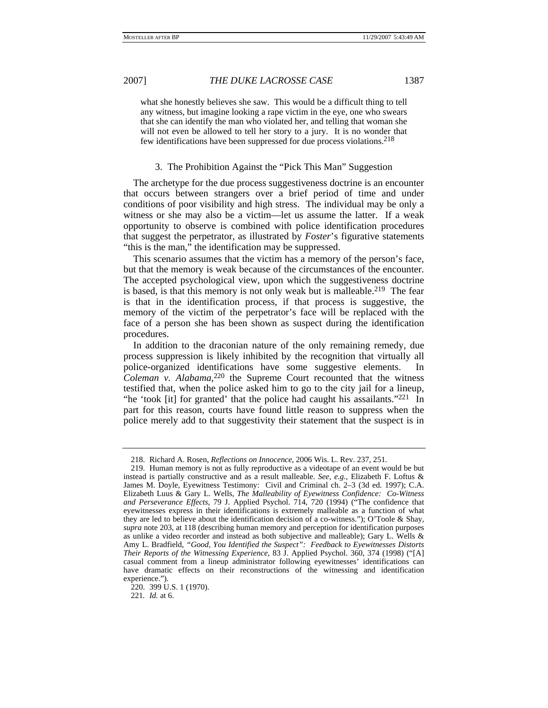what she honestly believes she saw. This would be a difficult thing to tell any witness, but imagine looking a rape victim in the eye, one who swears that she can identify the man who violated her, and telling that woman she will not even be allowed to tell her story to a jury. It is no wonder that few identifications have been suppressed for due process violations.218

## 3. The Prohibition Against the "Pick This Man" Suggestion

The archetype for the due process suggestiveness doctrine is an encounter that occurs between strangers over a brief period of time and under conditions of poor visibility and high stress. The individual may be only a witness or she may also be a victim—let us assume the latter. If a weak opportunity to observe is combined with police identification procedures that suggest the perpetrator, as illustrated by *Foster*'s figurative statements "this is the man," the identification may be suppressed.

This scenario assumes that the victim has a memory of the person's face, but that the memory is weak because of the circumstances of the encounter. The accepted psychological view, upon which the suggestiveness doctrine is based, is that this memory is not only weak but is malleable.<sup>219</sup> The fear is that in the identification process, if that process is suggestive, the memory of the victim of the perpetrator's face will be replaced with the face of a person she has been shown as suspect during the identification procedures.

In addition to the draconian nature of the only remaining remedy, due process suppression is likely inhibited by the recognition that virtually all police-organized identifications have some suggestive elements. In *Coleman v. Alabama*, 220 the Supreme Court recounted that the witness testified that, when the police asked him to go to the city jail for a lineup, "he 'took [it] for granted' that the police had caught his assailants."221 In part for this reason, courts have found little reason to suppress when the police merely add to that suggestivity their statement that the suspect is in

 <sup>218.</sup> Richard A. Rosen, *Reflections on Innocence*, 2006 Wis. L. Rev. 237, 251.

 <sup>219.</sup> Human memory is not as fully reproductive as a videotape of an event would be but instead is partially constructive and as a result malleable. *See, e.g.*, Elizabeth F. Loftus & James M. Doyle, Eyewitness Testimony: Civil and Criminal ch. 2–3 (3d ed. 1997); C.A. Elizabeth Luus & Gary L. Wells, *The Malleability of Eyewitness Confidence: Co-Witness and Perseverance Effects*, 79 J. Applied Psychol. 714, 720 (1994) ("The confidence that eyewitnesses express in their identifications is extremely malleable as a function of what they are led to believe about the identification decision of a co-witness."); O'Toole & Shay, *supra* note 203, at 118 (describing human memory and perception for identification purposes as unlike a video recorder and instead as both subjective and malleable); Gary L. Wells & Amy L. Bradfield, *"Good, You Identified the Suspect": Feedback to Eyewitnesses Distorts Their Reports of the Witnessing Experience*, 83 J. Applied Psychol. 360, 374 (1998) ("[A] casual comment from a lineup administrator following eyewitnesses' identifications can have dramatic effects on their reconstructions of the witnessing and identification experience.").

 <sup>220. 399</sup> U.S. 1 (1970).

<sup>221</sup>*. Id.* at 6.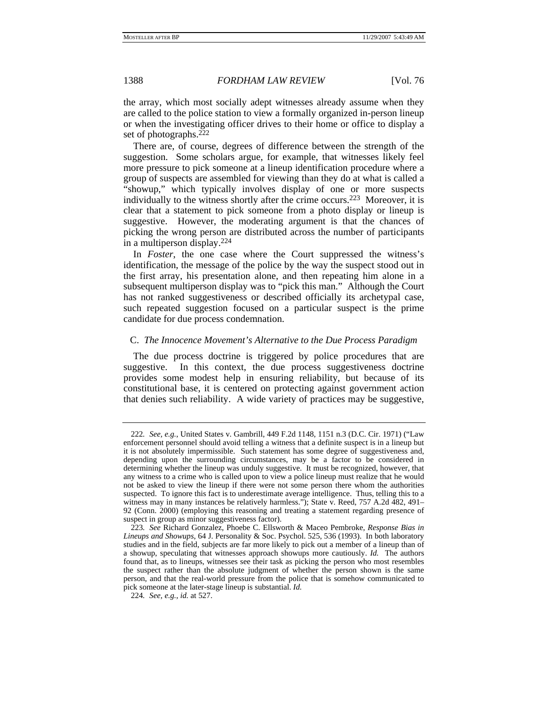the array, which most socially adept witnesses already assume when they are called to the police station to view a formally organized in-person lineup or when the investigating officer drives to their home or office to display a set of photographs.222

There are, of course, degrees of difference between the strength of the suggestion. Some scholars argue, for example, that witnesses likely feel more pressure to pick someone at a lineup identification procedure where a group of suspects are assembled for viewing than they do at what is called a "showup," which typically involves display of one or more suspects individually to the witness shortly after the crime occurs.223 Moreover, it is clear that a statement to pick someone from a photo display or lineup is suggestive. However, the moderating argument is that the chances of picking the wrong person are distributed across the number of participants in a multiperson display.224

In *Foster*, the one case where the Court suppressed the witness's identification, the message of the police by the way the suspect stood out in the first array, his presentation alone, and then repeating him alone in a subsequent multiperson display was to "pick this man." Although the Court has not ranked suggestiveness or described officially its archetypal case, such repeated suggestion focused on a particular suspect is the prime candidate for due process condemnation.

# C. *The Innocence Movement's Alternative to the Due Process Paradigm*

The due process doctrine is triggered by police procedures that are suggestive. In this context, the due process suggestiveness doctrine provides some modest help in ensuring reliability, but because of its constitutional base, it is centered on protecting against government action that denies such reliability. A wide variety of practices may be suggestive,

<sup>222</sup>*. See, e.g.*, United States v. Gambrill, 449 F.2d 1148, 1151 n.3 (D.C. Cir. 1971) ("Law enforcement personnel should avoid telling a witness that a definite suspect is in a lineup but it is not absolutely impermissible. Such statement has some degree of suggestiveness and, depending upon the surrounding circumstances, may be a factor to be considered in determining whether the lineup was unduly suggestive. It must be recognized, however, that any witness to a crime who is called upon to view a police lineup must realize that he would not be asked to view the lineup if there were not some person there whom the authorities suspected. To ignore this fact is to underestimate average intelligence. Thus, telling this to a witness may in many instances be relatively harmless."); State v. Reed, 757 A.2d 482, 491– 92 (Conn. 2000) (employing this reasoning and treating a statement regarding presence of suspect in group as minor suggestiveness factor).

<sup>223</sup>*. See* Richard Gonzalez, Phoebe C. Ellsworth & Maceo Pembroke, *Response Bias in Lineups and Showups*, 64 J. Personality & Soc. Psychol. 525, 536 (1993). In both laboratory studies and in the field, subjects are far more likely to pick out a member of a lineup than of a showup, speculating that witnesses approach showups more cautiously. *Id.* The authors found that, as to lineups, witnesses see their task as picking the person who most resembles the suspect rather than the absolute judgment of whether the person shown is the same person, and that the real-world pressure from the police that is somehow communicated to pick someone at the later-stage lineup is substantial. *Id.*

<sup>224</sup>*. See, e.g.*, *id.* at 527.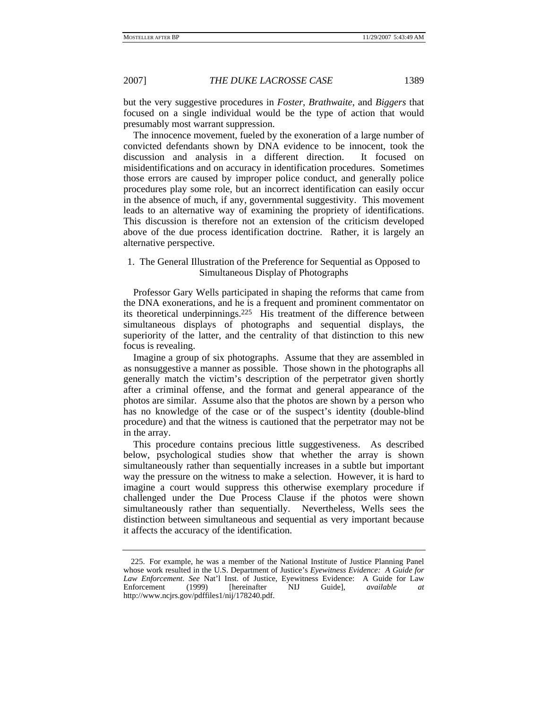but the very suggestive procedures in *Foster*, *Brathwaite*, and *Biggers* that focused on a single individual would be the type of action that would presumably most warrant suppression.

The innocence movement, fueled by the exoneration of a large number of convicted defendants shown by DNA evidence to be innocent, took the discussion and analysis in a different direction. It focused on misidentifications and on accuracy in identification procedures. Sometimes those errors are caused by improper police conduct, and generally police procedures play some role, but an incorrect identification can easily occur in the absence of much, if any, governmental suggestivity. This movement leads to an alternative way of examining the propriety of identifications. This discussion is therefore not an extension of the criticism developed above of the due process identification doctrine. Rather, it is largely an alternative perspective.

# 1. The General Illustration of the Preference for Sequential as Opposed to Simultaneous Display of Photographs

Professor Gary Wells participated in shaping the reforms that came from the DNA exonerations, and he is a frequent and prominent commentator on its theoretical underpinnings.225 His treatment of the difference between simultaneous displays of photographs and sequential displays, the superiority of the latter, and the centrality of that distinction to this new focus is revealing.

Imagine a group of six photographs. Assume that they are assembled in as nonsuggestive a manner as possible. Those shown in the photographs all generally match the victim's description of the perpetrator given shortly after a criminal offense, and the format and general appearance of the photos are similar. Assume also that the photos are shown by a person who has no knowledge of the case or of the suspect's identity (double-blind procedure) and that the witness is cautioned that the perpetrator may not be in the array.

This procedure contains precious little suggestiveness. As described below, psychological studies show that whether the array is shown simultaneously rather than sequentially increases in a subtle but important way the pressure on the witness to make a selection. However, it is hard to imagine a court would suppress this otherwise exemplary procedure if challenged under the Due Process Clause if the photos were shown simultaneously rather than sequentially. Nevertheless, Wells sees the distinction between simultaneous and sequential as very important because it affects the accuracy of the identification.

 <sup>225.</sup> For example, he was a member of the National Institute of Justice Planning Panel whose work resulted in the U.S. Department of Justice's *Eyewitness Evidence: A Guide for Law Enforcement*. *See* Nat'l Inst. of Justice, Eyewitness Evidence: A Guide for Law Enforcement (1999) [hereinafter NIJ Guide], *available at* http://www.ncjrs.gov/pdffiles1/nij/178240.pdf.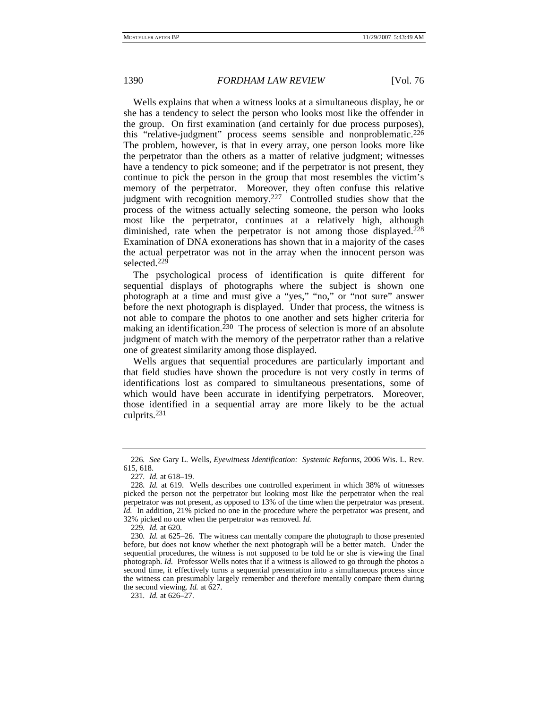Wells explains that when a witness looks at a simultaneous display, he or she has a tendency to select the person who looks most like the offender in the group. On first examination (and certainly for due process purposes), this "relative-judgment" process seems sensible and nonproblematic.226 The problem, however, is that in every array, one person looks more like the perpetrator than the others as a matter of relative judgment; witnesses have a tendency to pick someone; and if the perpetrator is not present, they continue to pick the person in the group that most resembles the victim's memory of the perpetrator. Moreover, they often confuse this relative judgment with recognition memory.<sup>227</sup> Controlled studies show that the process of the witness actually selecting someone, the person who looks most like the perpetrator, continues at a relatively high, although diminished, rate when the perpetrator is not among those displayed.<sup>228</sup> Examination of DNA exonerations has shown that in a majority of the cases the actual perpetrator was not in the array when the innocent person was selected.229

The psychological process of identification is quite different for sequential displays of photographs where the subject is shown one photograph at a time and must give a "yes," "no," or "not sure" answer before the next photograph is displayed. Under that process, the witness is not able to compare the photos to one another and sets higher criteria for making an identification.<sup>230</sup> The process of selection is more of an absolute judgment of match with the memory of the perpetrator rather than a relative one of greatest similarity among those displayed.

Wells argues that sequential procedures are particularly important and that field studies have shown the procedure is not very costly in terms of identifications lost as compared to simultaneous presentations, some of which would have been accurate in identifying perpetrators. Moreover, those identified in a sequential array are more likely to be the actual culprits.231

<sup>226</sup>*. See* Gary L. Wells, *Eyewitness Identification: Systemic Reforms*, 2006 Wis. L. Rev. 615, 618.

<sup>227</sup>*. Id.* at 618–19.

<sup>228</sup>*. Id.* at 619. Wells describes one controlled experiment in which 38% of witnesses picked the person not the perpetrator but looking most like the perpetrator when the real perpetrator was not present, as opposed to 13% of the time when the perpetrator was present. *Id.* In addition, 21% picked no one in the procedure where the perpetrator was present, and 32% picked no one when the perpetrator was removed. *Id.*

<sup>229</sup>*. Id.* at 620.

<sup>230</sup>*. Id.* at 625–26. The witness can mentally compare the photograph to those presented before, but does not know whether the next photograph will be a better match. Under the sequential procedures, the witness is not supposed to be told he or she is viewing the final photograph. *Id.* Professor Wells notes that if a witness is allowed to go through the photos a second time, it effectively turns a sequential presentation into a simultaneous process since the witness can presumably largely remember and therefore mentally compare them during the second viewing. *Id.* at 627.

<sup>231</sup>*. Id.* at 626–27.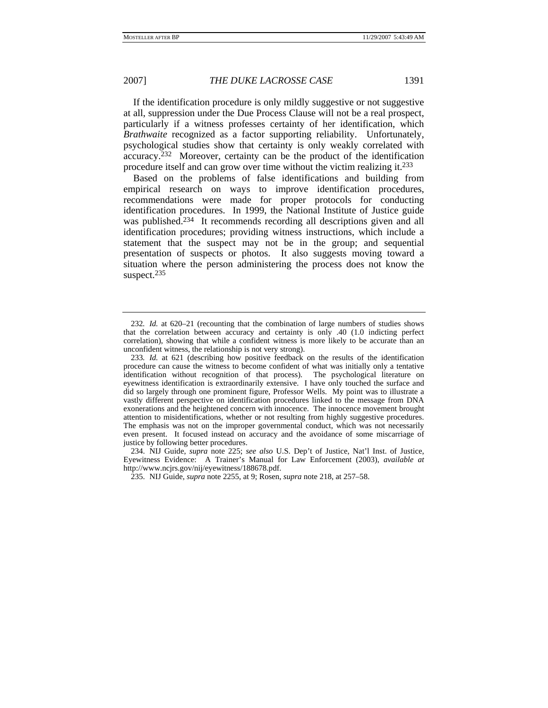If the identification procedure is only mildly suggestive or not suggestive at all, suppression under the Due Process Clause will not be a real prospect, particularly if a witness professes certainty of her identification, which *Brathwaite* recognized as a factor supporting reliability. Unfortunately, psychological studies show that certainty is only weakly correlated with accuracy.232 Moreover, certainty can be the product of the identification procedure itself and can grow over time without the victim realizing it.233

Based on the problems of false identifications and building from empirical research on ways to improve identification procedures, recommendations were made for proper protocols for conducting identification procedures. In 1999, the National Institute of Justice guide was published.<sup>234</sup> It recommends recording all descriptions given and all identification procedures; providing witness instructions, which include a statement that the suspect may not be in the group; and sequential presentation of suspects or photos. It also suggests moving toward a situation where the person administering the process does not know the suspect.<sup>235</sup>

 234. NIJ Guide, *supra* note 225; *see also* U.S. Dep't of Justice, Nat'l Inst. of Justice, Eyewitness Evidence: A Trainer's Manual for Law Enforcement (2003), *available at* http://www.ncjrs.gov/nij/eyewitness/188678.pdf.

<sup>232</sup>*. Id.* at 620–21 (recounting that the combination of large numbers of studies shows that the correlation between accuracy and certainty is only .40 (1.0 indicting perfect correlation), showing that while a confident witness is more likely to be accurate than an unconfident witness, the relationship is not very strong).

<sup>233</sup>*. Id.* at 621 (describing how positive feedback on the results of the identification procedure can cause the witness to become confident of what was initially only a tentative identification without recognition of that process). The psychological literature on eyewitness identification is extraordinarily extensive. I have only touched the surface and did so largely through one prominent figure, Professor Wells. My point was to illustrate a vastly different perspective on identification procedures linked to the message from DNA exonerations and the heightened concern with innocence. The innocence movement brought attention to misidentifications, whether or not resulting from highly suggestive procedures. The emphasis was not on the improper governmental conduct, which was not necessarily even present. It focused instead on accuracy and the avoidance of some miscarriage of justice by following better procedures.

 <sup>235.</sup> NIJ Guide, *supra* note 2255, at 9; Rosen, *supra* note 218, at 257–58.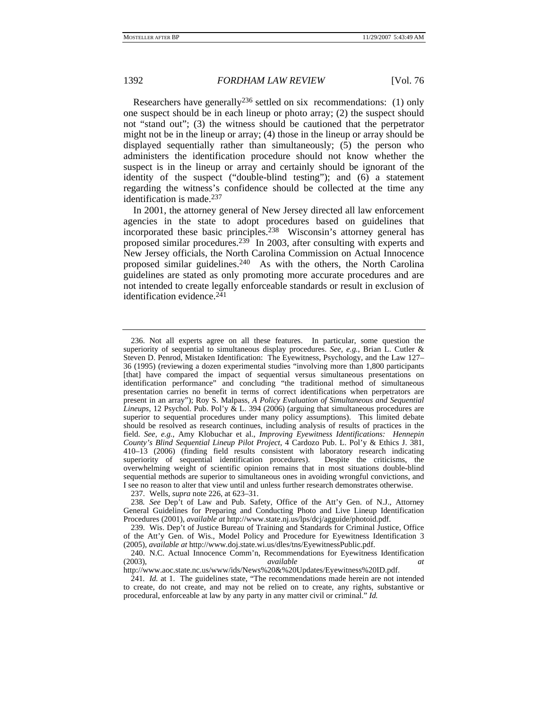Researchers have generally<sup>236</sup> settled on six recommendations: (1) only one suspect should be in each lineup or photo array; (2) the suspect should not "stand out"; (3) the witness should be cautioned that the perpetrator might not be in the lineup or array; (4) those in the lineup or array should be displayed sequentially rather than simultaneously; (5) the person who administers the identification procedure should not know whether the suspect is in the lineup or array and certainly should be ignorant of the identity of the suspect ("double-blind testing"); and (6) a statement regarding the witness's confidence should be collected at the time any identification is made.237

In 2001, the attorney general of New Jersey directed all law enforcement agencies in the state to adopt procedures based on guidelines that incorporated these basic principles.238 Wisconsin's attorney general has proposed similar procedures.239 In 2003, after consulting with experts and New Jersey officials, the North Carolina Commission on Actual Innocence proposed similar guidelines.<sup>240</sup> As with the others, the North Carolina guidelines are stated as only promoting more accurate procedures and are not intended to create legally enforceable standards or result in exclusion of identification evidence.<sup>241</sup>

 <sup>236.</sup> Not all experts agree on all these features. In particular, some question the superiority of sequential to simultaneous display procedures. *See, e.g.*, Brian L. Cutler & Steven D. Penrod, Mistaken Identification: The Eyewitness, Psychology, and the Law 127– 36 (1995) (reviewing a dozen experimental studies "involving more than 1,800 participants [that] have compared the impact of sequential versus simultaneous presentations on identification performance" and concluding "the traditional method of simultaneous presentation carries no benefit in terms of correct identifications when perpetrators are present in an array"); Roy S. Malpass, *A Policy Evaluation of Simultaneous and Sequential Lineups*, 12 Psychol. Pub. Pol'y & L. 394 (2006) (arguing that simultaneous procedures are superior to sequential procedures under many policy assumptions). This limited debate should be resolved as research continues, including analysis of results of practices in the field. *See, e.g.*, Amy Klobuchar et al., *Improving Eyewitness Identifications: Hennepin County's Blind Sequential Lineup Pilot Project*, 4 Cardozo Pub. L. Pol'y & Ethics J. 381, 410–13 (2006) (finding field results consistent with laboratory research indicating superiority of sequential identification procedures). Despite the criticisms, the overwhelming weight of scientific opinion remains that in most situations double-blind sequential methods are superior to simultaneous ones in avoiding wrongful convictions, and I see no reason to alter that view until and unless further research demonstrates otherwise.

 <sup>237.</sup> Wells, *supra* note 226, at 623–31.

<sup>238</sup>*. See* Dep't of Law and Pub. Safety, Office of the Att'y Gen. of N.J., Attorney General Guidelines for Preparing and Conducting Photo and Live Lineup Identification Procedures (2001), *available at* http://www.state.nj.us/lps/dcj/agguide/photoid.pdf.

 <sup>239.</sup> Wis. Dep't of Justice Bureau of Training and Standards for Criminal Justice, Office of the Att'y Gen. of Wis., Model Policy and Procedure for Eyewitness Identification 3 (2005), *available at* http://www.doj.state.wi.us/dles/tns/EyewitnessPublic.pdf.

 <sup>240.</sup> N.C. Actual Innocence Comm'n, Recommendations for Eyewitness Identification (2003), *available at*

http://www.aoc.state.nc.us/www/ids/News%20&%20Updates/Eyewitness%20ID.pdf.

<sup>241</sup>*. Id.* at 1. The guidelines state, "The recommendations made herein are not intended to create, do not create, and may not be relied on to create, any rights, substantive or procedural, enforceable at law by any party in any matter civil or criminal." *Id.*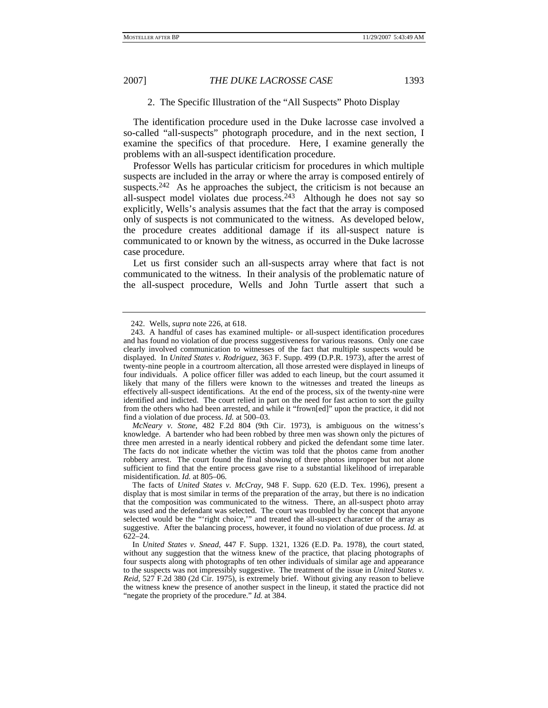# 2. The Specific Illustration of the "All Suspects" Photo Display

The identification procedure used in the Duke lacrosse case involved a so-called "all-suspects" photograph procedure, and in the next section, I examine the specifics of that procedure. Here, I examine generally the problems with an all-suspect identification procedure.

Professor Wells has particular criticism for procedures in which multiple suspects are included in the array or where the array is composed entirely of suspects.<sup>242</sup> As he approaches the subject, the criticism is not because an all-suspect model violates due process.243 Although he does not say so explicitly, Wells's analysis assumes that the fact that the array is composed only of suspects is not communicated to the witness. As developed below, the procedure creates additional damage if its all-suspect nature is communicated to or known by the witness, as occurred in the Duke lacrosse case procedure.

Let us first consider such an all-suspects array where that fact is not communicated to the witness. In their analysis of the problematic nature of the all-suspect procedure, Wells and John Turtle assert that such a

 <sup>242.</sup> Wells, *supra* note 226, at 618.

 <sup>243.</sup> A handful of cases has examined multiple- or all-suspect identification procedures and has found no violation of due process suggestiveness for various reasons. Only one case clearly involved communication to witnesses of the fact that multiple suspects would be displayed. In *United States v. Rodriguez*, 363 F. Supp. 499 (D.P.R. 1973), after the arrest of twenty-nine people in a courtroom altercation, all those arrested were displayed in lineups of four individuals. A police officer filler was added to each lineup, but the court assumed it likely that many of the fillers were known to the witnesses and treated the lineups as effectively all-suspect identifications. At the end of the process, six of the twenty-nine were identified and indicted. The court relied in part on the need for fast action to sort the guilty from the others who had been arrested, and while it "frown[ed]" upon the practice, it did not find a violation of due process. *Id.* at 500–03.

*McNeary v. Stone*, 482 F.2d 804 (9th Cir. 1973), is ambiguous on the witness's knowledge. A bartender who had been robbed by three men was shown only the pictures of three men arrested in a nearly identical robbery and picked the defendant some time later. The facts do not indicate whether the victim was told that the photos came from another robbery arrest. The court found the final showing of three photos improper but not alone sufficient to find that the entire process gave rise to a substantial likelihood of irreparable misidentification. *Id.* at 805–06.

The facts of *United States v. McCray*, 948 F. Supp. 620 (E.D. Tex. 1996), present a display that is most similar in terms of the preparation of the array, but there is no indication that the composition was communicated to the witness. There, an all-suspect photo array was used and the defendant was selected. The court was troubled by the concept that anyone selected would be the "'right choice,'" and treated the all-suspect character of the array as suggestive. After the balancing process, however, it found no violation of due process. *Id.* at 622–24.

In *United States v. Snead*, 447 F. Supp. 1321, 1326 (E.D. Pa. 1978), the court stated, without any suggestion that the witness knew of the practice, that placing photographs of four suspects along with photographs of ten other individuals of similar age and appearance to the suspects was not impressibly suggestive. The treatment of the issue in *United States v. Reid*, 527 F.2d 380 (2d Cir. 1975), is extremely brief. Without giving any reason to believe the witness knew the presence of another suspect in the lineup, it stated the practice did not "negate the propriety of the procedure." *Id.* at 384.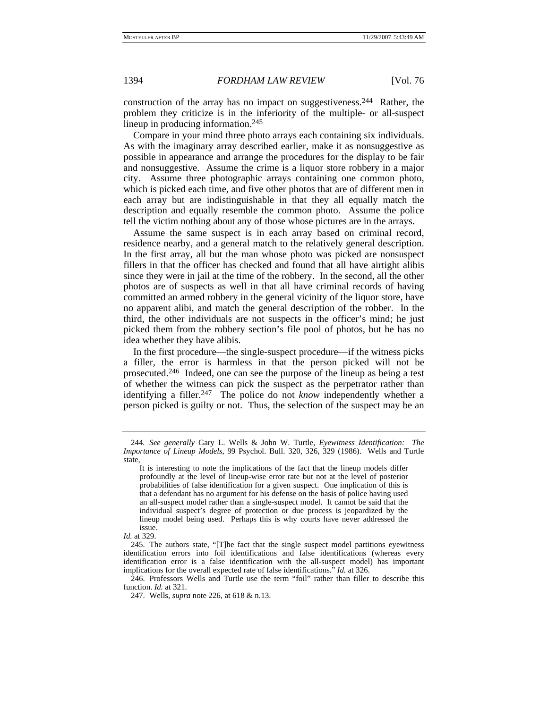construction of the array has no impact on suggestiveness.244 Rather, the problem they criticize is in the inferiority of the multiple- or all-suspect lineup in producing information.<sup>245</sup>

Compare in your mind three photo arrays each containing six individuals. As with the imaginary array described earlier, make it as nonsuggestive as possible in appearance and arrange the procedures for the display to be fair and nonsuggestive. Assume the crime is a liquor store robbery in a major city. Assume three photographic arrays containing one common photo, which is picked each time, and five other photos that are of different men in each array but are indistinguishable in that they all equally match the description and equally resemble the common photo. Assume the police tell the victim nothing about any of those whose pictures are in the arrays.

Assume the same suspect is in each array based on criminal record, residence nearby, and a general match to the relatively general description. In the first array, all but the man whose photo was picked are nonsuspect fillers in that the officer has checked and found that all have airtight alibis since they were in jail at the time of the robbery. In the second, all the other photos are of suspects as well in that all have criminal records of having committed an armed robbery in the general vicinity of the liquor store, have no apparent alibi, and match the general description of the robber. In the third, the other individuals are not suspects in the officer's mind; he just picked them from the robbery section's file pool of photos, but he has no idea whether they have alibis.

In the first procedure—the single-suspect procedure—if the witness picks a filler, the error is harmless in that the person picked will not be prosecuted.246 Indeed, one can see the purpose of the lineup as being a test of whether the witness can pick the suspect as the perpetrator rather than identifying a filler.247 The police do not *know* independently whether a person picked is guilty or not. Thus, the selection of the suspect may be an

 246. Professors Wells and Turtle use the term "foil" rather than filler to describe this function. *Id.* at 321.

<sup>244</sup>*. See generally* Gary L. Wells & John W. Turtle, *Eyewitness Identification: The Importance of Lineup Models*, 99 Psychol. Bull. 320, 326, 329 (1986). Wells and Turtle state,

It is interesting to note the implications of the fact that the lineup models differ profoundly at the level of lineup-wise error rate but not at the level of posterior probabilities of false identification for a given suspect. One implication of this is that a defendant has no argument for his defense on the basis of police having used an all-suspect model rather than a single-suspect model. It cannot be said that the individual suspect's degree of protection or due process is jeopardized by the lineup model being used. Perhaps this is why courts have never addressed the issue.

*Id.* at 329.

 <sup>245.</sup> The authors state, "[T]he fact that the single suspect model partitions eyewitness identification errors into foil identifications and false identifications (whereas every identification error is a false identification with the all-suspect model) has important implications for the overall expected rate of false identifications." *Id.* at 326.

 <sup>247.</sup> Wells, *supra* note 226, at 618 & n.13.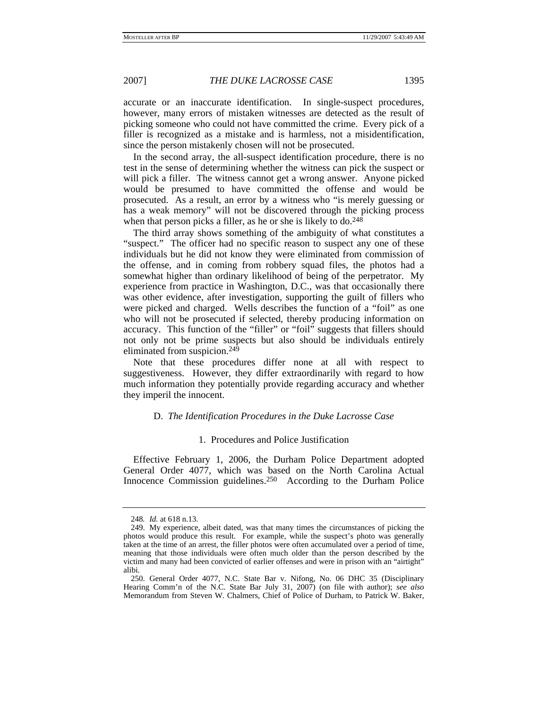accurate or an inaccurate identification. In single-suspect procedures, however, many errors of mistaken witnesses are detected as the result of picking someone who could not have committed the crime. Every pick of a filler is recognized as a mistake and is harmless, not a misidentification, since the person mistakenly chosen will not be prosecuted.

In the second array, the all-suspect identification procedure, there is no test in the sense of determining whether the witness can pick the suspect or will pick a filler. The witness cannot get a wrong answer. Anyone picked would be presumed to have committed the offense and would be prosecuted. As a result, an error by a witness who "is merely guessing or has a weak memory" will not be discovered through the picking process when that person picks a filler, as he or she is likely to do.<sup>248</sup>

The third array shows something of the ambiguity of what constitutes a "suspect." The officer had no specific reason to suspect any one of these individuals but he did not know they were eliminated from commission of the offense, and in coming from robbery squad files, the photos had a somewhat higher than ordinary likelihood of being of the perpetrator. My experience from practice in Washington, D.C., was that occasionally there was other evidence, after investigation, supporting the guilt of fillers who were picked and charged. Wells describes the function of a "foil" as one who will not be prosecuted if selected, thereby producing information on accuracy. This function of the "filler" or "foil" suggests that fillers should not only not be prime suspects but also should be individuals entirely eliminated from suspicion.249

Note that these procedures differ none at all with respect to suggestiveness. However, they differ extraordinarily with regard to how much information they potentially provide regarding accuracy and whether they imperil the innocent.

## D. *The Identification Procedures in the Duke Lacrosse Case*

## 1. Procedures and Police Justification

Effective February 1, 2006, the Durham Police Department adopted General Order 4077, which was based on the North Carolina Actual Innocence Commission guidelines.250 According to the Durham Police

<sup>248</sup>*. Id.* at 618 n.13.

 <sup>249.</sup> My experience, albeit dated, was that many times the circumstances of picking the photos would produce this result. For example, while the suspect's photo was generally taken at the time of an arrest, the filler photos were often accumulated over a period of time, meaning that those individuals were often much older than the person described by the victim and many had been convicted of earlier offenses and were in prison with an "airtight" alibi.

 <sup>250.</sup> General Order 4077, N.C. State Bar v. Nifong, No. 06 DHC 35 (Disciplinary Hearing Comm'n of the N.C. State Bar July 31, 2007) (on file with author); *see also* Memorandum from Steven W. Chalmers, Chief of Police of Durham, to Patrick W. Baker,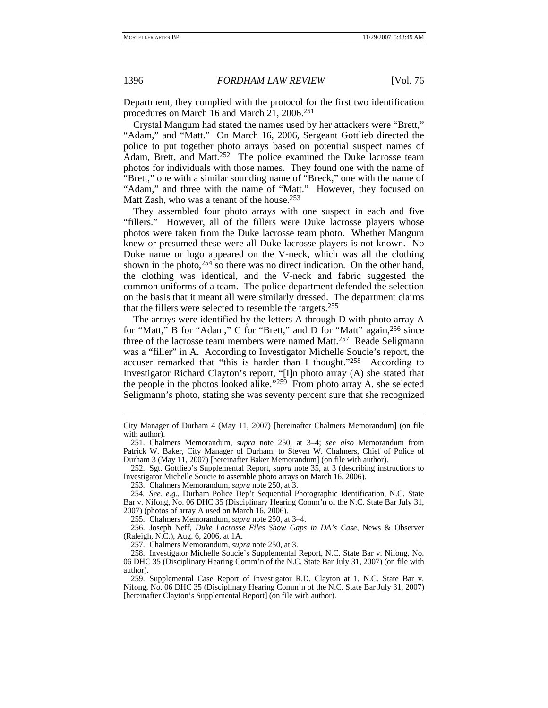Department, they complied with the protocol for the first two identification procedures on March 16 and March 21, 2006.251

Crystal Mangum had stated the names used by her attackers were "Brett," "Adam," and "Matt." On March 16, 2006, Sergeant Gottlieb directed the police to put together photo arrays based on potential suspect names of Adam, Brett, and Matt.<sup>252</sup> The police examined the Duke lacrosse team photos for individuals with those names. They found one with the name of "Brett," one with a similar sounding name of "Breck," one with the name of "Adam," and three with the name of "Matt." However, they focused on Matt Zash, who was a tenant of the house.<sup>253</sup>

They assembled four photo arrays with one suspect in each and five "fillers." However, all of the fillers were Duke lacrosse players whose photos were taken from the Duke lacrosse team photo. Whether Mangum knew or presumed these were all Duke lacrosse players is not known. No Duke name or logo appeared on the V-neck, which was all the clothing shown in the photo, $254$  so there was no direct indication. On the other hand, the clothing was identical, and the V-neck and fabric suggested the common uniforms of a team. The police department defended the selection on the basis that it meant all were similarly dressed. The department claims that the fillers were selected to resemble the targets.255

The arrays were identified by the letters A through D with photo array A for "Matt," B for "Adam," C for "Brett," and D for "Matt" again,256 since three of the lacrosse team members were named Matt.<sup>257</sup> Reade Seligmann was a "filler" in A. According to Investigator Michelle Soucie's report, the accuser remarked that "this is harder than I thought."258 According to Investigator Richard Clayton's report, "[I]n photo array (A) she stated that the people in the photos looked alike."259 From photo array A, she selected Seligmann's photo, stating she was seventy percent sure that she recognized

 252. Sgt. Gottlieb's Supplemental Report, *supra* note 35, at 3 (describing instructions to Investigator Michelle Soucie to assemble photo arrays on March 16, 2006).

253. Chalmers Memorandum, *supra* note 250, at 3.

254*. See, e.g.*, Durham Police Dep't Sequential Photographic Identification, N.C. State Bar v. Nifong, No. 06 DHC 35 (Disciplinary Hearing Comm'n of the N.C. State Bar July 31, 2007) (photos of array A used on March 16, 2006).

255. Chalmers Memorandum, *supra* note 250, at 3–4.

 256. Joseph Neff, *Duke Lacrosse Files Show Gaps in DA's Case*, News & Observer (Raleigh, N.C.), Aug. 6, 2006, at 1A.

257. Chalmers Memorandum, *supra* note 250, at 3.

 259. Supplemental Case Report of Investigator R.D. Clayton at 1, N.C. State Bar v. Nifong, No. 06 DHC 35 (Disciplinary Hearing Comm'n of the N.C. State Bar July 31, 2007) [hereinafter Clayton's Supplemental Report] (on file with author).

City Manager of Durham 4 (May 11, 2007) [hereinafter Chalmers Memorandum] (on file with author).

 <sup>251.</sup> Chalmers Memorandum, *supra* note 250, at 3–4; *see also* Memorandum from Patrick W. Baker, City Manager of Durham, to Steven W. Chalmers, Chief of Police of Durham 3 (May 11, 2007) [hereinafter Baker Memorandum] (on file with author).

 <sup>258.</sup> Investigator Michelle Soucie's Supplemental Report, N.C. State Bar v. Nifong, No. 06 DHC 35 (Disciplinary Hearing Comm'n of the N.C. State Bar July 31, 2007) (on file with author).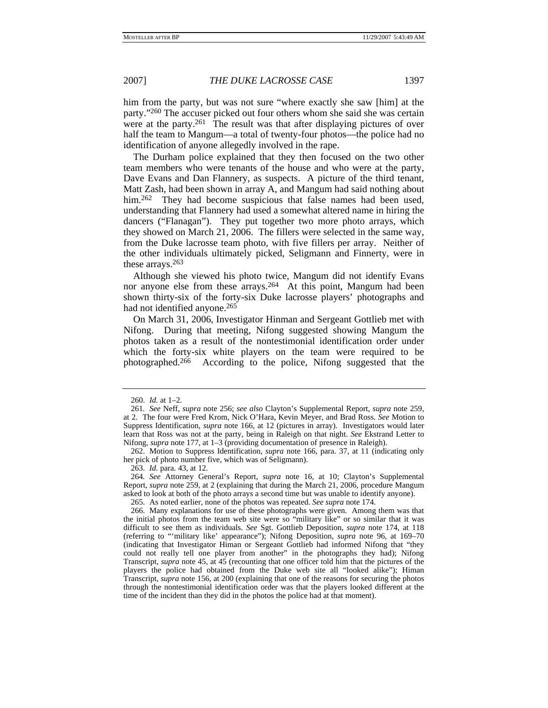him from the party, but was not sure "where exactly she saw [him] at the party."260 The accuser picked out four others whom she said she was certain were at the party.<sup>261</sup> The result was that after displaying pictures of over half the team to Mangum—a total of twenty-four photos—the police had no identification of anyone allegedly involved in the rape.

The Durham police explained that they then focused on the two other team members who were tenants of the house and who were at the party, Dave Evans and Dan Flannery, as suspects. A picture of the third tenant, Matt Zash, had been shown in array A, and Mangum had said nothing about him.<sup>262</sup> They had become suspicious that false names had been used, understanding that Flannery had used a somewhat altered name in hiring the dancers ("Flanagan"). They put together two more photo arrays, which they showed on March 21, 2006. The fillers were selected in the same way, from the Duke lacrosse team photo, with five fillers per array. Neither of the other individuals ultimately picked, Seligmann and Finnerty, were in these arrays.263

Although she viewed his photo twice, Mangum did not identify Evans nor anyone else from these arrays.<sup>264</sup> At this point, Mangum had been shown thirty-six of the forty-six Duke lacrosse players' photographs and had not identified anyone.<sup>265</sup>

On March 31, 2006, Investigator Hinman and Sergeant Gottlieb met with Nifong. During that meeting, Nifong suggested showing Mangum the photos taken as a result of the nontestimonial identification order under which the forty-six white players on the team were required to be photographed.266 According to the police, Nifong suggested that the

263. *Id.* para. 43, at 12.

264*. See* Attorney General's Report, *supra* note 16, at 10; Clayton's Supplemental Report, *supra* note 259, at 2 (explaining that during the March 21, 2006, procedure Mangum asked to look at both of the photo arrays a second time but was unable to identify anyone).

265. As noted earlier, none of the photos was repeated. *See supra* note 174.

 <sup>260.</sup> *Id.* at 1–2.

<sup>261</sup>*. See* Neff, *supra* note 256; *see also* Clayton's Supplemental Report, *supra* note 259, at 2. The four were Fred Krom, Nick O'Hara, Kevin Meyer, and Brad Ross. *See* Motion to Suppress Identification, *supra* note 166, at 12 (pictures in array). Investigators would later learn that Ross was not at the party, being in Raleigh on that night. *See* Ekstrand Letter to Nifong, *supra* note 177, at 1–3 (providing documentation of presence in Raleigh).

 <sup>262.</sup> Motion to Suppress Identification, *supra* note 166, para. 37, at 11 (indicating only her pick of photo number five, which was of Seligmann).

 <sup>266.</sup> Many explanations for use of these photographs were given. Among them was that the initial photos from the team web site were so "military like" or so similar that it was difficult to see them as individuals. *See* Sgt. Gottlieb Deposition, *supra* note 174, at 118 (referring to "'military like' appearance"); Nifong Deposition, *supra* note 96, at 169–70 (indicating that Investigator Himan or Sergeant Gottlieb had informed Nifong that "they could not really tell one player from another" in the photographs they had); Nifong Transcript, *supra* note 45, at 45 (recounting that one officer told him that the pictures of the players the police had obtained from the Duke web site all "looked alike"); Himan Transcript, *supra* note 156, at 200 (explaining that one of the reasons for securing the photos through the nontestimonial identification order was that the players looked different at the time of the incident than they did in the photos the police had at that moment).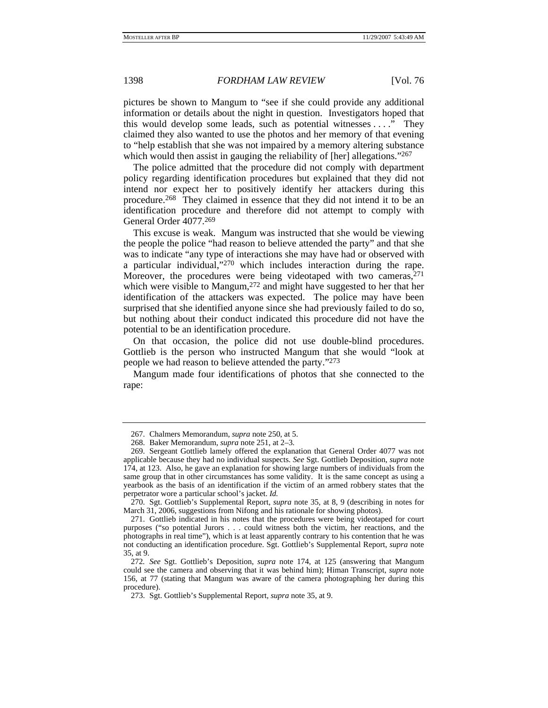pictures be shown to Mangum to "see if she could provide any additional information or details about the night in question. Investigators hoped that this would develop some leads, such as potential witnesses . . . ." They claimed they also wanted to use the photos and her memory of that evening to "help establish that she was not impaired by a memory altering substance which would then assist in gauging the reliability of [her] allegations."<sup>267</sup>

The police admitted that the procedure did not comply with department policy regarding identification procedures but explained that they did not intend nor expect her to positively identify her attackers during this procedure.268 They claimed in essence that they did not intend it to be an identification procedure and therefore did not attempt to comply with General Order 4077.269

This excuse is weak. Mangum was instructed that she would be viewing the people the police "had reason to believe attended the party" and that she was to indicate "any type of interactions she may have had or observed with a particular individual,"270 which includes interaction during the rape. Moreover, the procedures were being videotaped with two cameras, $^{271}$ which were visible to Mangum,<sup>272</sup> and might have suggested to her that her identification of the attackers was expected. The police may have been surprised that she identified anyone since she had previously failed to do so, but nothing about their conduct indicated this procedure did not have the potential to be an identification procedure.

On that occasion, the police did not use double-blind procedures. Gottlieb is the person who instructed Mangum that she would "look at people we had reason to believe attended the party."273

Mangum made four identifications of photos that she connected to the rape:

 <sup>267.</sup> Chalmers Memorandum, *supra* note 250, at 5.

 <sup>268.</sup> Baker Memorandum, *supra* note 251, at 2–3.

 <sup>269.</sup> Sergeant Gottlieb lamely offered the explanation that General Order 4077 was not applicable because they had no individual suspects. *See* Sgt. Gottlieb Deposition, *supra* note 174, at 123. Also, he gave an explanation for showing large numbers of individuals from the same group that in other circumstances has some validity. It is the same concept as using a yearbook as the basis of an identification if the victim of an armed robbery states that the perpetrator wore a particular school's jacket. *Id.*

 <sup>270.</sup> Sgt. Gottlieb's Supplemental Report, *supra* note 35, at 8, 9 (describing in notes for March 31, 2006, suggestions from Nifong and his rationale for showing photos).

 <sup>271.</sup> Gottlieb indicated in his notes that the procedures were being videotaped for court purposes ("so potential Jurors . . . could witness both the victim, her reactions, and the photographs in real time"), which is at least apparently contrary to his contention that he was not conducting an identification procedure. Sgt. Gottlieb's Supplemental Report, *supra* note 35, at 9.

<sup>272</sup>*. See* Sgt. Gottlieb's Deposition, *supra* note 174, at 125 (answering that Mangum could see the camera and observing that it was behind him); Himan Transcript, *supra* note 156, at 77 (stating that Mangum was aware of the camera photographing her during this procedure).

 <sup>273.</sup> Sgt. Gottlieb's Supplemental Report, *supra* note 35, at 9.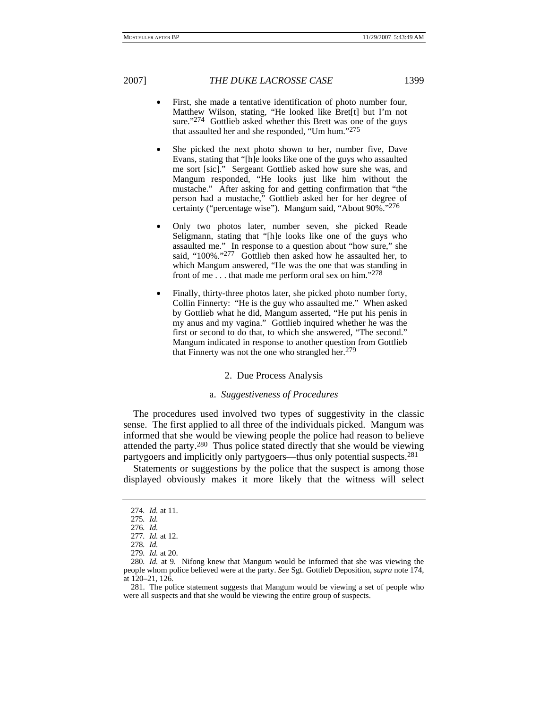- First, she made a tentative identification of photo number four, Matthew Wilson, stating, "He looked like Bret[t] but I'm not sure."<sup>274</sup> Gottlieb asked whether this Brett was one of the guys that assaulted her and she responded, "Um hum."275
- She picked the next photo shown to her, number five, Dave Evans, stating that "[h]e looks like one of the guys who assaulted me sort [sic]." Sergeant Gottlieb asked how sure she was, and Mangum responded, "He looks just like him without the mustache." After asking for and getting confirmation that "the person had a mustache," Gottlieb asked her for her degree of certainty ("percentage wise"). Mangum said, "About 90%."276
- Only two photos later, number seven, she picked Reade Seligmann, stating that "[h]e looks like one of the guys who assaulted me." In response to a question about "how sure," she said, "100%."277 Gottlieb then asked how he assaulted her, to which Mangum answered, "He was the one that was standing in front of me . . . that made me perform oral sex on him."278
- Finally, thirty-three photos later, she picked photo number forty, Collin Finnerty: "He is the guy who assaulted me." When asked by Gottlieb what he did, Mangum asserted, "He put his penis in my anus and my vagina." Gottlieb inquired whether he was the first or second to do that, to which she answered, "The second." Mangum indicated in response to another question from Gottlieb that Finnerty was not the one who strangled her.<sup>279</sup>

## 2. Due Process Analysis

### a. *Suggestiveness of Procedures*

The procedures used involved two types of suggestivity in the classic sense. The first applied to all three of the individuals picked. Mangum was informed that she would be viewing people the police had reason to believe attended the party.280 Thus police stated directly that she would be viewing partygoers and implicitly only partygoers—thus only potential suspects.281

Statements or suggestions by the police that the suspect is among those displayed obviously makes it more likely that the witness will select

<sup>274</sup>*. Id.* at 11.

<sup>275</sup>*. Id.*

<sup>276</sup>*. Id.*

<sup>277</sup>*. Id.* at 12.

<sup>278</sup>*. Id.*

<sup>279</sup>*. Id.* at 20.

<sup>280</sup>*. Id.* at 9. Nifong knew that Mangum would be informed that she was viewing the people whom police believed were at the party. *See* Sgt. Gottlieb Deposition, *supra* note 174, at 120–21, 126.

 <sup>281.</sup> The police statement suggests that Mangum would be viewing a set of people who were all suspects and that she would be viewing the entire group of suspects.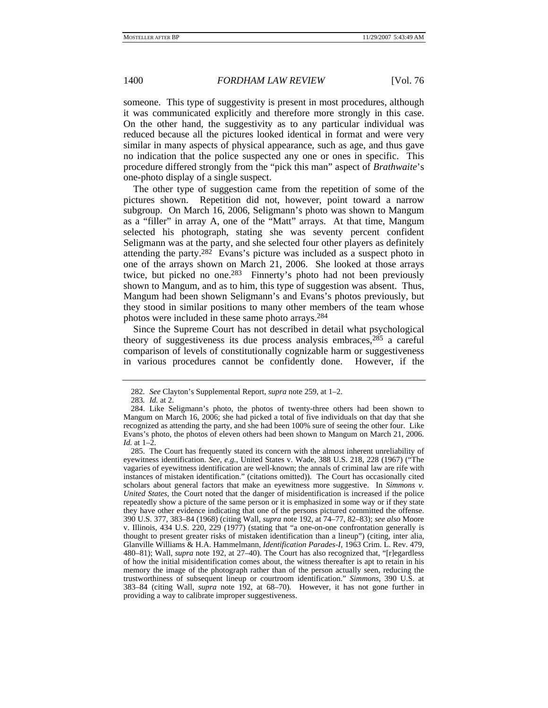someone. This type of suggestivity is present in most procedures, although it was communicated explicitly and therefore more strongly in this case. On the other hand, the suggestivity as to any particular individual was reduced because all the pictures looked identical in format and were very similar in many aspects of physical appearance, such as age, and thus gave no indication that the police suspected any one or ones in specific. This procedure differed strongly from the "pick this man" aspect of *Brathwaite*'s one-photo display of a single suspect.

The other type of suggestion came from the repetition of some of the pictures shown. Repetition did not, however, point toward a narrow subgroup. On March 16, 2006, Seligmann's photo was shown to Mangum as a "filler" in array A, one of the "Matt" arrays. At that time, Mangum selected his photograph, stating she was seventy percent confident Seligmann was at the party, and she selected four other players as definitely attending the party.<sup>282</sup> Evans's picture was included as a suspect photo in one of the arrays shown on March 21, 2006. She looked at those arrays twice, but picked no one.<sup>283</sup> Finnerty's photo had not been previously shown to Mangum, and as to him, this type of suggestion was absent. Thus, Mangum had been shown Seligmann's and Evans's photos previously, but they stood in similar positions to many other members of the team whose photos were included in these same photo arrays.284

Since the Supreme Court has not described in detail what psychological theory of suggestiveness its due process analysis embraces,  $285$  a careful comparison of levels of constitutionally cognizable harm or suggestiveness in various procedures cannot be confidently done. However, if the

<sup>282</sup>*. See* Clayton's Supplemental Report, *supra* note 259, at 1–2.

<sup>283</sup>*. Id.* at 2.

 <sup>284.</sup> Like Seligmann's photo, the photos of twenty-three others had been shown to Mangum on March 16, 2006; she had picked a total of five individuals on that day that she recognized as attending the party, and she had been 100% sure of seeing the other four. Like Evans's photo, the photos of eleven others had been shown to Mangum on March 21, 2006. *Id.* at 1–2.

 <sup>285.</sup> The Court has frequently stated its concern with the almost inherent unreliability of eyewitness identification. *See, e.g.*, United States v. Wade, 388 U.S. 218, 228 (1967) ("The vagaries of eyewitness identification are well-known; the annals of criminal law are rife with instances of mistaken identification." (citations omitted)). The Court has occasionally cited scholars about general factors that make an eyewitness more suggestive. In *Simmons v. United States*, the Court noted that the danger of misidentification is increased if the police repeatedly show a picture of the same person or it is emphasized in some way or if they state they have other evidence indicating that one of the persons pictured committed the offense. 390 U.S. 377, 383–84 (1968) (citing Wall, *supra* note 192, at 74–77, 82–83); *see also* Moore v. Illinois, 434 U.S. 220, 229 (1977) (stating that "a one-on-one confrontation generally is thought to present greater risks of mistaken identification than a lineup") (citing, inter alia, Glanville Williams & H.A. Hammelmann, *Identification Parades-I*, 1963 Crim. L. Rev. 479, 480–81); Wall, *supra* note 192, at 27–40). The Court has also recognized that, "[r]egardless of how the initial misidentification comes about, the witness thereafter is apt to retain in his memory the image of the photograph rather than of the person actually seen, reducing the trustworthiness of subsequent lineup or courtroom identification." *Simmons*, 390 U.S. at 383–84 (citing Wall, *supra* note 192, at 68–70). However, it has not gone further in providing a way to calibrate improper suggestiveness.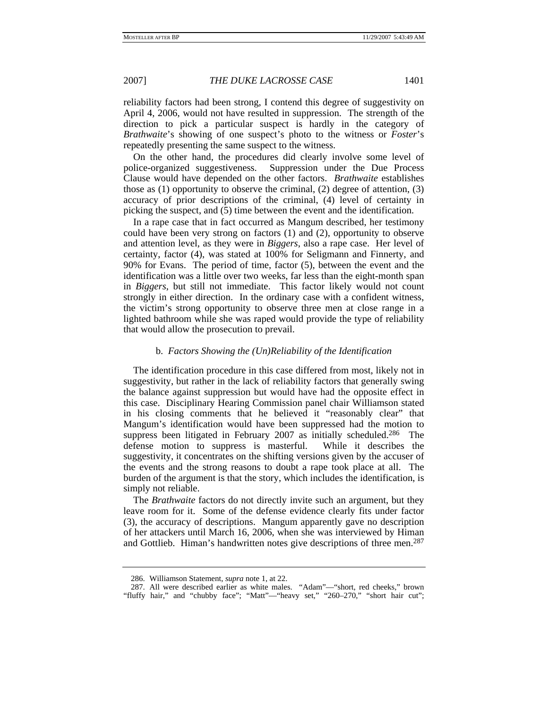reliability factors had been strong, I contend this degree of suggestivity on April 4, 2006, would not have resulted in suppression. The strength of the direction to pick a particular suspect is hardly in the category of *Brathwaite*'s showing of one suspect's photo to the witness or *Foster*'s repeatedly presenting the same suspect to the witness.

On the other hand, the procedures did clearly involve some level of police-organized suggestiveness. Suppression under the Due Process Clause would have depended on the other factors. *Brathwaite* establishes those as (1) opportunity to observe the criminal, (2) degree of attention, (3) accuracy of prior descriptions of the criminal, (4) level of certainty in picking the suspect, and (5) time between the event and the identification.

In a rape case that in fact occurred as Mangum described, her testimony could have been very strong on factors (1) and (2), opportunity to observe and attention level, as they were in *Biggers*, also a rape case. Her level of certainty, factor (4), was stated at 100% for Seligmann and Finnerty, and 90% for Evans. The period of time, factor (5), between the event and the identification was a little over two weeks, far less than the eight-month span in *Biggers*, but still not immediate. This factor likely would not count strongly in either direction. In the ordinary case with a confident witness, the victim's strong opportunity to observe three men at close range in a lighted bathroom while she was raped would provide the type of reliability that would allow the prosecution to prevail.

### b. *Factors Showing the (Un)Reliability of the Identification*

The identification procedure in this case differed from most, likely not in suggestivity, but rather in the lack of reliability factors that generally swing the balance against suppression but would have had the opposite effect in this case. Disciplinary Hearing Commission panel chair Williamson stated in his closing comments that he believed it "reasonably clear" that Mangum's identification would have been suppressed had the motion to suppress been litigated in February 2007 as initially scheduled.<sup>286</sup> The defense motion to suppress is masterful. While it describes the suggestivity, it concentrates on the shifting versions given by the accuser of the events and the strong reasons to doubt a rape took place at all. The burden of the argument is that the story, which includes the identification, is simply not reliable.

The *Brathwaite* factors do not directly invite such an argument, but they leave room for it. Some of the defense evidence clearly fits under factor (3), the accuracy of descriptions. Mangum apparently gave no description of her attackers until March 16, 2006, when she was interviewed by Himan and Gottlieb. Himan's handwritten notes give descriptions of three men.<sup>287</sup>

 <sup>286.</sup> Williamson Statement, *supra* note 1, at 22.

 <sup>287.</sup> All were described earlier as white males. "Adam"—"short, red cheeks," brown "fluffy hair," and "chubby face"; "Matt"-"heavy set," "260-270," "short hair cut";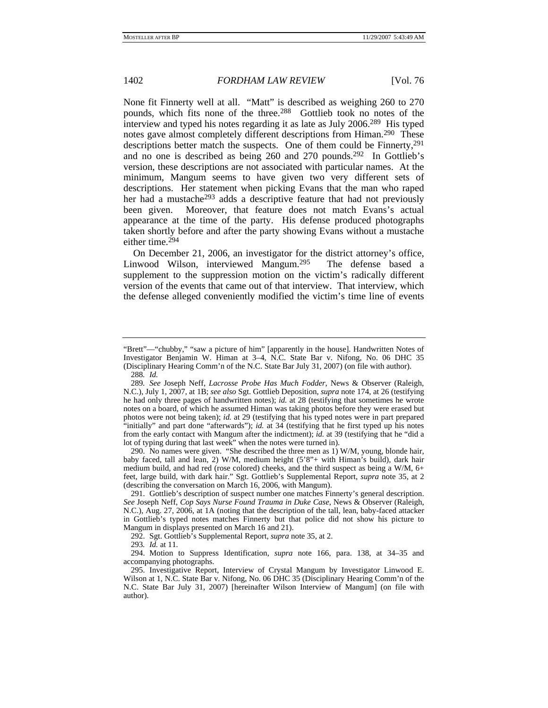None fit Finnerty well at all. "Matt" is described as weighing 260 to 270 pounds, which fits none of the three.<sup>288</sup> Gottlieb took no notes of the interview and typed his notes regarding it as late as July 2006.289 His typed notes gave almost completely different descriptions from Himan.<sup>290</sup> These descriptions better match the suspects. One of them could be Finnerty, <sup>291</sup> and no one is described as being 260 and 270 pounds.292 In Gottlieb's version, these descriptions are not associated with particular names. At the minimum, Mangum seems to have given two very different sets of descriptions. Her statement when picking Evans that the man who raped her had a mustache<sup>293</sup> adds a descriptive feature that had not previously been given. Moreover, that feature does not match Evans's actual appearance at the time of the party. His defense produced photographs taken shortly before and after the party showing Evans without a mustache either time.<sup>294</sup>

On December 21, 2006, an investigator for the district attorney's office, Linwood Wilson, interviewed Mangum.295 The defense based a supplement to the suppression motion on the victim's radically different version of the events that came out of that interview. That interview, which the defense alleged conveniently modified the victim's time line of events

 290. No names were given. "She described the three men as 1) W/M, young, blonde hair, baby faced, tall and lean, 2) W/M, medium height (5'8"+ with Himan's build), dark hair medium build, and had red (rose colored) cheeks, and the third suspect as being a W/M, 6+ feet, large build, with dark hair." Sgt. Gottlieb's Supplemental Report, *supra* note 35, at 2 (describing the conversation on March 16, 2006, with Mangum).

292. Sgt. Gottlieb's Supplemental Report, *supra* note 35, at 2.

293*. Id.* at 11.

<sup>&</sup>quot;Brett"—"chubby," "saw a picture of him" [apparently in the house]. Handwritten Notes of Investigator Benjamin W. Himan at 3–4, N.C. State Bar v. Nifong, No. 06 DHC 35 (Disciplinary Hearing Comm'n of the N.C. State Bar July 31, 2007) (on file with author). 288*. Id.*

<sup>289</sup>*. See* Joseph Neff, *Lacrosse Probe Has Much Fodder*, News & Observer (Raleigh, N.C.), July 1, 2007, at 1B; *see also* Sgt. Gottlieb Deposition, *supra* note 174, at 26 (testifying he had only three pages of handwritten notes); *id.* at 28 (testifying that sometimes he wrote notes on a board, of which he assumed Himan was taking photos before they were erased but photos were not being taken); *id.* at 29 (testifying that his typed notes were in part prepared "initially" and part done "afterwards"); *id.* at 34 (testifying that he first typed up his notes from the early contact with Mangum after the indictment); *id.* at 39 (testifying that he "did a lot of typing during that last week" when the notes were turned in).

 <sup>291.</sup> Gottlieb's description of suspect number one matches Finnerty's general description. *See* Joseph Neff, *Cop Says Nurse Found Trauma in Duke Case*, News & Observer (Raleigh, N.C.), Aug. 27, 2006, at 1A (noting that the description of the tall, lean, baby-faced attacker in Gottlieb's typed notes matches Finnerty but that police did not show his picture to Mangum in displays presented on March 16 and 21).

 <sup>294.</sup> Motion to Suppress Identification, *supra* note 166, para. 138, at 34–35 and accompanying photographs.

 <sup>295.</sup> Investigative Report, Interview of Crystal Mangum by Investigator Linwood E. Wilson at 1, N.C. State Bar v. Nifong, No. 06 DHC 35 (Disciplinary Hearing Comm'n of the N.C. State Bar July 31, 2007) [hereinafter Wilson Interview of Mangum] (on file with author).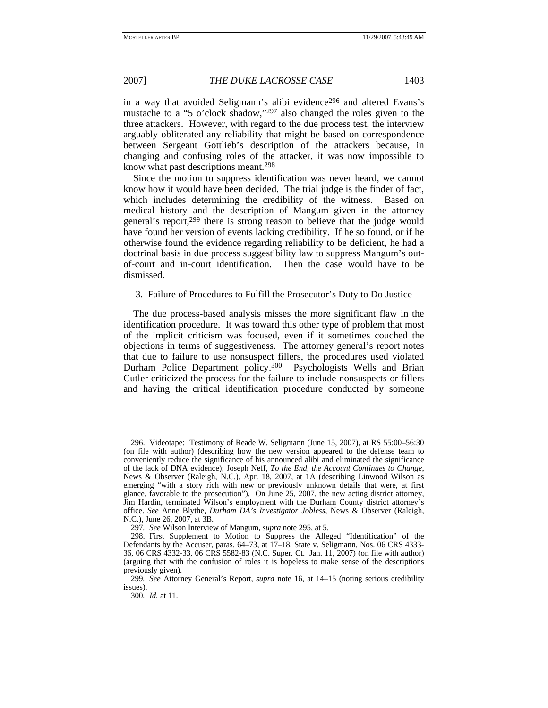in a way that avoided Seligmann's alibi evidence<sup>296</sup> and altered Evans's mustache to a "5 o'clock shadow,"297 also changed the roles given to the three attackers. However, with regard to the due process test, the interview arguably obliterated any reliability that might be based on correspondence between Sergeant Gottlieb's description of the attackers because, in changing and confusing roles of the attacker, it was now impossible to know what past descriptions meant.298

Since the motion to suppress identification was never heard, we cannot know how it would have been decided. The trial judge is the finder of fact, which includes determining the credibility of the witness. Based on medical history and the description of Mangum given in the attorney general's report,299 there is strong reason to believe that the judge would have found her version of events lacking credibility. If he so found, or if he otherwise found the evidence regarding reliability to be deficient, he had a doctrinal basis in due process suggestibility law to suppress Mangum's outof-court and in-court identification. Then the case would have to be dismissed.

3. Failure of Procedures to Fulfill the Prosecutor's Duty to Do Justice

The due process-based analysis misses the more significant flaw in the identification procedure. It was toward this other type of problem that most of the implicit criticism was focused, even if it sometimes couched the objections in terms of suggestiveness. The attorney general's report notes that due to failure to use nonsuspect fillers, the procedures used violated Durham Police Department policy.300 Psychologists Wells and Brian Cutler criticized the process for the failure to include nonsuspects or fillers and having the critical identification procedure conducted by someone

 <sup>296.</sup> Videotape: Testimony of Reade W. Seligmann (June 15, 2007), at RS 55:00–56:30 (on file with author) (describing how the new version appeared to the defense team to conveniently reduce the significance of his announced alibi and eliminated the significance of the lack of DNA evidence); Joseph Neff, *To the End, the Account Continues to Change*, News & Observer (Raleigh, N.C.), Apr. 18, 2007, at 1A (describing Linwood Wilson as emerging "with a story rich with new or previously unknown details that were, at first glance, favorable to the prosecution"). On June 25, 2007, the new acting district attorney, Jim Hardin, terminated Wilson's employment with the Durham County district attorney's office. *See* Anne Blythe, *Durham DA's Investigator Jobless*, News & Observer (Raleigh, N.C.), June 26, 2007, at 3B.

<sup>297</sup>*. See* Wilson Interview of Mangum, *supra* note 295, at 5.

 <sup>298.</sup> First Supplement to Motion to Suppress the Alleged "Identification" of the Defendants by the Accuser, paras. 64–73, at 17–18, State v. Seligmann, Nos. 06 CRS 4333- 36, 06 CRS 4332-33, 06 CRS 5582-83 (N.C. Super. Ct. Jan. 11, 2007) (on file with author) (arguing that with the confusion of roles it is hopeless to make sense of the descriptions previously given).

<sup>299</sup>*. See* Attorney General's Report, *supra* note 16, at 14–15 (noting serious credibility issues).

<sup>300</sup>*. Id.* at 11.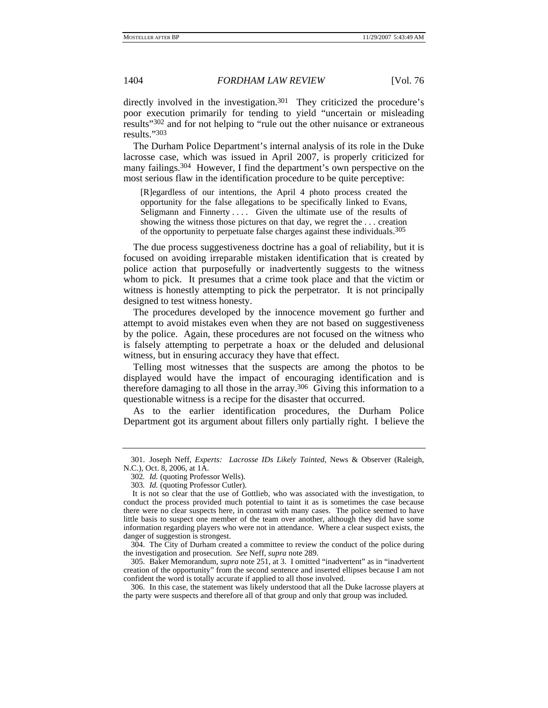directly involved in the investigation.<sup>301</sup> They criticized the procedure's poor execution primarily for tending to yield "uncertain or misleading results"302 and for not helping to "rule out the other nuisance or extraneous results."303

The Durham Police Department's internal analysis of its role in the Duke lacrosse case, which was issued in April 2007, is properly criticized for many failings.304 However, I find the department's own perspective on the most serious flaw in the identification procedure to be quite perceptive:

[R]egardless of our intentions, the April 4 photo process created the opportunity for the false allegations to be specifically linked to Evans, Seligmann and Finnerty .... Given the ultimate use of the results of showing the witness those pictures on that day, we regret the . . . creation of the opportunity to perpetuate false charges against these individuals.<sup>305</sup>

The due process suggestiveness doctrine has a goal of reliability, but it is focused on avoiding irreparable mistaken identification that is created by police action that purposefully or inadvertently suggests to the witness whom to pick. It presumes that a crime took place and that the victim or witness is honestly attempting to pick the perpetrator. It is not principally designed to test witness honesty.

The procedures developed by the innocence movement go further and attempt to avoid mistakes even when they are not based on suggestiveness by the police. Again, these procedures are not focused on the witness who is falsely attempting to perpetrate a hoax or the deluded and delusional witness, but in ensuring accuracy they have that effect.

Telling most witnesses that the suspects are among the photos to be displayed would have the impact of encouraging identification and is therefore damaging to all those in the array.306 Giving this information to a questionable witness is a recipe for the disaster that occurred.

As to the earlier identification procedures, the Durham Police Department got its argument about fillers only partially right. I believe the

 <sup>301.</sup> Joseph Neff, *Experts: Lacrosse IDs Likely Tainted*, News & Observer (Raleigh, N.C.), Oct. 8, 2006, at 1A.

<sup>302</sup>*. Id.* (quoting Professor Wells).

<sup>303</sup>*. Id.* (quoting Professor Cutler).

It is not so clear that the use of Gottlieb, who was associated with the investigation, to conduct the process provided much potential to taint it as is sometimes the case because there were no clear suspects here, in contrast with many cases. The police seemed to have little basis to suspect one member of the team over another, although they did have some information regarding players who were not in attendance. Where a clear suspect exists, the danger of suggestion is strongest.

 <sup>304.</sup> The City of Durham created a committee to review the conduct of the police during the investigation and prosecution. *See* Neff, *supra* note 289.

 <sup>305.</sup> Baker Memorandum, *supra* note 251, at 3. I omitted "inadvertent" as in "inadvertent creation of the opportunity" from the second sentence and inserted ellipses because I am not confident the word is totally accurate if applied to all those involved.

 <sup>306.</sup> In this case, the statement was likely understood that all the Duke lacrosse players at the party were suspects and therefore all of that group and only that group was included.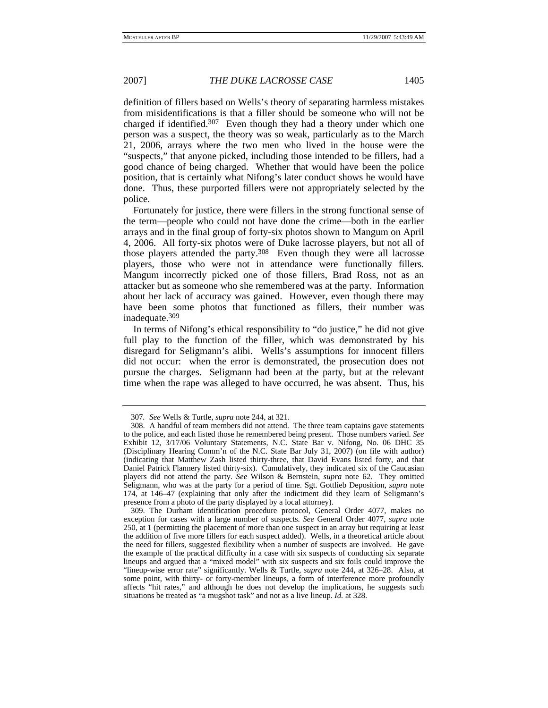definition of fillers based on Wells's theory of separating harmless mistakes from misidentifications is that a filler should be someone who will not be charged if identified.<sup>307</sup> Even though they had a theory under which one person was a suspect, the theory was so weak, particularly as to the March 21, 2006, arrays where the two men who lived in the house were the "suspects," that anyone picked, including those intended to be fillers, had a good chance of being charged. Whether that would have been the police position, that is certainly what Nifong's later conduct shows he would have done. Thus, these purported fillers were not appropriately selected by the police.

Fortunately for justice, there were fillers in the strong functional sense of the term—people who could not have done the crime—both in the earlier arrays and in the final group of forty-six photos shown to Mangum on April 4, 2006. All forty-six photos were of Duke lacrosse players, but not all of those players attended the party.308 Even though they were all lacrosse players, those who were not in attendance were functionally fillers. Mangum incorrectly picked one of those fillers, Brad Ross, not as an attacker but as someone who she remembered was at the party. Information about her lack of accuracy was gained. However, even though there may have been some photos that functioned as fillers, their number was inadequate.309

In terms of Nifong's ethical responsibility to "do justice," he did not give full play to the function of the filler, which was demonstrated by his disregard for Seligmann's alibi. Wells's assumptions for innocent fillers did not occur: when the error is demonstrated, the prosecution does not pursue the charges. Seligmann had been at the party, but at the relevant time when the rape was alleged to have occurred, he was absent. Thus, his

<sup>307</sup>*. See* Wells & Turtle, *supra* note 244, at 321.

 <sup>308.</sup> A handful of team members did not attend. The three team captains gave statements to the police, and each listed those he remembered being present. Those numbers varied. *See* Exhibit 12, 3/17/06 Voluntary Statements, N.C. State Bar v. Nifong, No. 06 DHC 35 (Disciplinary Hearing Comm'n of the N.C. State Bar July 31, 2007) (on file with author) (indicating that Matthew Zash listed thirty-three, that David Evans listed forty, and that Daniel Patrick Flannery listed thirty-six). Cumulatively, they indicated six of the Caucasian players did not attend the party. *See* Wilson & Bernstein, *supra* note 62. They omitted Seligmann, who was at the party for a period of time. Sgt. Gottlieb Deposition, *supra* note 174, at 146–47 (explaining that only after the indictment did they learn of Seligmann's presence from a photo of the party displayed by a local attorney).

 <sup>309.</sup> The Durham identification procedure protocol, General Order 4077, makes no exception for cases with a large number of suspects. *See* General Order 4077, *supra* note 250, at 1 (permitting the placement of more than one suspect in an array but requiring at least the addition of five more fillers for each suspect added). Wells, in a theoretical article about the need for fillers, suggested flexibility when a number of suspects are involved. He gave the example of the practical difficulty in a case with six suspects of conducting six separate lineups and argued that a "mixed model" with six suspects and six foils could improve the "lineup-wise error rate" significantly. Wells & Turtle, *supra* note 244, at 326–28. Also, at some point, with thirty- or forty-member lineups, a form of interference more profoundly affects "hit rates," and although he does not develop the implications, he suggests such situations be treated as "a mugshot task" and not as a live lineup. *Id.* at 328.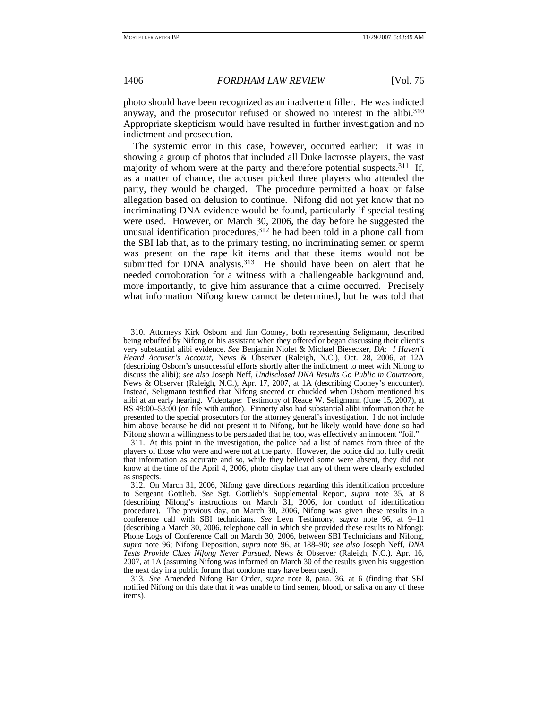photo should have been recognized as an inadvertent filler. He was indicted anyway, and the prosecutor refused or showed no interest in the alibi.310 Appropriate skepticism would have resulted in further investigation and no indictment and prosecution.

The systemic error in this case, however, occurred earlier: it was in showing a group of photos that included all Duke lacrosse players, the vast majority of whom were at the party and therefore potential suspects.<sup>311</sup> If, as a matter of chance, the accuser picked three players who attended the party, they would be charged. The procedure permitted a hoax or false allegation based on delusion to continue. Nifong did not yet know that no incriminating DNA evidence would be found, particularly if special testing were used. However, on March 30, 2006, the day before he suggested the unusual identification procedures,  $312$  he had been told in a phone call from the SBI lab that, as to the primary testing, no incriminating semen or sperm was present on the rape kit items and that these items would not be submitted for DNA analysis.<sup>313</sup> He should have been on alert that he needed corroboration for a witness with a challengeable background and, more importantly, to give him assurance that a crime occurred. Precisely what information Nifong knew cannot be determined, but he was told that

 <sup>310.</sup> Attorneys Kirk Osborn and Jim Cooney, both representing Seligmann, described being rebuffed by Nifong or his assistant when they offered or began discussing their client's very substantial alibi evidence. *See* Benjamin Niolet & Michael Biesecker, *DA: I Haven't Heard Accuser's Account*, News & Observer (Raleigh, N.C.), Oct. 28, 2006, at 12A (describing Osborn's unsuccessful efforts shortly after the indictment to meet with Nifong to discuss the alibi); *see also* Joseph Neff, *Undisclosed DNA Results Go Public in Courtroom*, News & Observer (Raleigh, N.C.), Apr. 17, 2007, at 1A (describing Cooney's encounter). Instead, Seligmann testified that Nifong sneered or chuckled when Osborn mentioned his alibi at an early hearing. Videotape: Testimony of Reade W. Seligmann (June 15, 2007), at RS 49:00–53:00 (on file with author). Finnerty also had substantial alibi information that he presented to the special prosecutors for the attorney general's investigation. I do not include him above because he did not present it to Nifong, but he likely would have done so had Nifong shown a willingness to be persuaded that he, too, was effectively an innocent "foil."

 <sup>311.</sup> At this point in the investigation, the police had a list of names from three of the players of those who were and were not at the party. However, the police did not fully credit that information as accurate and so, while they believed some were absent, they did not know at the time of the April 4, 2006, photo display that any of them were clearly excluded as suspects.

 <sup>312.</sup> On March 31, 2006, Nifong gave directions regarding this identification procedure to Sergeant Gottlieb. *See* Sgt. Gottlieb's Supplemental Report, *supra* note 35, at 8 (describing Nifong's instructions on March 31, 2006, for conduct of identification procedure). The previous day, on March 30, 2006, Nifong was given these results in a conference call with SBI technicians. *See* Leyn Testimony, *supra* note 96, at 9–11 (describing a March 30, 2006, telephone call in which she provided these results to Nifong); Phone Logs of Conference Call on March 30, 2006, between SBI Technicians and Nifong, *supra* note 96; Nifong Deposition, *supra* note 96, at 188–90; *see also* Joseph Neff, *DNA Tests Provide Clues Nifong Never Pursued*, News & Observer (Raleigh, N.C.), Apr. 16, 2007, at 1A (assuming Nifong was informed on March 30 of the results given his suggestion the next day in a public forum that condoms may have been used).

<sup>313</sup>*. See* Amended Nifong Bar Order, *supra* note 8, para. 36, at 6 (finding that SBI notified Nifong on this date that it was unable to find semen, blood, or saliva on any of these items).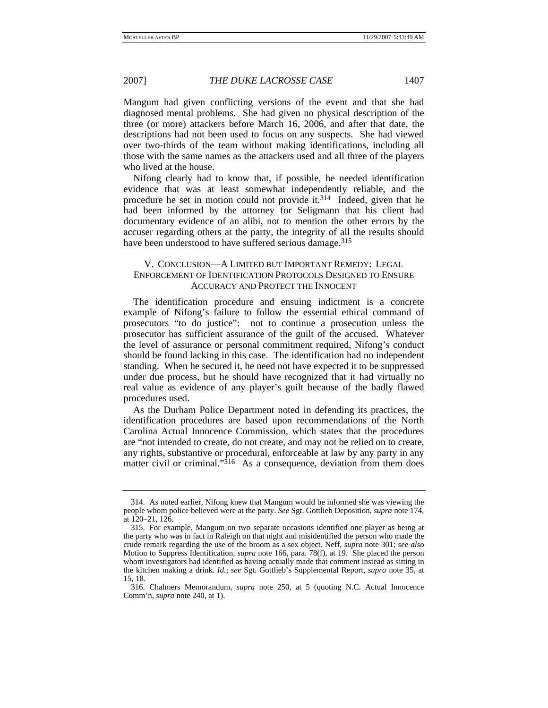Mangum had given conflicting versions of the event and that she had diagnosed mental problems. She had given no physical description of the three (or more) attackers before March 16, 2006, and after that date, the descriptions had not been used to focus on any suspects. She had viewed over two-thirds of the team without making identifications, including all those with the same names as the attackers used and all three of the players who lived at the house.

Nifong clearly had to know that, if possible, he needed identification evidence that was at least somewhat independently reliable, and the procedure he set in motion could not provide it.314 Indeed, given that he had been informed by the attorney for Seligmann that his client had documentary evidence of an alibi, not to mention the other errors by the accuser regarding others at the party, the integrity of all the results should have been understood to have suffered serious damage.<sup>315</sup>

# V. CONCLUSION—A LIMITED BUT IMPORTANT REMEDY: LEGAL ENFORCEMENT OF IDENTIFICATION PROTOCOLS DESIGNED TO ENSURE ACCURACY AND PROTECT THE INNOCENT

The identification procedure and ensuing indictment is a concrete example of Nifong's failure to follow the essential ethical command of prosecutors "to do justice": not to continue a prosecution unless the prosecutor has sufficient assurance of the guilt of the accused. Whatever the level of assurance or personal commitment required, Nifong's conduct should be found lacking in this case. The identification had no independent standing. When he secured it, he need not have expected it to be suppressed under due process, but he should have recognized that it had virtually no real value as evidence of any player's guilt because of the badly flawed procedures used.

As the Durham Police Department noted in defending its practices, the identification procedures are based upon recommendations of the North Carolina Actual Innocence Commission, which states that the procedures are "not intended to create, do not create, and may not be relied on to create, any rights, substantive or procedural, enforceable at law by any party in any matter civil or criminal." $3^{16}$  As a consequence, deviation from them does

 <sup>314.</sup> As noted earlier, Nifong knew that Mangum would be informed she was viewing the people whom police believed were at the party. *See* Sgt. Gottlieb Deposition, *supra* note 174, at 120–21, 126.

 <sup>315.</sup> For example, Mangum on two separate occasions identified one player as being at the party who was in fact in Raleigh on that night and misidentified the person who made the crude remark regarding the use of the broom as a sex object. Neff, *supra* note 301; *see also* Motion to Suppress Identification, *supra* note 166, para. 78(f), at 19. She placed the person whom investigators had identified as having actually made that comment instead as sitting in the kitchen making a drink. *Id.*; *see* Sgt. Gottlieb's Supplemental Report, *supra* note 35, at 15, 18.

 <sup>316.</sup> Chalmers Memorandum, *supra* note 250, at 5 (quoting N.C. Actual Innocence Comm'n, *supra* note 240, at 1).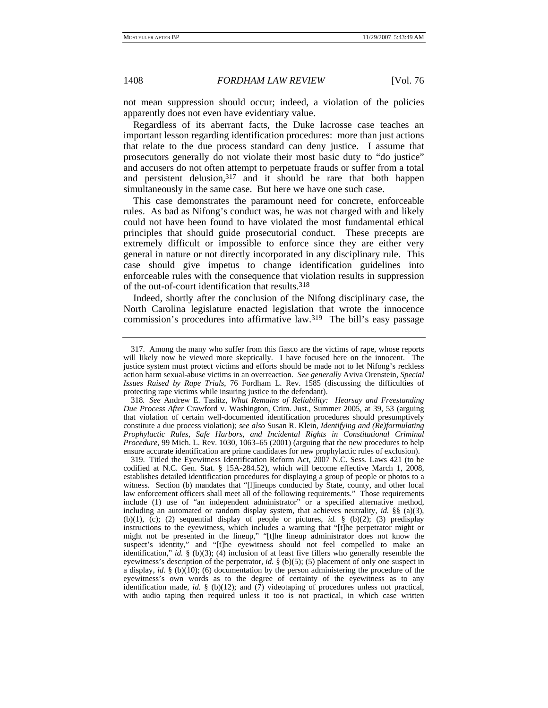not mean suppression should occur; indeed, a violation of the policies apparently does not even have evidentiary value.

Regardless of its aberrant facts, the Duke lacrosse case teaches an important lesson regarding identification procedures: more than just actions that relate to the due process standard can deny justice. I assume that prosecutors generally do not violate their most basic duty to "do justice" and accusers do not often attempt to perpetuate frauds or suffer from a total and persistent delusion, $317$  and it should be rare that both happen simultaneously in the same case. But here we have one such case.

This case demonstrates the paramount need for concrete, enforceable rules. As bad as Nifong's conduct was, he was not charged with and likely could not have been found to have violated the most fundamental ethical principles that should guide prosecutorial conduct. These precepts are extremely difficult or impossible to enforce since they are either very general in nature or not directly incorporated in any disciplinary rule. This case should give impetus to change identification guidelines into enforceable rules with the consequence that violation results in suppression of the out-of-court identification that results.318

Indeed, shortly after the conclusion of the Nifong disciplinary case, the North Carolina legislature enacted legislation that wrote the innocence commission's procedures into affirmative law.319 The bill's easy passage

 319. Titled the Eyewitness Identification Reform Act, 2007 N.C. Sess. Laws 421 (to be codified at N.C. Gen. Stat. § 15A-284.52), which will become effective March 1, 2008, establishes detailed identification procedures for displaying a group of people or photos to a witness. Section (b) mandates that "[l]ineups conducted by State, county, and other local law enforcement officers shall meet all of the following requirements." Those requirements include (1) use of "an independent administrator" or a specified alternative method, including an automated or random display system, that achieves neutrality, *id.* §§ (a)(3), (b)(1), (c); (2) sequential display of people or pictures, *id.* § (b)(2); (3) predisplay instructions to the eyewitness, which includes a warning that "[t]he perpetrator might or might not be presented in the lineup," "[t]he lineup administrator does not know the suspect's identity," and "[t]he eyewitness should not feel compelled to make an identification," *id.*  $\S$  (b)(3); (4) inclusion of at least five fillers who generally resemble the eyewitness's description of the perpetrator, *id.* § (b)(5); (5) placement of only one suspect in a display, *id.* § (b)(10); (6) documentation by the person administering the procedure of the eyewitness's own words as to the degree of certainty of the eyewitness as to any identification made, *id.* § (b)(12); and (7) videotaping of procedures unless not practical, with audio taping then required unless it too is not practical, in which case written

 <sup>317.</sup> Among the many who suffer from this fiasco are the victims of rape, whose reports will likely now be viewed more skeptically. I have focused here on the innocent. The justice system must protect victims and efforts should be made not to let Nifong's reckless action harm sexual-abuse victims in an overreaction. *See generally* Aviva Orenstein, *Special Issues Raised by Rape Trials*, 76 Fordham L. Rev. 1585 (discussing the difficulties of protecting rape victims while insuring justice to the defendant).

<sup>318</sup>*. See* Andrew E. Taslitz, *What Remains of Reliability: Hearsay and Freestanding Due Process After* Crawford v. Washington, Crim. Just., Summer 2005, at 39, 53 (arguing that violation of certain well-documented identification procedures should presumptively constitute a due process violation); *see also* Susan R. Klein, *Identifying and (Re)formulating Prophylactic Rules, Safe Harbors, and Incidental Rights in Constitutional Criminal Procedure*, 99 Mich. L. Rev. 1030, 1063–65 (2001) (arguing that the new procedures to help ensure accurate identification are prime candidates for new prophylactic rules of exclusion).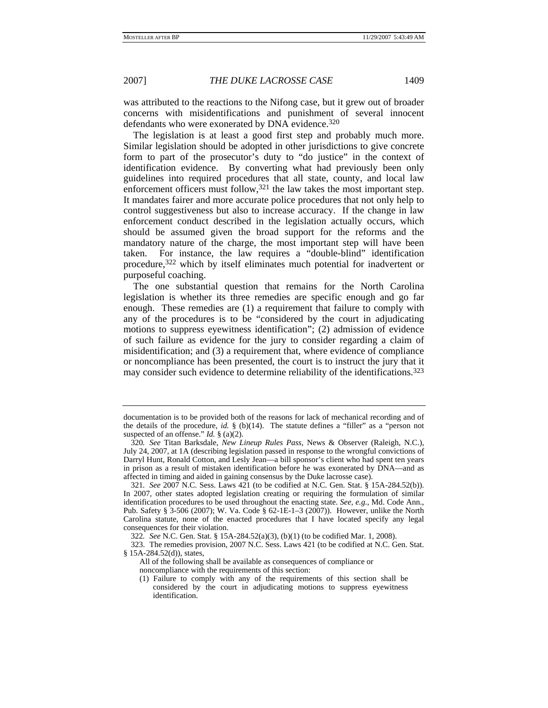2007] *THE DUKE LACROSSE CASE* 1409

was attributed to the reactions to the Nifong case, but it grew out of broader concerns with misidentifications and punishment of several innocent defendants who were exonerated by DNA evidence.<sup>320</sup>

The legislation is at least a good first step and probably much more. Similar legislation should be adopted in other jurisdictions to give concrete form to part of the prosecutor's duty to "do justice" in the context of identification evidence. By converting what had previously been only guidelines into required procedures that all state, county, and local law enforcement officers must follow,  $321$  the law takes the most important step. It mandates fairer and more accurate police procedures that not only help to control suggestiveness but also to increase accuracy. If the change in law enforcement conduct described in the legislation actually occurs, which should be assumed given the broad support for the reforms and the mandatory nature of the charge, the most important step will have been taken. For instance, the law requires a "double-blind" identification procedure,322 which by itself eliminates much potential for inadvertent or purposeful coaching.

The one substantial question that remains for the North Carolina legislation is whether its three remedies are specific enough and go far enough. These remedies are (1) a requirement that failure to comply with any of the procedures is to be "considered by the court in adjudicating motions to suppress eyewitness identification"; (2) admission of evidence of such failure as evidence for the jury to consider regarding a claim of misidentification; and (3) a requirement that, where evidence of compliance or noncompliance has been presented, the court is to instruct the jury that it may consider such evidence to determine reliability of the identifications.323

documentation is to be provided both of the reasons for lack of mechanical recording and of the details of the procedure, *id.*  $\S$  (b)(14). The statute defines a "filler" as a "person not suspected of an offense." *Id.* § (a)(2).

<sup>320</sup>*. See* Titan Barksdale, *New Lineup Rules Pass*, News & Observer (Raleigh, N.C.), July 24, 2007, at 1A (describing legislation passed in response to the wrongful convictions of Darryl Hunt, Ronald Cotton, and Lesly Jean—a bill sponsor's client who had spent ten years in prison as a result of mistaken identification before he was exonerated by DNA—and as affected in timing and aided in gaining consensus by the Duke lacrosse case).

<sup>321</sup>*. See* 2007 N.C. Sess. Laws 421 (to be codified at N.C. Gen. Stat. § 15A-284.52(b)). In 2007, other states adopted legislation creating or requiring the formulation of similar identification procedures to be used throughout the enacting state. *See, e.g.*, Md. Code Ann., Pub. Safety § 3-506 (2007); W. Va. Code § 62-1E-1–3 (2007)). However, unlike the North Carolina statute, none of the enacted procedures that I have located specify any legal consequences for their violation.

<sup>322</sup>*. See* N.C. Gen. Stat. § 15A-284.52(a)(3), (b)(1) (to be codified Mar. 1, 2008).

 <sup>323.</sup> The remedies provision, 2007 N.C. Sess. Laws 421 (to be codified at N.C. Gen. Stat. § 15A-284.52(d)), states,

All of the following shall be available as consequences of compliance or noncompliance with the requirements of this section:

<sup>(1)</sup> Failure to comply with any of the requirements of this section shall be considered by the court in adjudicating motions to suppress eyewitness identification.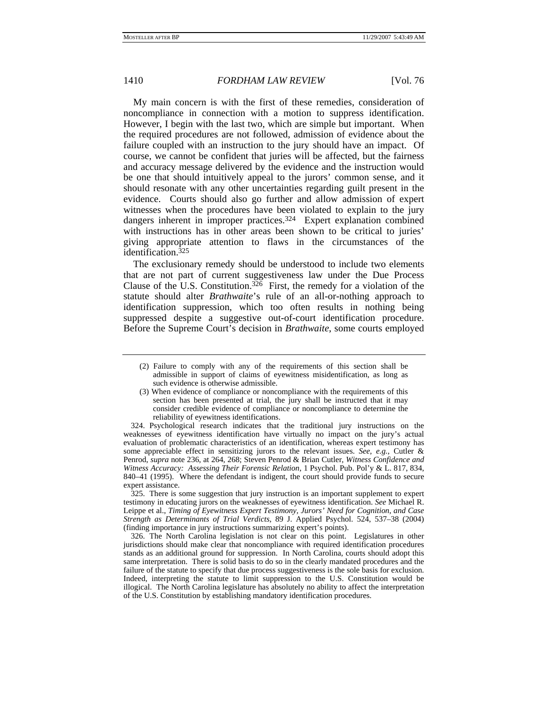## 1410 *FORDHAM LAW REVIEW* [Vol. 76

My main concern is with the first of these remedies, consideration of noncompliance in connection with a motion to suppress identification. However, I begin with the last two, which are simple but important. When the required procedures are not followed, admission of evidence about the failure coupled with an instruction to the jury should have an impact. Of course, we cannot be confident that juries will be affected, but the fairness and accuracy message delivered by the evidence and the instruction would be one that should intuitively appeal to the jurors' common sense, and it should resonate with any other uncertainties regarding guilt present in the evidence. Courts should also go further and allow admission of expert witnesses when the procedures have been violated to explain to the jury dangers inherent in improper practices.<sup>324</sup> Expert explanation combined with instructions has in other areas been shown to be critical to juries' giving appropriate attention to flaws in the circumstances of the identification.325

The exclusionary remedy should be understood to include two elements that are not part of current suggestiveness law under the Due Process Clause of the U.S. Constitution.<sup>326</sup> First, the remedy for a violation of the statute should alter *Brathwaite*'s rule of an all-or-nothing approach to identification suppression, which too often results in nothing being suppressed despite a suggestive out-of-court identification procedure. Before the Supreme Court's decision in *Brathwaite*, some courts employed

 324. Psychological research indicates that the traditional jury instructions on the weaknesses of eyewitness identification have virtually no impact on the jury's actual evaluation of problematic characteristics of an identification, whereas expert testimony has some appreciable effect in sensitizing jurors to the relevant issues. *See, e.g.*, Cutler & Penrod, *supra* note 236, at 264, 268; Steven Penrod & Brian Cutler, *Witness Confidence and Witness Accuracy: Assessing Their Forensic Relation*, 1 Psychol. Pub. Pol'y & L. 817, 834, 840–41 (1995). Where the defendant is indigent, the court should provide funds to secure expert assistance.

 325. There is some suggestion that jury instruction is an important supplement to expert testimony in educating jurors on the weaknesses of eyewitness identification. *See* Michael R. Leippe et al., *Timing of Eyewitness Expert Testimony, Jurors' Need for Cognition, and Case Strength as Determinants of Trial Verdicts*, 89 J. Applied Psychol. 524, 537–38 (2004) (finding importance in jury instructions summarizing expert's points).

 326. The North Carolina legislation is not clear on this point. Legislatures in other jurisdictions should make clear that noncompliance with required identification procedures stands as an additional ground for suppression. In North Carolina, courts should adopt this same interpretation. There is solid basis to do so in the clearly mandated procedures and the failure of the statute to specify that due process suggestiveness is the sole basis for exclusion. Indeed, interpreting the statute to limit suppression to the U.S. Constitution would be illogical. The North Carolina legislature has absolutely no ability to affect the interpretation of the U.S. Constitution by establishing mandatory identification procedures.

<sup>(2)</sup> Failure to comply with any of the requirements of this section shall be admissible in support of claims of eyewitness misidentification, as long as such evidence is otherwise admissible.

<sup>(3)</sup> When evidence of compliance or noncompliance with the requirements of this section has been presented at trial, the jury shall be instructed that it may consider credible evidence of compliance or noncompliance to determine the reliability of eyewitness identifications.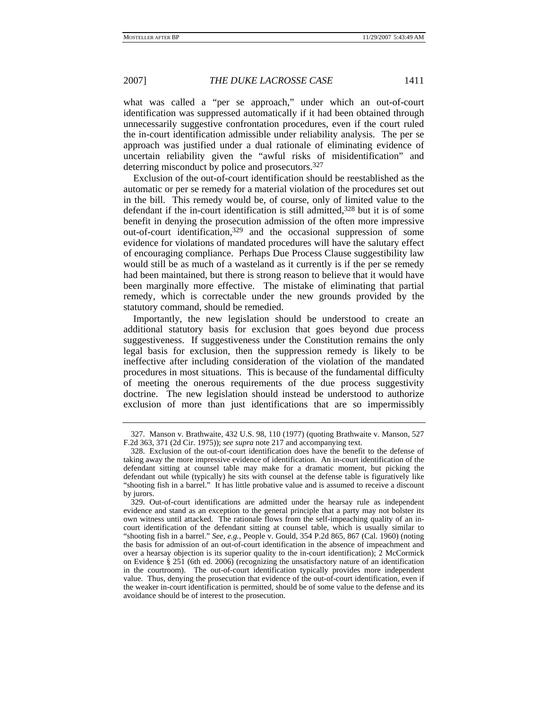2007] *THE DUKE LACROSSE CASE* 1411

what was called a "per se approach," under which an out-of-court identification was suppressed automatically if it had been obtained through unnecessarily suggestive confrontation procedures, even if the court ruled the in-court identification admissible under reliability analysis. The per se approach was justified under a dual rationale of eliminating evidence of uncertain reliability given the "awful risks of misidentification" and deterring misconduct by police and prosecutors.327

Exclusion of the out-of-court identification should be reestablished as the automatic or per se remedy for a material violation of the procedures set out in the bill. This remedy would be, of course, only of limited value to the defendant if the in-court identification is still admitted,<sup>328</sup> but it is of some benefit in denying the prosecution admission of the often more impressive out-of-court identification,329 and the occasional suppression of some evidence for violations of mandated procedures will have the salutary effect of encouraging compliance. Perhaps Due Process Clause suggestibility law would still be as much of a wasteland as it currently is if the per se remedy had been maintained, but there is strong reason to believe that it would have been marginally more effective. The mistake of eliminating that partial remedy, which is correctable under the new grounds provided by the statutory command, should be remedied.

Importantly, the new legislation should be understood to create an additional statutory basis for exclusion that goes beyond due process suggestiveness. If suggestiveness under the Constitution remains the only legal basis for exclusion, then the suppression remedy is likely to be ineffective after including consideration of the violation of the mandated procedures in most situations. This is because of the fundamental difficulty of meeting the onerous requirements of the due process suggestivity doctrine. The new legislation should instead be understood to authorize exclusion of more than just identifications that are so impermissibly

 <sup>327.</sup> Manson v. Brathwaite, 432 U.S. 98, 110 (1977) (quoting Brathwaite v. Manson, 527 F.2d 363, 371 (2d Cir. 1975)); *see supra* note 217 and accompanying text.

 <sup>328.</sup> Exclusion of the out-of-court identification does have the benefit to the defense of taking away the more impressive evidence of identification. An in-court identification of the defendant sitting at counsel table may make for a dramatic moment, but picking the defendant out while (typically) he sits with counsel at the defense table is figuratively like "shooting fish in a barrel." It has little probative value and is assumed to receive a discount by jurors.

 <sup>329.</sup> Out-of-court identifications are admitted under the hearsay rule as independent evidence and stand as an exception to the general principle that a party may not bolster its own witness until attacked. The rationale flows from the self-impeaching quality of an incourt identification of the defendant sitting at counsel table, which is usually similar to "shooting fish in a barrel." *See, e.g.*, People v. Gould, 354 P.2d 865, 867 (Cal. 1960) (noting the basis for admission of an out-of-court identification in the absence of impeachment and over a hearsay objection is its superior quality to the in-court identification); 2 McCormick on Evidence § 251 (6th ed. 2006) (recognizing the unsatisfactory nature of an identification in the courtroom). The out-of-court identification typically provides more independent value. Thus, denying the prosecution that evidence of the out-of-court identification, even if the weaker in-court identification is permitted, should be of some value to the defense and its avoidance should be of interest to the prosecution.